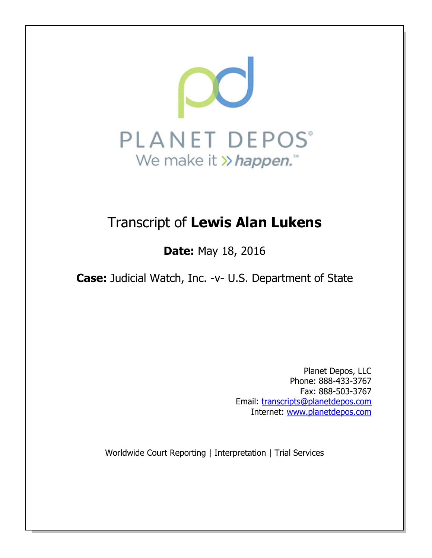

# Transcript of Lewis Alan Lukens

**Date: May 18, 2016** 

Case: Judicial Watch, Inc. -v- U.S. Department of State

Planet Depos, LLC Phone: 888-433-3767 Fax: 888-503-3767 Email: transcripts@planetdepos.com Internet: www.planetdepos.com

Worldwide Court Reporting | Interpretation | Trial Services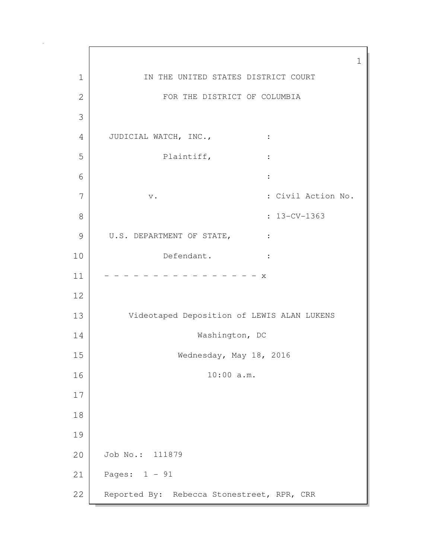1 1 IN THE UNITED STATES DISTRICT COURT 2 FOR THE DISTRICT OF COLUMBIA 3 4 JUDICIAL WATCH, INC.,  $\cdot$  : 5 Plaintiff, : 6 : 7 v. v. Sammen Mondon No. : Civil Action No. 8 : 13-CV-1363 9 U.S. DEPARTMENT OF STATE, : 10 Defendant. : 11 - - - - - - - - - - - - - - x 12 13 Videotaped Deposition of LEWIS ALAN LUKENS 14 Washington, DC 15 Wednesday, May 18, 2016 16 10:00 a.m. 17 18 19 20 Job No.: 111879 21 Pages: 1 - 91 22 Reported By: Rebecca Stonestreet, RPR, CRR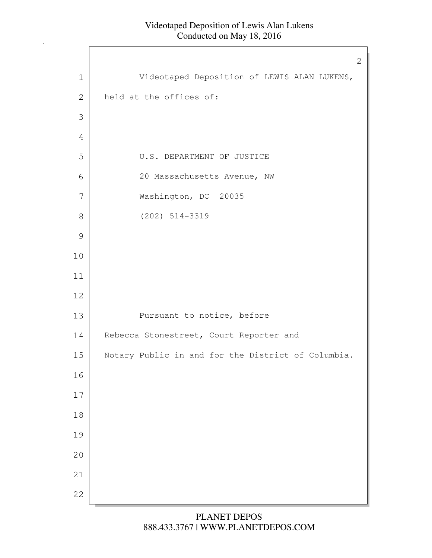$\Gamma$ 

|               | 2                                                  |
|---------------|----------------------------------------------------|
| $\mathbf 1$   | Videotaped Deposition of LEWIS ALAN LUKENS,        |
| $\mathbf{2}$  | held at the offices of:                            |
| 3             |                                                    |
| 4             |                                                    |
| 5             | U.S. DEPARTMENT OF JUSTICE                         |
| 6             | 20 Massachusetts Avenue, NW                        |
| 7             | Washington, DC 20035                               |
| $\,8\,$       | $(202)$ 514-3319                                   |
| $\mathcal{G}$ |                                                    |
| 10            |                                                    |
| 11            |                                                    |
| 12            |                                                    |
| 13            | Pursuant to notice, before                         |
| 14            | Rebecca Stonestreet, Court Reporter and            |
| 15            | Notary Public in and for the District of Columbia. |
| 16            |                                                    |
| $17$          |                                                    |
| $1\,8$        |                                                    |
| 19            |                                                    |
| 20            |                                                    |
| 21            |                                                    |
| 22            |                                                    |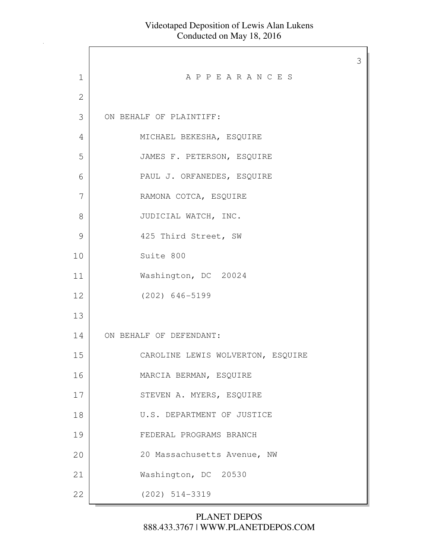|             |                                   | 3 |
|-------------|-----------------------------------|---|
| $\mathbf 1$ | APPEARANCES                       |   |
| 2           |                                   |   |
| 3           | ON BEHALF OF PLAINTIFF:           |   |
| 4           | MICHAEL BEKESHA, ESQUIRE          |   |
| 5           | JAMES F. PETERSON, ESQUIRE        |   |
| 6           | PAUL J. ORFANEDES, ESQUIRE        |   |
| 7           | RAMONA COTCA, ESQUIRE             |   |
| 8           | JUDICIAL WATCH, INC.              |   |
| 9           | 425 Third Street, SW              |   |
| 10          | Suite 800                         |   |
| 11          | Washington, DC 20024              |   |
| 12          | $(202)$ 646-5199                  |   |
| 13          |                                   |   |
| 14          | ON BEHALF OF DEFENDANT:           |   |
| 15          | CAROLINE LEWIS WOLVERTON, ESQUIRE |   |
| 16          | MARCIA BERMAN, ESQUIRE            |   |
| 17          | STEVEN A. MYERS, ESQUIRE          |   |
| 18          | U.S. DEPARTMENT OF JUSTICE        |   |
| 19          | FEDERAL PROGRAMS BRANCH           |   |
| 20          | 20 Massachusetts Avenue, NW       |   |
| 21          | Washington, DC 20530              |   |
| 22          | $(202)$ 514-3319                  |   |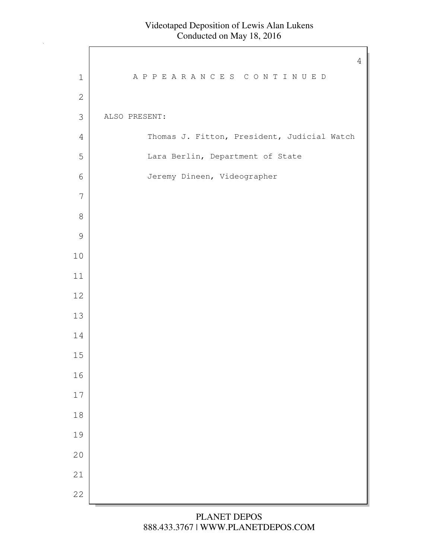$\Gamma$ 

|                | $\overline{4}$                              |
|----------------|---------------------------------------------|
| $\mathbf 1$    | APPEARANCES CONTINUED                       |
| $\sqrt{2}$     |                                             |
| $\mathfrak S$  | ALSO PRESENT:                               |
| $\overline{4}$ | Thomas J. Fitton, President, Judicial Watch |
| 5              | Lara Berlin, Department of State            |
| 6              | Jeremy Dineen, Videographer                 |
| $\overline{7}$ |                                             |
| $\,8\,$        |                                             |
| $\mathcal{G}$  |                                             |
| $10$           |                                             |
| $11$           |                                             |
| $12$           |                                             |
| 13             |                                             |
| 14             |                                             |
| $15\,$         |                                             |
| 16             |                                             |
| $17\,$         |                                             |
| $18\,$         |                                             |
| 19             |                                             |
| 20             |                                             |
| 21             |                                             |
| 22             |                                             |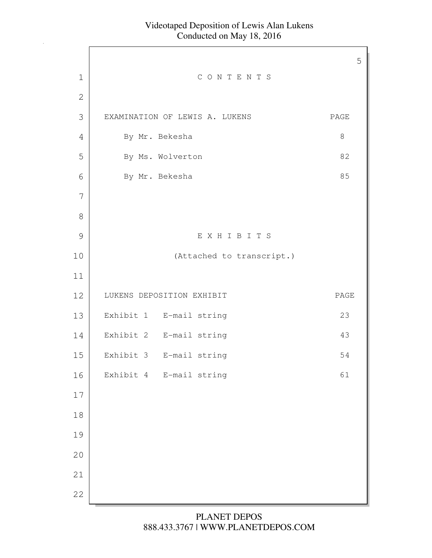Г

|               |                                | 5     |
|---------------|--------------------------------|-------|
| $\mathbf 1$   | CONTENTS                       |       |
| $\mathbf{2}$  |                                |       |
| 3             | EXAMINATION OF LEWIS A. LUKENS | PAGE  |
| 4             | By Mr. Bekesha                 | $8\,$ |
| 5             | By Ms. Wolverton               | 82    |
| 6             | By Mr. Bekesha                 | 85    |
| 7             |                                |       |
| 8             |                                |       |
| $\mathcal{G}$ | EXHIBITS                       |       |
| 10            | (Attached to transcript.)      |       |
| 11            |                                |       |
| 12            | LUKENS DEPOSITION EXHIBIT      | PAGE  |
| 13            | Exhibit 1 E-mail string        | 23    |
| 14            | Exhibit 2 E-mail string        | 43    |
| 15            | Exhibit 3 E-mail string        | 54    |
| 16            | Exhibit 4 E-mail string        | 61    |
| $17$          |                                |       |
| $18\,$        |                                |       |
| 19            |                                |       |
| 20            |                                |       |
| 21            |                                |       |
| 22            |                                |       |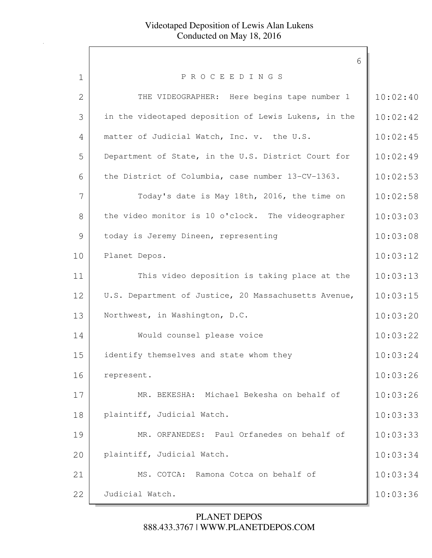|              | 6                                                    |          |
|--------------|------------------------------------------------------|----------|
| 1            | PROCEEDINGS                                          |          |
| $\mathbf{2}$ | THE VIDEOGRAPHER: Here begins tape number 1          | 10:02:40 |
| 3            | in the videotaped deposition of Lewis Lukens, in the | 10:02:42 |
| 4            | matter of Judicial Watch, Inc. v. the U.S.           | 10:02:45 |
| 5            | Department of State, in the U.S. District Court for  | 10:02:49 |
| 6            | the District of Columbia, case number 13-CV-1363.    | 10:02:53 |
| 7            | Today's date is May 18th, 2016, the time on          | 10:02:58 |
| 8            | the video monitor is 10 o'clock. The videographer    | 10:03:03 |
| 9            | today is Jeremy Dineen, representing                 | 10:03:08 |
| 10           | Planet Depos.                                        | 10:03:12 |
| 11           | This video deposition is taking place at the         | 10:03:13 |
| 12           | U.S. Department of Justice, 20 Massachusetts Avenue, | 10:03:15 |
| 13           | Northwest, in Washington, D.C.                       | 10:03:20 |
| 14           | Would counsel please voice                           | 10:03:22 |
| 15           | identify themselves and state whom they              | 10:03:24 |
| 16           | represent.                                           | 10:03:26 |
| 17           | MR. BEKESHA: Michael Bekesha on behalf of            | 10:03:26 |
| 18           | plaintiff, Judicial Watch.                           | 10:03:33 |
| 19           | MR. ORFANEDES: Paul Orfanedes on behalf of           | 10:03:33 |
| 20           | plaintiff, Judicial Watch.                           | 10:03:34 |
| 21           | MS. COTCA: Ramona Cotca on behalf of                 | 10:03:34 |
| 22           | Judicial Watch.                                      | 10:03:36 |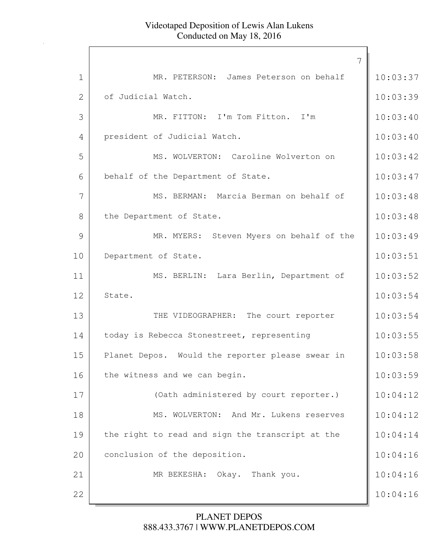|                | 7                                                |          |
|----------------|--------------------------------------------------|----------|
| $\mathbf 1$    | MR. PETERSON: James Peterson on behalf           | 10:03:37 |
| $\overline{2}$ | of Judicial Watch.                               | 10:03:39 |
| 3              | MR. FITTON: I'm Tom Fitton. I'm                  | 10:03:40 |
| $\overline{4}$ | president of Judicial Watch.                     | 10:03:40 |
| 5              | MS. WOLVERTON: Caroline Wolverton on             | 10:03:42 |
| 6              | behalf of the Department of State.               | 10:03:47 |
| 7              | MS. BERMAN: Marcia Berman on behalf of           | 10:03:48 |
| 8              | the Department of State.                         | 10:03:48 |
| 9              | MR. MYERS: Steven Myers on behalf of the         | 10:03:49 |
| 10             | Department of State.                             | 10:03:51 |
| 11             | MS. BERLIN: Lara Berlin, Department of           | 10:03:52 |
| 12             | State.                                           | 10:03:54 |
| 13             | THE VIDEOGRAPHER: The court reporter             | 10:03:54 |
| 14             | today is Rebecca Stonestreet, representing       | 10:03:55 |
| 15             | Planet Depos. Would the reporter please swear in | 10:03:58 |
| 16             | the witness and we can begin.                    | 10:03:59 |
| 17             | (Oath administered by court reporter.)           | 10:04:12 |
| 18             | MS. WOLVERTON: And Mr. Lukens reserves           | 10:04:12 |
| 19             | the right to read and sign the transcript at the | 10:04:14 |
| 20             | conclusion of the deposition.                    | 10:04:16 |
| 21             | MR BEKESHA: Okay. Thank you.                     | 10:04:16 |
| 22             |                                                  | 10:04:16 |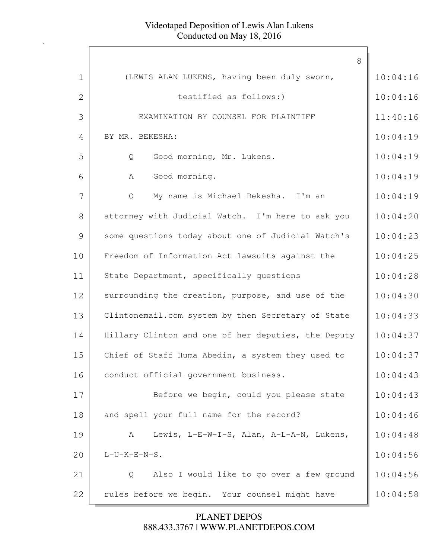|              | 8                                                   |          |
|--------------|-----------------------------------------------------|----------|
| $\mathbf 1$  | (LEWIS ALAN LUKENS, having been duly sworn,         | 10:04:16 |
| $\mathbf{2}$ | testified as follows:)                              | 10:04:16 |
| 3            | EXAMINATION BY COUNSEL FOR PLAINTIFF                | 11:40:16 |
| 4            | BY MR. BEKESHA:                                     | 10:04:19 |
| 5            | Good morning, Mr. Lukens.<br>Q                      | 10:04:19 |
| 6            | Good morning.<br>A                                  | 10:04:19 |
| 7            | My name is Michael Bekesha. I'm an<br>Q             | 10:04:19 |
| 8            | attorney with Judicial Watch. I'm here to ask you   | 10:04:20 |
| 9            | some questions today about one of Judicial Watch's  | 10:04:23 |
| 10           | Freedom of Information Act lawsuits against the     | 10:04:25 |
| 11           | State Department, specifically questions            | 10:04:28 |
| 12           | surrounding the creation, purpose, and use of the   | 10:04:30 |
| 13           | Clintonemail.com system by then Secretary of State  | 10:04:33 |
| 14           | Hillary Clinton and one of her deputies, the Deputy | 10:04:37 |
| 15           | Chief of Staff Huma Abedin, a system they used to   | 10:04:37 |
| 16           | conduct official government business.               | 10:04:43 |
| 17           | Before we begin, could you please state             | 10:04:43 |
| 18           | and spell your full name for the record?            | 10:04:46 |
| 19           | Lewis, L-E-W-I-S, Alan, A-L-A-N, Lukens,<br>A       | 10:04:48 |
| 20           | $L-U-K-E-N-S$ .                                     | 10:04:56 |
| 21           | Also I would like to go over a few ground<br>Q      | 10:04:56 |
| 22           | rules before we begin. Your counsel might have      | 10:04:58 |
|              |                                                     |          |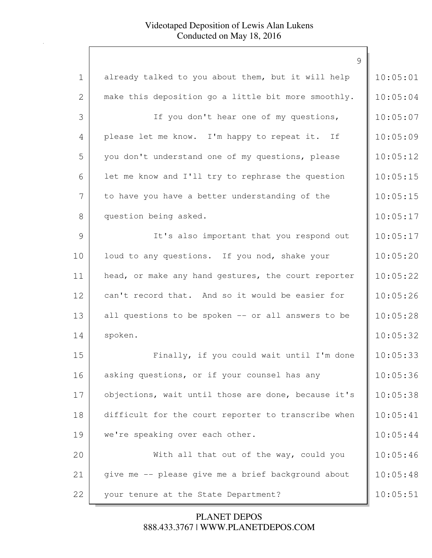|              | 9                                                   |          |
|--------------|-----------------------------------------------------|----------|
| $\mathbf 1$  | already talked to you about them, but it will help  | 10:05:01 |
| $\mathbf{2}$ | make this deposition go a little bit more smoothly. | 10:05:04 |
| 3            | If you don't hear one of my questions,              | 10:05:07 |
| 4            | please let me know. I'm happy to repeat it. If      | 10:05:09 |
| 5            | you don't understand one of my questions, please    | 10:05:12 |
| 6            | let me know and I'll try to rephrase the question   | 10:05:15 |
| 7            | to have you have a better understanding of the      | 10:05:15 |
| 8            | question being asked.                               | 10:05:17 |
| 9            | It's also important that you respond out            | 10:05:17 |
| 10           | loud to any questions. If you nod, shake your       | 10:05:20 |
| 11           | head, or make any hand gestures, the court reporter | 10:05:22 |
| 12           | can't record that. And so it would be easier for    | 10:05:26 |
| 13           | all questions to be spoken -- or all answers to be  | 10:05:28 |
| 14           | spoken.                                             | 10:05:32 |
| 15           | Finally, if you could wait until I'm done           | 10:05:33 |
| 16           | asking questions, or if your counsel has any        | 10:05:36 |
| 17           | objections, wait until those are done, because it's | 10:05:38 |
| 18           | difficult for the court reporter to transcribe when | 10:05:41 |
| 19           | we're speaking over each other.                     | 10:05:44 |
| 20           | With all that out of the way, could you             | 10:05:46 |
| 21           | give me -- please give me a brief background about  | 10:05:48 |
| 22           | your tenure at the State Department?                | 10:05:51 |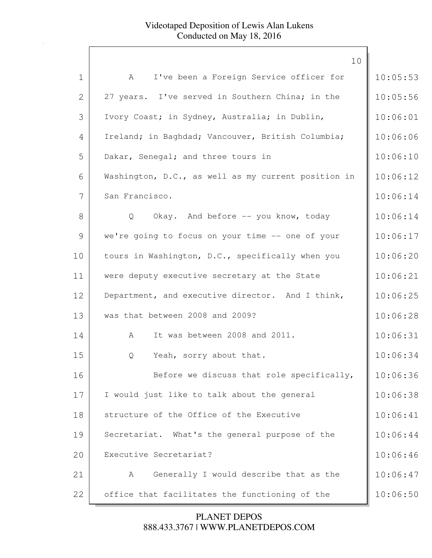|             | 10                                                  |          |
|-------------|-----------------------------------------------------|----------|
| $\mathbf 1$ | I've been a Foreign Service officer for<br>A        | 10:05:53 |
| 2           | 27 years. I've served in Southern China; in the     | 10:05:56 |
| 3           | Ivory Coast; in Sydney, Australia; in Dublin,       | 10:06:01 |
| 4           | Ireland; in Baghdad; Vancouver, British Columbia;   | 10:06:06 |
| 5           | Dakar, Senegal; and three tours in                  | 10:06:10 |
| 6           | Washington, D.C., as well as my current position in | 10:06:12 |
| 7           | San Francisco.                                      | 10:06:14 |
| 8           | Okay. And before -- you know, today<br>Q            | 10:06:14 |
| 9           | we're going to focus on your time -- one of your    | 10:06:17 |
| 10          | tours in Washington, D.C., specifically when you    | 10:06:20 |
| 11          | were deputy executive secretary at the State        | 10:06:21 |
| 12          | Department, and executive director. And I think,    | 10:06:25 |
| 13          | was that between 2008 and 2009?                     | 10:06:28 |
| 14          | It was between 2008 and 2011.<br>A                  | 10:06:31 |
| 15          | Yeah, sorry about that.<br>Q                        | 10:06:34 |
| 16          | Before we discuss that role specifically,           | 10:06:36 |
| 17          | I would just like to talk about the general         | 10:06:38 |
| 18          | structure of the Office of the Executive            | 10:06:41 |
| 19          | Secretariat. What's the general purpose of the      | 10:06:44 |
| 20          | Executive Secretariat?                              | 10:06:46 |
| 21          | Generally I would describe that as the<br>A         | 10:06:47 |
| 22          | office that facilitates the functioning of the      | 10:06:50 |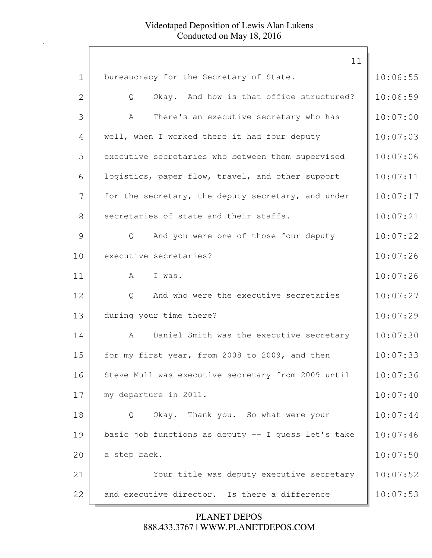|                | 11                                                  |          |
|----------------|-----------------------------------------------------|----------|
| $\mathbf{1}$   | bureaucracy for the Secretary of State.             | 10:06:55 |
| $\overline{2}$ | Okay. And how is that office structured?<br>Q       | 10:06:59 |
| 3              | There's an executive secretary who has --<br>A      | 10:07:00 |
| 4              | well, when I worked there it had four deputy        | 10:07:03 |
| 5              | executive secretaries who between them supervised   | 10:07:06 |
| 6              | logistics, paper flow, travel, and other support    | 10:07:11 |
| 7              | for the secretary, the deputy secretary, and under  | 10:07:17 |
| 8              | secretaries of state and their staffs.              | 10:07:21 |
| 9              | And you were one of those four deputy<br>Q          | 10:07:22 |
| 10             | executive secretaries?                              | 10:07:26 |
| 11             | I was.<br>$\mathbb A$                               | 10:07:26 |
| 12             | And who were the executive secretaries<br>Q         | 10:07:27 |
| 13             | during your time there?                             | 10:07:29 |
| 14             | Daniel Smith was the executive secretary<br>A       | 10:07:30 |
| 15             | for my first year, from 2008 to 2009, and then      | 10:07:33 |
| 16             | Steve Mull was executive secretary from 2009 until  | 10:07:36 |
| 17             | my departure in 2011.                               | 10:07:40 |
| 18             | Okay. Thank you. So what were your<br>Q             | 10:07:44 |
| 19             | basic job functions as deputy -- I guess let's take | 10:07:46 |
| 20             | a step back.                                        | 10:07:50 |
| 21             | Your title was deputy executive secretary           | 10:07:52 |
| 22             | and executive director. Is there a difference       | 10:07:53 |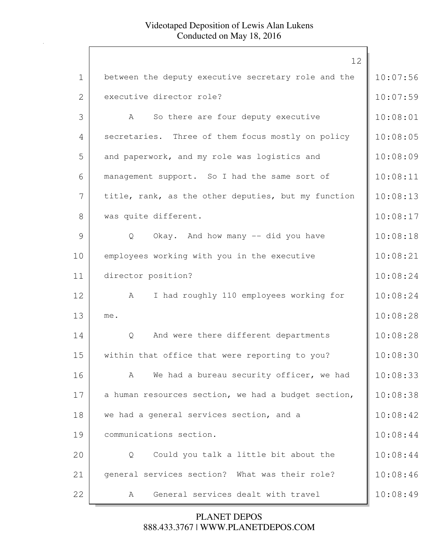|              | 12                                                  |          |
|--------------|-----------------------------------------------------|----------|
| $\mathbf 1$  | between the deputy executive secretary role and the | 10:07:56 |
| $\mathbf{2}$ | executive director role?                            | 10:07:59 |
| 3            | So there are four deputy executive<br>$\mathbb A$   | 10:08:01 |
| 4            | secretaries. Three of them focus mostly on policy   | 10:08:05 |
| 5            | and paperwork, and my role was logistics and        | 10:08:09 |
| 6            | management support. So I had the same sort of       | 10:08:11 |
| 7            | title, rank, as the other deputies, but my function | 10:08:13 |
| 8            | was quite different.                                | 10:08:17 |
| 9            | Okay. And how many -- did you have<br>Q             | 10:08:18 |
| 10           | employees working with you in the executive         | 10:08:21 |
| 11           | director position?                                  | 10:08:24 |
| 12           | I had roughly 110 employees working for<br>A        | 10:08:24 |
| 13           | me.                                                 | 10:08:28 |
| 14           | And were there different departments<br>Q           | 10:08:28 |
| 15           | within that office that were reporting to you?      | 10:08:30 |
| 16           | We had a bureau security officer, we had<br>A       | 10:08:33 |
| 17           | a human resources section, we had a budget section, | 10:08:38 |
| 18           | we had a general services section, and a            | 10:08:42 |
| 19           | communications section.                             | 10:08:44 |
| 20           | Could you talk a little bit about the<br>Q          | 10:08:44 |
| 21           | general services section? What was their role?      | 10:08:46 |
| 22           | General services dealt with travel<br>A             | 10:08:49 |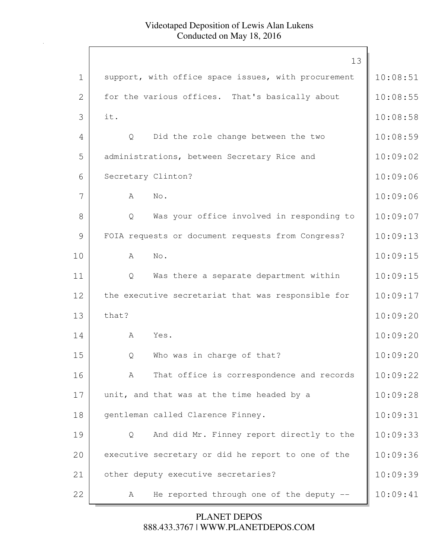|             | 13                                                  |          |
|-------------|-----------------------------------------------------|----------|
| $\mathbf 1$ | support, with office space issues, with procurement | 10:08:51 |
| 2           | for the various offices. That's basically about     | 10:08:55 |
| 3           | it.                                                 | 10:08:58 |
| 4           | Did the role change between the two<br>Q            | 10:08:59 |
| 5           | administrations, between Secretary Rice and         | 10:09:02 |
| 6           | Secretary Clinton?                                  | 10:09:06 |
| 7           | A<br>No.                                            | 10:09:06 |
| 8           | Was your office involved in responding to<br>Q      | 10:09:07 |
| 9           | FOIA requests or document requests from Congress?   | 10:09:13 |
| 10          | No.<br>A                                            | 10:09:15 |
| 11          | Was there a separate department within<br>Q         | 10:09:15 |
| 12          | the executive secretariat that was responsible for  | 10:09:17 |
| 13          | that?                                               | 10:09:20 |
| 14          | A<br>Yes.                                           | 10:09:20 |
| 15          | Who was in charge of that?<br>Q                     | 10:09:20 |
| 16          | That office is correspondence and records<br>A      | 10:09:22 |
| 17          | unit, and that was at the time headed by a          | 10:09:28 |
| 18          | gentleman called Clarence Finney.                   | 10:09:31 |
| 19          | And did Mr. Finney report directly to the<br>Q      | 10:09:33 |
| 20          | executive secretary or did he report to one of the  | 10:09:36 |
| 21          | other deputy executive secretaries?                 | 10:09:39 |
| 22          | He reported through one of the deputy --<br>A       | 10:09:41 |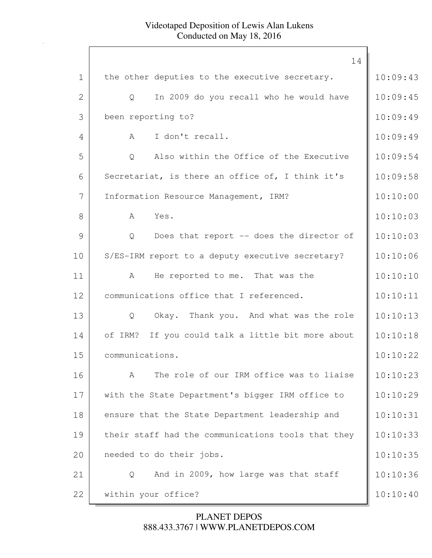|              | 14                                                   |          |
|--------------|------------------------------------------------------|----------|
| $\mathbf 1$  | the other deputies to the executive secretary.       | 10:09:43 |
| $\mathbf{2}$ | In 2009 do you recall who he would have<br>Q         | 10:09:45 |
| 3            | been reporting to?                                   | 10:09:49 |
| 4            | I don't recall.<br>A                                 | 10:09:49 |
| 5            | Also within the Office of the Executive<br>Q         | 10:09:54 |
| 6            | Secretariat, is there an office of, I think it's     | 10:09:58 |
| 7            | Information Resource Management, IRM?                | 10:10:00 |
| 8            | Yes.<br>A                                            | 10:10:03 |
| 9            | Does that report -- does the director of<br>Q        | 10:10:03 |
| 10           | S/ES-IRM report to a deputy executive secretary?     | 10:10:06 |
| 11           | He reported to me. That was the<br>A                 | 10:10:10 |
| 12           | communications office that I referenced.             | 10:10:11 |
| 13           | Okay. Thank you. And what was the role<br>Q          | 10:10:13 |
| 14           | of IRM?<br>If you could talk a little bit more about | 10:10:18 |
| 15           | communications.                                      | 10:10:22 |
| 16           | The role of our IRM office was to liaise<br>A        | 10:10:23 |
| 17           | with the State Department's bigger IRM office to     | 10:10:29 |
| 18           | ensure that the State Department leadership and      | 10:10:31 |
| 19           | their staff had the communications tools that they   | 10:10:33 |
| 20           | needed to do their jobs.                             | 10:10:35 |
| 21           | And in 2009, how large was that staff<br>Q           | 10:10:36 |
| 22           | within your office?                                  | 10:10:40 |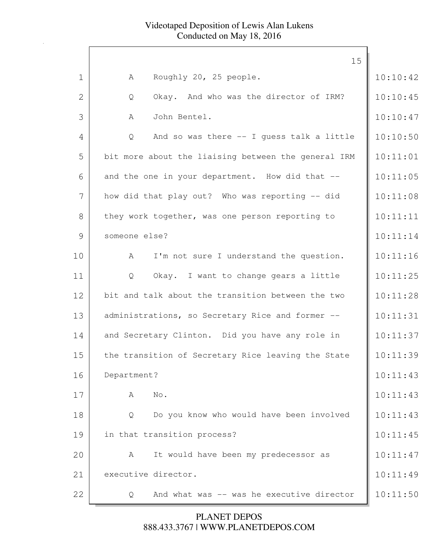|                | 15                                                  |          |
|----------------|-----------------------------------------------------|----------|
| $\mathbf 1$    | Roughly 20, 25 people.<br>A                         | 10:10:42 |
| $\overline{2}$ | Okay. And who was the director of IRM?<br>Q         | 10:10:45 |
| 3              | John Bentel.<br>A                                   | 10:10:47 |
| 4              | And so was there -- I guess talk a little<br>Q      | 10:10:50 |
| 5              | bit more about the liaising between the general IRM | 10:11:01 |
| 6              | and the one in your department. How did that --     | 10:11:05 |
| 7              | how did that play out? Who was reporting -- did     | 10:11:08 |
| 8              | they work together, was one person reporting to     | 10:11:11 |
| 9              | someone else?                                       | 10:11:14 |
| 10             | I'm not sure I understand the question.<br>A        | 10:11:16 |
| 11             | Okay. I want to change gears a little<br>Q          | 10:11:25 |
| 12             | bit and talk about the transition between the two   | 10:11:28 |
| 13             | administrations, so Secretary Rice and former --    | 10:11:31 |
| 14             | and Secretary Clinton. Did you have any role in     | 10:11:37 |
| 15             | the transition of Secretary Rice leaving the State  | 10:11:39 |
| 16             | Department?                                         | 10:11:43 |
| 17             | No.<br>А                                            | 10:11:43 |
| 18             | Do you know who would have been involved<br>Q       | 10:11:43 |
| 19             | in that transition process?                         | 10:11:45 |
| 20             | It would have been my predecessor as<br>A           | 10:11:47 |
| 21             | executive director.                                 | 10:11:49 |
| 22             | And what was -- was he executive director<br>Q      | 10:11:50 |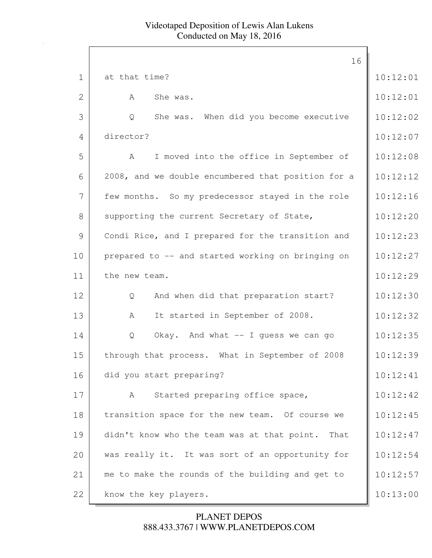|             | 16                                                  |          |
|-------------|-----------------------------------------------------|----------|
| $\mathbf 1$ | at that time?                                       | 10:12:01 |
| 2           | She was.<br>A                                       | 10:12:01 |
| 3           | She was. When did you become executive<br>Q         | 10:12:02 |
| 4           | director?                                           | 10:12:07 |
| 5           | I moved into the office in September of<br>A        | 10:12:08 |
| 6           | 2008, and we double encumbered that position for a  | 10:12:12 |
| 7           | few months. So my predecessor stayed in the role    | 10:12:16 |
| 8           | supporting the current Secretary of State,          | 10:12:20 |
| 9           | Condi Rice, and I prepared for the transition and   | 10:12:23 |
| 10          | prepared to -- and started working on bringing on   | 10:12:27 |
| 11          | the new team.                                       | 10:12:29 |
| 12          | And when did that preparation start?<br>Q           | 10:12:30 |
| 13          | It started in September of 2008.<br>A               | 10:12:32 |
| 14          | Okay. And what -- I guess we can go<br>Q            | 10:12:35 |
| 15          | through that process. What in September of 2008     | 10:12:39 |
| 16          | did you start preparing?                            | 10:12:41 |
| 17          | Started preparing office space,<br>A                | 10:12:42 |
| 18          | transition space for the new team. Of course we     | 10:12:45 |
| 19          | didn't know who the team was at that point.<br>That | 10:12:47 |
| 20          | was really it. It was sort of an opportunity for    | 10:12:54 |
| 21          | me to make the rounds of the building and get to    | 10:12:57 |
| 22          | know the key players.                               | 10:13:00 |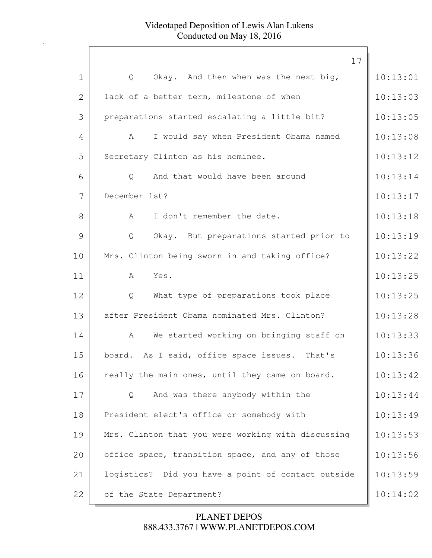|              | 17                                                 |          |
|--------------|----------------------------------------------------|----------|
| $\mathbf 1$  | Okay. And then when was the next big,<br>Q         | 10:13:01 |
| $\mathbf{2}$ | lack of a better term, milestone of when           | 10:13:03 |
| 3            | preparations started escalating a little bit?      | 10:13:05 |
| 4            | I would say when President Obama named<br>A        | 10:13:08 |
| 5            | Secretary Clinton as his nominee.                  | 10:13:12 |
| 6            | And that would have been around<br>Q               | 10:13:14 |
| 7            | December 1st?                                      | 10:13:17 |
| 8            | I don't remember the date.<br>A                    | 10:13:18 |
| 9            | Okay. But preparations started prior to<br>Q       | 10:13:19 |
| 10           | Mrs. Clinton being sworn in and taking office?     | 10:13:22 |
| 11           | Yes.<br>A                                          | 10:13:25 |
| 12           | What type of preparations took place<br>Q          | 10:13:25 |
| 13           | after President Obama nominated Mrs. Clinton?      | 10:13:28 |
| 14           | We started working on bringing staff on<br>A       | 10:13:33 |
| 15           | board. As I said, office space issues.<br>That's   | 10:13:36 |
| 16           | really the main ones, until they came on board.    | 10:13:42 |
| 17           | And was there anybody within the<br>Q              | 10:13:44 |
| 18           | President-elect's office or somebody with          | 10:13:49 |
| 19           | Mrs. Clinton that you were working with discussing | 10:13:53 |
| 20           | office space, transition space, and any of those   | 10:13:56 |
| 21           | logistics? Did you have a point of contact outside | 10:13:59 |
| 22           | of the State Department?                           | 10:14:02 |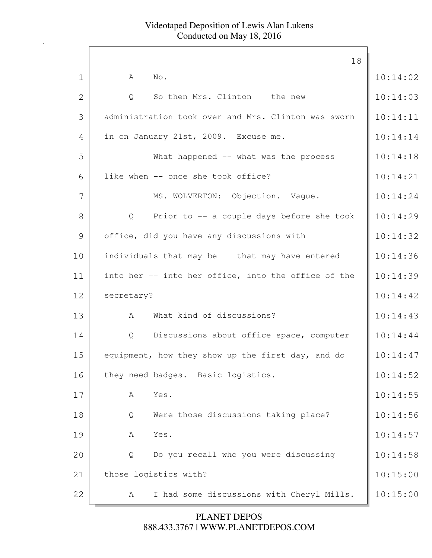|              | 18                                                             |          |
|--------------|----------------------------------------------------------------|----------|
| $\mathbf{1}$ | No.<br>A                                                       | 10:14:02 |
| 2            | So then Mrs. Clinton -- the new<br>Q                           | 10:14:03 |
| 3            | administration took over and Mrs. Clinton was sworn            | 10:14:11 |
| 4            | in on January 21st, 2009. Excuse me.                           | 10:14:14 |
| 5            | What happened -- what was the process                          | 10:14:18 |
| 6            | like when -- once she took office?                             | 10:14:21 |
| 7            | MS. WOLVERTON: Objection. Vaque.                               | 10:14:24 |
| 8            | Prior to -- a couple days before she took<br>$Q \qquad \qquad$ | 10:14:29 |
| 9            | office, did you have any discussions with                      | 10:14:32 |
| 10           | individuals that may be -- that may have entered               | 10:14:36 |
| 11           | into her -- into her office, into the office of the            | 10:14:39 |
| 12           | secretary?                                                     | 10:14:42 |
| 13           | What kind of discussions?<br>A                                 | 10:14:43 |
| 14           | Discussions about office space, computer<br>$Q \qquad \qquad$  | 10:14:44 |
| 15           | equipment, how they show up the first day, and do              | 10:14:47 |
| 16           | they need badges. Basic logistics.                             | 10:14:52 |
| 17           | Yes.<br>A                                                      | 10:14:55 |
| 18           | Were those discussions taking place?<br>Q                      | 10:14:56 |
| 19           | Yes.<br>Α                                                      | 10:14:57 |
| 20           | Do you recall who you were discussing<br>Q                     | 10:14:58 |
| 21           | those logistics with?                                          | 10:15:00 |
| 22           | I had some discussions with Cheryl Mills.<br>А                 | 10:15:00 |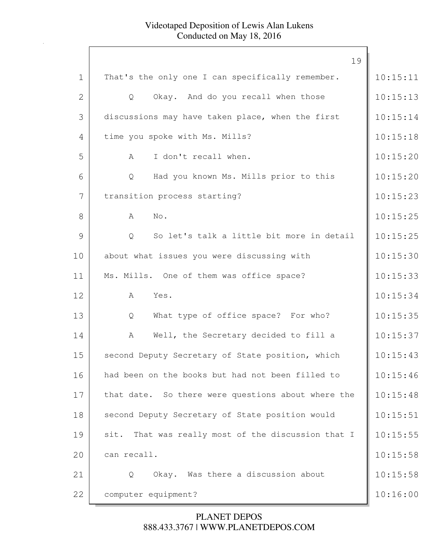|              | 19                                                 |          |
|--------------|----------------------------------------------------|----------|
| $\mathbf{1}$ | That's the only one I can specifically remember.   | 10:15:11 |
| $\mathbf{2}$ | $\mathsf{Q}$<br>Okay. And do you recall when those | 10:15:13 |
| 3            | discussions may have taken place, when the first   | 10:15:14 |
| 4            | time you spoke with Ms. Mills?                     | 10:15:18 |
| 5            | I don't recall when.<br>A                          | 10:15:20 |
| 6            | Had you known Ms. Mills prior to this<br>Q         | 10:15:20 |
| 7            | transition process starting?                       | 10:15:23 |
| 8            | No.<br>A                                           | 10:15:25 |
| 9            | So let's talk a little bit more in detail<br>Q     | 10:15:25 |
| 10           | about what issues you were discussing with         | 10:15:30 |
| 11           | Ms. Mills. One of them was office space?           | 10:15:33 |
| 12           | Yes.<br>A                                          | 10:15:34 |
| 13           | What type of office space? For who?<br>Q           | 10:15:35 |
| 14           | Well, the Secretary decided to fill a<br>A         | 10:15:37 |
| 15           | second Deputy Secretary of State position, which   | 10:15:43 |
| 16           | had been on the books but had not been filled to   | 10:15:46 |
| 17           | that date. So there were questions about where the | 10:15:48 |
| 18           | second Deputy Secretary of State position would    | 10:15:51 |
| 19           | sit. That was really most of the discussion that I | 10:15:55 |
| 20           | can recall.                                        | 10:15:58 |
| 21           | Okay. Was there a discussion about<br>Q            | 10:15:58 |
| 22           | computer equipment?                                | 10:16:00 |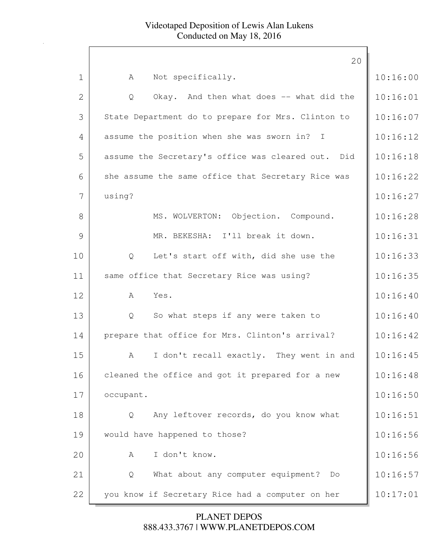|              | 20                                                 |          |
|--------------|----------------------------------------------------|----------|
| $\mathbf 1$  | Not specifically.<br>A                             | 10:16:00 |
| $\mathbf{2}$ | Okay. And then what does -- what did the<br>Q      | 10:16:01 |
| 3            | State Department do to prepare for Mrs. Clinton to | 10:16:07 |
| 4            | assume the position when she was sworn in? I       | 10:16:12 |
| 5            | assume the Secretary's office was cleared out. Did | 10:16:18 |
| 6            | she assume the same office that Secretary Rice was | 10:16:22 |
| 7            | using?                                             | 10:16:27 |
| 8            | MS. WOLVERTON: Objection. Compound.                | 10:16:28 |
| 9            | MR. BEKESHA: I'll break it down.                   | 10:16:31 |
| 10           | Let's start off with, did she use the<br>Q         | 10:16:33 |
| 11           | same office that Secretary Rice was using?         | 10:16:35 |
| 12           | A<br>Yes.                                          | 10:16:40 |
| 13           | So what steps if any were taken to<br>Q            | 10:16:40 |
| 14           | prepare that office for Mrs. Clinton's arrival?    | 10:16:42 |
| 15           | They went in and<br>I don't recall exactly.<br>A   | 10:16:45 |
| 16           | cleaned the office and got it prepared for a new   | 10:16:48 |
| 17           | occupant.                                          | 10:16:50 |
| 18           | Any leftover records, do you know what<br>Q        | 10:16:51 |
| 19           | would have happened to those?                      | 10:16:56 |
| 20           | I don't know.<br>A                                 | 10:16:56 |
| 21           | What about any computer equipment? Do<br>Q         | 10:16:57 |
| 22           | you know if Secretary Rice had a computer on her   | 10:17:01 |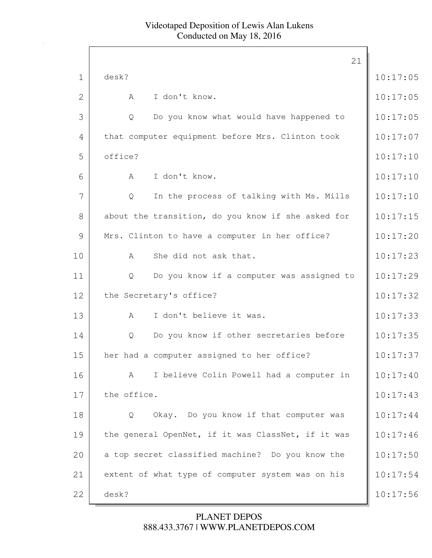|                |             |                                                    | 21 |          |
|----------------|-------------|----------------------------------------------------|----|----------|
| $\mathbf 1$    | desk?       |                                                    |    | 10:17:05 |
| $\overline{2}$ | A           | I don't know.                                      |    | 10:17:05 |
| 3              | Q           | Do you know what would have happened to            |    | 10:17:05 |
| 4              |             | that computer equipment before Mrs. Clinton took   |    | 10:17:07 |
| 5              | office?     |                                                    |    | 10:17:10 |
| 6              | A           | I don't know.                                      |    | 10:17:10 |
| 7              | Q           | In the process of talking with Ms. Mills           |    | 10:17:10 |
| 8              |             | about the transition, do you know if she asked for |    | 10:17:15 |
| 9              |             | Mrs. Clinton to have a computer in her office?     |    | 10:17:20 |
| 10             | A           | She did not ask that.                              |    | 10:17:23 |
| 11             | Q           | Do you know if a computer was assigned to          |    | 10:17:29 |
| 12             |             | the Secretary's office?                            |    | 10:17:32 |
| 13             | $\mathbb A$ | I don't believe it was.                            |    | 10:17:33 |
| 14             | Q           | Do you know if other secretaries before            |    | 10:17:35 |
| 15             |             | her had a computer assigned to her office?         |    | 10:17:37 |
| 16             | A           | I believe Colin Powell had a computer in           |    | 10:17:40 |
| 17             | the office. |                                                    |    | 10:17:43 |
| 18             | Q           | Okay. Do you know if that computer was             |    | 10:17:44 |
| 19             |             | the general OpenNet, if it was ClassNet, if it was |    | 10:17:46 |
| 20             |             | a top secret classified machine? Do you know the   |    | 10:17:50 |
| 21             |             | extent of what type of computer system was on his  |    | 10:17:54 |
| 22             | desk?       |                                                    |    | 10:17:56 |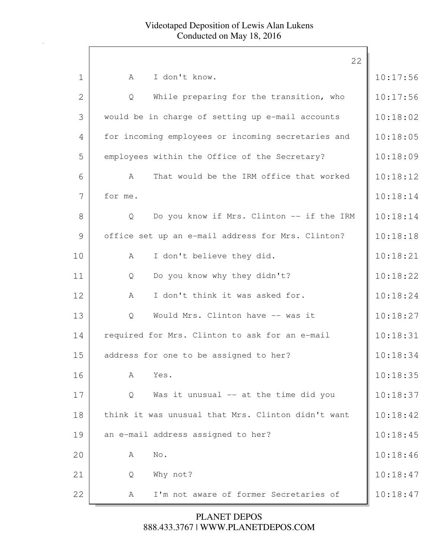|              | 22                                                 |          |
|--------------|----------------------------------------------------|----------|
| $\mathbf 1$  | I don't know.<br>$\mathbb A$                       | 10:17:56 |
| $\mathbf{2}$ | While preparing for the transition, who<br>Q       | 10:17:56 |
|              |                                                    |          |
| 3            | would be in charge of setting up e-mail accounts   | 10:18:02 |
| 4            | for incoming employees or incoming secretaries and | 10:18:05 |
| 5            | employees within the Office of the Secretary?      | 10:18:09 |
| 6            | That would be the IRM office that worked<br>A      | 10:18:12 |
| 7            | for me.                                            | 10:18:14 |
| 8            | Do you know if Mrs. Clinton -- if the IRM<br>Q     | 10:18:14 |
| 9            | office set up an e-mail address for Mrs. Clinton?  | 10:18:18 |
| 10           | I don't believe they did.<br>A                     | 10:18:21 |
| 11           | Do you know why they didn't?<br>Q                  | 10:18:22 |
| 12           | I don't think it was asked for.<br>A               | 10:18:24 |
| 13           | Would Mrs. Clinton have -- was it<br>Q             | 10:18:27 |
| 14           | required for Mrs. Clinton to ask for an e-mail     | 10:18:31 |
| 15           | address for one to be assigned to her?             | 10:18:34 |
| 16           | Yes.<br>А                                          | 10:18:35 |
| 17           | Was it unusual -- at the time did you<br>Q         | 10:18:37 |
| 18           | think it was unusual that Mrs. Clinton didn't want | 10:18:42 |
| 19           | an e-mail address assigned to her?                 | 10:18:45 |
| 20           | No.<br>A                                           | 10:18:46 |
| 21           | Why not?<br>Q                                      | 10:18:47 |
| 22           | I'm not aware of former Secretaries of<br>A        | 10:18:47 |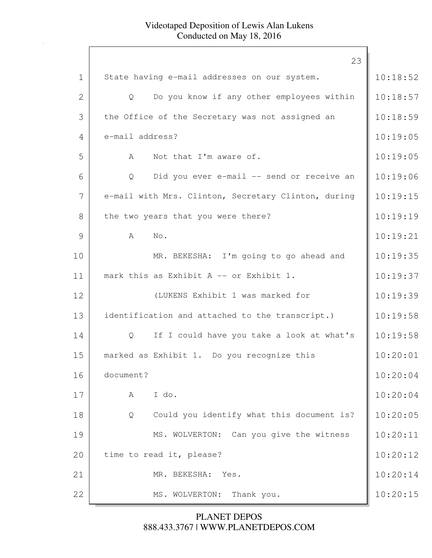|              | 23                                                  |          |
|--------------|-----------------------------------------------------|----------|
| $\mathbf 1$  | State having e-mail addresses on our system.        | 10:18:52 |
| $\mathbf{2}$ | Do you know if any other employees within<br>Q      | 10:18:57 |
| 3            | the Office of the Secretary was not assigned an     | 10:18:59 |
| 4            | e-mail address?                                     | 10:19:05 |
| 5            | Not that I'm aware of.<br>A                         | 10:19:05 |
| 6            | Did you ever e-mail -- send or receive an<br>Q      | 10:19:06 |
| 7            | e-mail with Mrs. Clinton, Secretary Clinton, during | 10:19:15 |
| 8            | the two years that you were there?                  | 10:19:19 |
| 9            | No.<br>A                                            | 10:19:21 |
| 10           | MR. BEKESHA: I'm going to go ahead and              | 10:19:35 |
| 11           | mark this as Exhibit A -- or Exhibit 1.             | 10:19:37 |
| 12           | (LUKENS Exhibit 1 was marked for                    | 10:19:39 |
| 13           | identification and attached to the transcript.)     | 10:19:58 |
| 14           | If I could have you take a look at what's<br>Q      | 10:19:58 |
| 15           | marked as Exhibit 1. Do you recognize this          | 10:20:01 |
| 16           | document?                                           | 10:20:04 |
| 17           | I do.<br>A                                          | 10:20:04 |
| 18           | Could you identify what this document is?<br>Q      | 10:20:05 |
| 19           | MS. WOLVERTON: Can you give the witness             | 10:20:11 |
| 20           | time to read it, please?                            | 10:20:12 |
| 21           | MR. BEKESHA:<br>Yes.                                | 10:20:14 |
| 22           | Thank you.<br>MS. WOLVERTON:                        | 10:20:15 |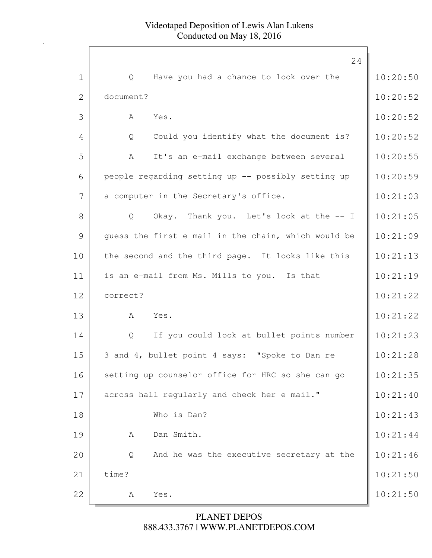|                | 24                                                  |          |
|----------------|-----------------------------------------------------|----------|
| $\mathbf 1$    | Have you had a chance to look over the<br>Q         | 10:20:50 |
| $\overline{2}$ | document?                                           | 10:20:52 |
| 3              | A<br>Yes.                                           | 10:20:52 |
| 4              | Could you identify what the document is?<br>Q       | 10:20:52 |
| 5              | It's an e-mail exchange between several<br>A        | 10:20:55 |
| 6              | people regarding setting up -- possibly setting up  | 10:20:59 |
| 7              | a computer in the Secretary's office.               | 10:21:03 |
| 8              | Okay. Thank you. Let's look at the -- I<br>Q        | 10:21:05 |
| 9              | quess the first e-mail in the chain, which would be | 10:21:09 |
| 10             | the second and the third page. It looks like this   | 10:21:13 |
| 11             | is an e-mail from Ms. Mills to you. Is that         | 10:21:19 |
| 12             | correct?                                            | 10:21:22 |
| 13             | A<br>Yes.                                           | 10:21:22 |
| 14             | If you could look at bullet points number<br>Q      | 10:21:23 |
| 15             | 3 and 4, bullet point 4 says: "Spoke to Dan re      | 10:21:28 |
| 16             | setting up counselor office for HRC so she can go   | 10:21:35 |
| 17             | across hall regularly and check her e-mail."        | 10:21:40 |
| 18             | Who is Dan?                                         | 10:21:43 |
| 19             | Dan Smith.<br>А                                     | 10:21:44 |
| 20             | And he was the executive secretary at the<br>Q      | 10:21:46 |
| 21             | time?                                               | 10:21:50 |
| 22             | Yes.<br>А                                           | 10:21:50 |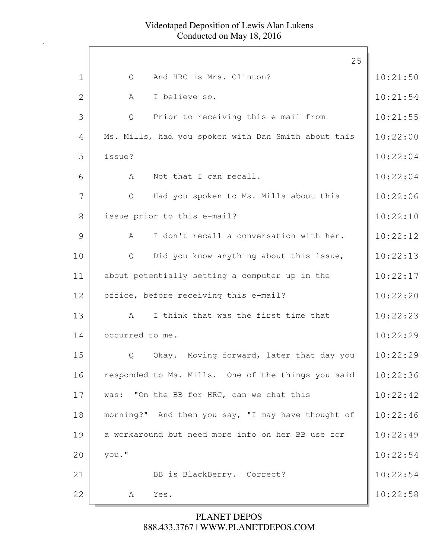|                |                 |                                                     | 25 |          |
|----------------|-----------------|-----------------------------------------------------|----|----------|
| $\mathbf 1$    | Q               | And HRC is Mrs. Clinton?                            |    | 10:21:50 |
| $\overline{2}$ | A               | I believe so.                                       |    | 10:21:54 |
| 3              | Q               | Prior to receiving this e-mail from                 |    | 10:21:55 |
| 4              |                 | Ms. Mills, had you spoken with Dan Smith about this |    | 10:22:00 |
| 5              | issue?          |                                                     |    | 10:22:04 |
| 6              | A               | Not that I can recall.                              |    | 10:22:04 |
| 7              | $\mathsf{Q}$    | Had you spoken to Ms. Mills about this              |    | 10:22:06 |
| 8              |                 | issue prior to this e-mail?                         |    | 10:22:10 |
| 9              | A               | I don't recall a conversation with her.             |    | 10:22:12 |
| 10             | Q               | Did you know anything about this issue,             |    | 10:22:13 |
| 11             |                 | about potentially setting a computer up in the      |    | 10:22:17 |
| 12             |                 | office, before receiving this e-mail?               |    | 10:22:20 |
| 13             | A               | I think that was the first time that                |    | 10:22:23 |
| 14             | occurred to me. |                                                     |    | 10:22:29 |
| 15             | Q               | Okay. Moving forward, later that day you            |    | 10:22:29 |
| 16             |                 | responded to Ms. Mills. One of the things you said  |    | 10:22:36 |
| 17             | was:            | "On the BB for HRC, can we chat this                |    | 10:22:42 |
| 18             |                 | morning?" And then you say, "I may have thought of  |    | 10:22:46 |
| 19             |                 | a workaround but need more info on her BB use for   |    | 10:22:49 |
| 20             | you."           |                                                     |    | 10:22:54 |
| 21             |                 | BB is BlackBerry. Correct?                          |    | 10:22:54 |
| 22             | A               | Yes.                                                |    | 10:22:58 |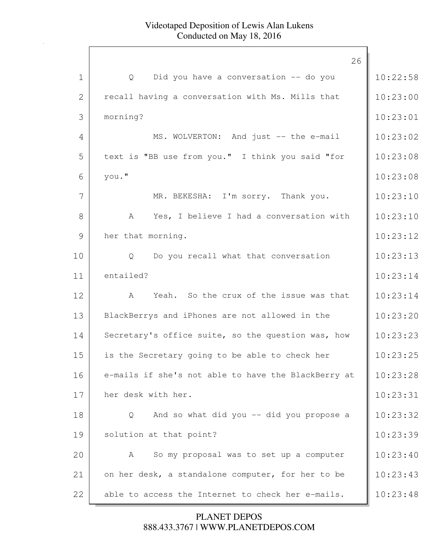|                | 26                                                  |          |
|----------------|-----------------------------------------------------|----------|
| $\mathbf 1$    | Did you have a conversation -- do you<br>Q          | 10:22:58 |
| $\overline{2}$ | recall having a conversation with Ms. Mills that    | 10:23:00 |
| 3              | morning?                                            | 10:23:01 |
| 4              | MS. WOLVERTON: And just -- the e-mail               | 10:23:02 |
| 5              | text is "BB use from you." I think you said "for    | 10:23:08 |
| 6              | you."                                               | 10:23:08 |
| 7              | MR. BEKESHA: I'm sorry. Thank you.                  | 10:23:10 |
| 8              | Yes, I believe I had a conversation with<br>A       | 10:23:10 |
| 9              | her that morning.                                   | 10:23:12 |
| 10             | Q Do you recall what that conversation              | 10:23:13 |
| 11             | entailed?                                           | 10:23:14 |
| 12             | Yeah. So the crux of the issue was that<br>A        | 10:23:14 |
| 13             | BlackBerrys and iPhones are not allowed in the      | 10:23:20 |
| 14             | Secretary's office suite, so the question was, how  | 10:23:23 |
| 15             | is the Secretary going to be able to check her      | 10:23:25 |
| 16             | e-mails if she's not able to have the BlackBerry at | 10:23:28 |
| 17             | her desk with her.                                  | 10:23:31 |
| 18             | And so what did you -- did you propose a<br>Q       | 10:23:32 |
| 19             | solution at that point?                             | 10:23:39 |
| 20             | So my proposal was to set up a computer<br>A        | 10:23:40 |
| 21             | on her desk, a standalone computer, for her to be   | 10:23:43 |
| 22             | able to access the Internet to check her e-mails.   | 10:23:48 |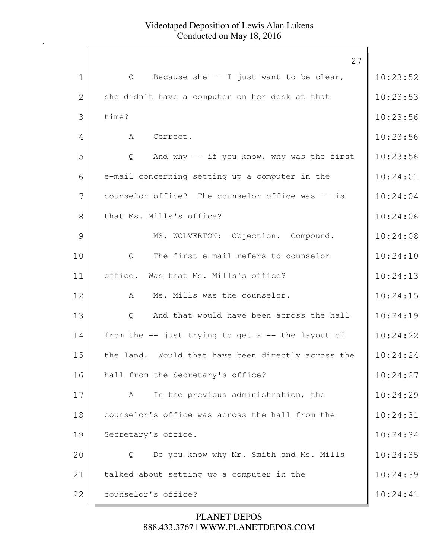|              | 27                                                  |          |
|--------------|-----------------------------------------------------|----------|
| $\mathbf 1$  | Because she $-$ I just want to be clear,<br>Q       | 10:23:52 |
| $\mathbf{2}$ | she didn't have a computer on her desk at that      | 10:23:53 |
| 3            | time?                                               | 10:23:56 |
| 4            | Correct.<br>A                                       | 10:23:56 |
| 5            | And why $-$ if you know, why was the first<br>Q     | 10:23:56 |
| 6            | e-mail concerning setting up a computer in the      | 10:24:01 |
| 7            | counselor office? The counselor office was -- is    | 10:24:04 |
| 8            | that Ms. Mills's office?                            | 10:24:06 |
| 9            | MS. WOLVERTON: Objection. Compound.                 | 10:24:08 |
| 10           | The first e-mail refers to counselor<br>Q           | 10:24:10 |
| 11           | Was that Ms. Mills's office?<br>office.             | 10:24:13 |
| 12           | Ms. Mills was the counselor.<br>A                   | 10:24:15 |
| 13           | And that would have been across the hall<br>Q       | 10:24:19 |
| 14           | from the $-$ just trying to get a $-$ the layout of | 10:24:22 |
| 15           | the land. Would that have been directly across the  | 10:24:24 |
| 16           | hall from the Secretary's office?                   | 10:24:27 |
| 17           | In the previous administration, the<br>A            | 10:24:29 |
| 18           | counselor's office was across the hall from the     | 10:24:31 |
| 19           | Secretary's office.                                 | 10:24:34 |
| 20           | Do you know why Mr. Smith and Ms. Mills<br>Q        | 10:24:35 |
| 21           | talked about setting up a computer in the           | 10:24:39 |
| 22           | counselor's office?                                 | 10:24:41 |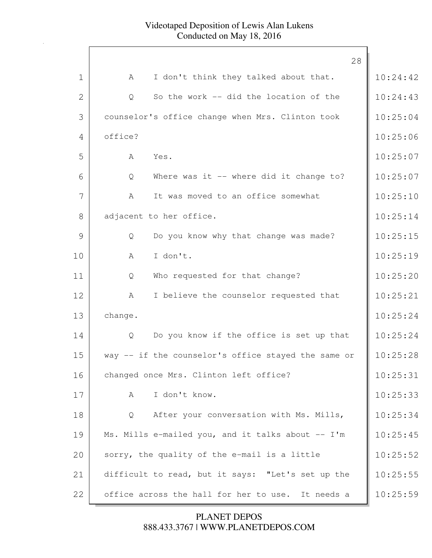|                | 28                                                  |          |
|----------------|-----------------------------------------------------|----------|
| $\mathbf 1$    | I don't think they talked about that.<br>A          | 10:24:42 |
| $\overline{2}$ | So the work -- did the location of the<br>Q         | 10:24:43 |
| 3              | counselor's office change when Mrs. Clinton took    | 10:25:04 |
| 4              | office?                                             | 10:25:06 |
| 5              | Yes.<br>A                                           | 10:25:07 |
| 6              | Where was it -- where did it change to?<br>Q        | 10:25:07 |
| 7              | It was moved to an office somewhat<br>A             | 10:25:10 |
| 8              | adjacent to her office.                             | 10:25:14 |
| 9              | Do you know why that change was made?<br>Q          | 10:25:15 |
| 10             | I don't.<br>A                                       | 10:25:19 |
|                |                                                     |          |
| 11             | Who requested for that change?<br>Q                 | 10:25:20 |
| 12             | I believe the counselor requested that<br>A         | 10:25:21 |
| 13             | change.                                             | 10:25:24 |
| 14             | Do you know if the office is set up that<br>Q       | 10:25:24 |
| 15             | way -- if the counselor's office stayed the same or | 10:25:28 |
| 16             | changed once Mrs. Clinton left office?              | 10:25:31 |
| 17             | I don't know.<br>A                                  | 10:25:33 |
| 18             | After your conversation with Ms. Mills,<br>Q        | 10:25:34 |
| 19             | Ms. Mills e-mailed you, and it talks about -- I'm   | 10:25:45 |
| 20             | sorry, the quality of the e-mail is a little        | 10:25:52 |
| 21             | difficult to read, but it says: "Let's set up the   | 10:25:55 |
| 22             | office across the hall for her to use. It needs a   | 10:25:59 |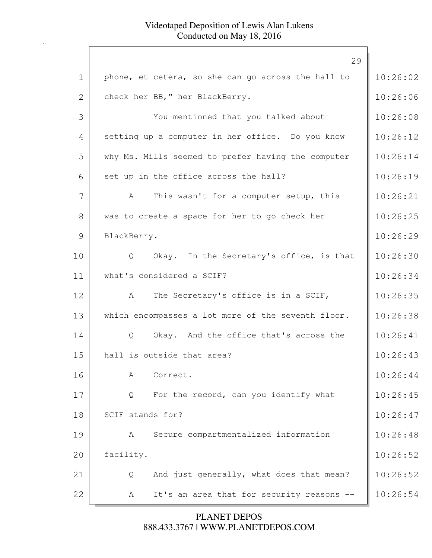|             | 29                                                 |          |
|-------------|----------------------------------------------------|----------|
| $\mathbf 1$ | phone, et cetera, so she can go across the hall to | 10:26:02 |
| 2           | check her BB, " her BlackBerry.                    | 10:26:06 |
| 3           | You mentioned that you talked about                | 10:26:08 |
| 4           | setting up a computer in her office. Do you know   | 10:26:12 |
| 5           | why Ms. Mills seemed to prefer having the computer | 10:26:14 |
| 6           | set up in the office across the hall?              | 10:26:19 |
| 7           | This wasn't for a computer setup, this<br>A        | 10:26:21 |
| 8           | was to create a space for her to go check her      | 10:26:25 |
| 9           | BlackBerry.                                        | 10:26:29 |
| 10          | Okay. In the Secretary's office, is that<br>Q      | 10:26:30 |
| 11          | what's considered a SCIF?                          | 10:26:34 |
| 12          | The Secretary's office is in a SCIF,<br>A          | 10:26:35 |
| 13          | which encompasses a lot more of the seventh floor. | 10:26:38 |
| 14          | Okay. And the office that's across the<br>Q        | 10:26:41 |
| 15          | hall is outside that area?                         | 10:26:43 |
| 16          | Correct.<br>А                                      | 10:26:44 |
| 17          | For the record, can you identify what<br>Q         | 10:26:45 |
| 18          | SCIF stands for?                                   | 10:26:47 |
| 19          | Secure compartmentalized information<br>A          | 10:26:48 |
| 20          | facility.                                          | 10:26:52 |
| 21          | And just generally, what does that mean?<br>Q      | 10:26:52 |
| 22          | It's an area that for security reasons --<br>A     | 10:26:54 |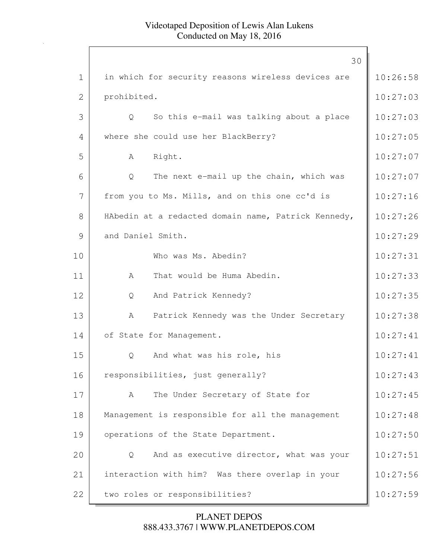|              | 30                                                  |          |
|--------------|-----------------------------------------------------|----------|
| $\mathbf 1$  | in which for security reasons wireless devices are  | 10:26:58 |
| $\mathbf{2}$ | prohibited.                                         | 10:27:03 |
| 3            | So this e-mail was talking about a place<br>Q       | 10:27:03 |
| 4            | where she could use her BlackBerry?                 | 10:27:05 |
| 5            | Right.<br>A                                         | 10:27:07 |
| 6            | The next e-mail up the chain, which was<br>Q        | 10:27:07 |
| 7            | from you to Ms. Mills, and on this one cc'd is      | 10:27:16 |
| 8            | HAbedin at a redacted domain name, Patrick Kennedy, | 10:27:26 |
| 9            | and Daniel Smith.                                   | 10:27:29 |
| 10           | Who was Ms. Abedin?                                 | 10:27:31 |
| 11           | That would be Huma Abedin.<br>A                     | 10:27:33 |
| 12           | And Patrick Kennedy?<br>Q                           | 10:27:35 |
| 13           | Patrick Kennedy was the Under Secretary<br>A        | 10:27:38 |
| 14           | of State for Management.                            | 10:27:41 |
| 15           | And what was his role, his<br>Q                     | 10:27:41 |
| 16           | responsibilities, just generally?                   | 10:27:43 |
| 17           | The Under Secretary of State for<br>A               | 10:27:45 |
| 18           | Management is responsible for all the management    | 10:27:48 |
| 19           | operations of the State Department.                 | 10:27:50 |
| 20           | And as executive director, what was your<br>Q       | 10:27:51 |
| 21           | interaction with him? Was there overlap in your     | 10:27:56 |
| 22           | two roles or responsibilities?                      | 10:27:59 |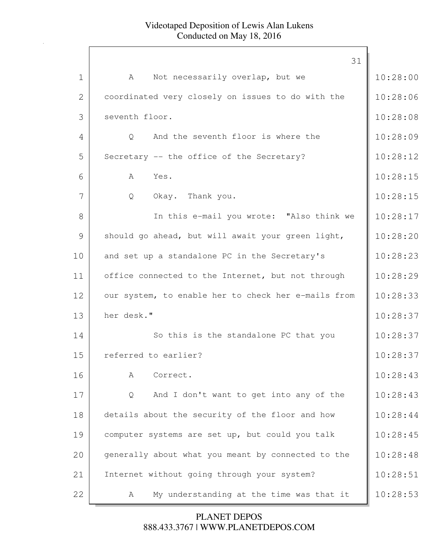|              | 31                                                  |          |
|--------------|-----------------------------------------------------|----------|
| $\mathbf 1$  | Not necessarily overlap, but we<br>A                | 10:28:00 |
| $\mathbf{2}$ | coordinated very closely on issues to do with the   | 10:28:06 |
| 3            | seventh floor.                                      | 10:28:08 |
| 4            | And the seventh floor is where the<br>Q             | 10:28:09 |
| 5            | Secretary -- the office of the Secretary?           | 10:28:12 |
| 6            | A<br>Yes.                                           | 10:28:15 |
| 7            | Okay. Thank you.<br>Q                               | 10:28:15 |
| 8            | In this e-mail you wrote: "Also think we            | 10:28:17 |
| 9            | should go ahead, but will await your green light,   | 10:28:20 |
| 10           | and set up a standalone PC in the Secretary's       | 10:28:23 |
| 11           | office connected to the Internet, but not through   | 10:28:29 |
| 12           | our system, to enable her to check her e-mails from | 10:28:33 |
| 13           | her desk."                                          | 10:28:37 |
| 14           | So this is the standalone PC that you               | 10:28:37 |
| 15           | referred to earlier?                                | 10:28:37 |
| 16           | Correct.<br>A                                       | 10:28:43 |
| 17           | And I don't want to get into any of the<br>Q        | 10:28:43 |
| 18           | details about the security of the floor and how     | 10:28:44 |
| 19           | computer systems are set up, but could you talk     | 10:28:45 |
| 20           | generally about what you meant by connected to the  | 10:28:48 |
| 21           | Internet without going through your system?         | 10:28:51 |
| 22           | My understanding at the time was that it<br>A       | 10:28:53 |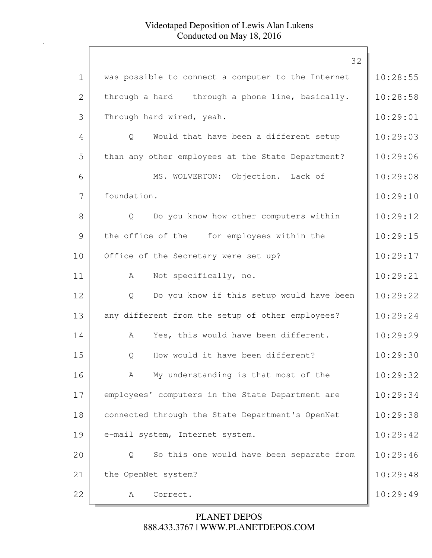|                | 32                                                 |          |
|----------------|----------------------------------------------------|----------|
| $\mathbf 1$    | was possible to connect a computer to the Internet | 10:28:55 |
| $\overline{2}$ | through a hard -- through a phone line, basically. | 10:28:58 |
| 3              | Through hard-wired, yeah.                          | 10:29:01 |
| 4              | Would that have been a different setup<br>Q        | 10:29:03 |
| 5              | than any other employees at the State Department?  | 10:29:06 |
| 6              | MS. WOLVERTON: Objection. Lack of                  | 10:29:08 |
| 7              | foundation.                                        | 10:29:10 |
| 8              | Do you know how other computers within<br>Q        | 10:29:12 |
| 9              | the office of the -- for employees within the      | 10:29:15 |
| 10             | Office of the Secretary were set up?               | 10:29:17 |
| 11             | Not specifically, no.<br>A                         | 10:29:21 |
| 12             | Do you know if this setup would have been<br>Q     | 10:29:22 |
| 13             | any different from the setup of other employees?   | 10:29:24 |
| 14             | Yes, this would have been different.<br>A          | 10:29:29 |
| 15             | How would it have been different?<br>Q             | 10:29:30 |
| 16             | My understanding is that most of the<br>A          | 10:29:32 |
| 17             | employees' computers in the State Department are   | 10:29:34 |
| 18             | connected through the State Department's OpenNet   | 10:29:38 |
| 19             | e-mail system, Internet system.                    | 10:29:42 |
| 20             | So this one would have been separate from<br>Q     | 10:29:46 |
| 21             | the OpenNet system?                                | 10:29:48 |
| 22             | Correct.<br>A                                      | 10:29:49 |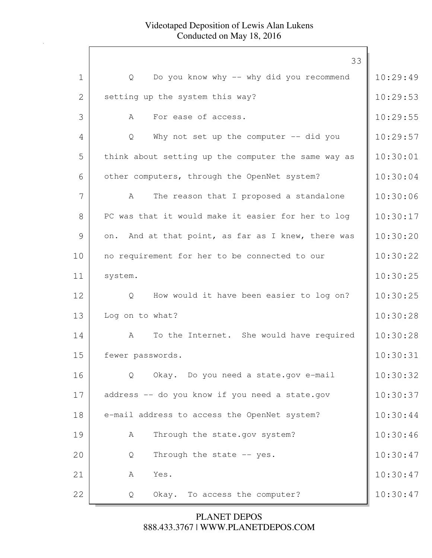|              | 33                                                      |          |
|--------------|---------------------------------------------------------|----------|
| $\mathbf 1$  | Do you know why -- why did you recommend<br>Q           | 10:29:49 |
| $\mathbf{2}$ | setting up the system this way?                         | 10:29:53 |
| 3            | For ease of access.<br>A                                | 10:29:55 |
| 4            | Why not set up the computer $-$ did you<br>Q            | 10:29:57 |
| 5            | think about setting up the computer the same way as     | 10:30:01 |
| 6            | other computers, through the OpenNet system?            | 10:30:04 |
| 7            | The reason that I proposed a standalone<br>$\mathbb A$  | 10:30:06 |
| 8            | PC was that it would make it easier for her to log      | 10:30:17 |
| 9            | on. And at that point, as far as I knew, there was      | 10:30:20 |
| 10           | no requirement for her to be connected to our           | 10:30:22 |
| 11           | system.                                                 | 10:30:25 |
| 12           | How would it have been easier to log on?<br>Q           | 10:30:25 |
| 13           | Log on to what?                                         | 10:30:28 |
| 14           | To the Internet. She would have required<br>$\mathbb A$ | 10:30:28 |
| 15           | fewer passwords.                                        | 10:30:31 |
| 16           | Okay. Do you need a state.gov e-mail<br>$Q_{\cdot}$     | 10:30:32 |
| 17           | address -- do you know if you need a state.gov          | 10:30:37 |
| 18           | e-mail address to access the OpenNet system?            | 10:30:44 |
| 19           | Through the state.gov system?<br>A                      | 10:30:46 |
| 20           | Through the state -- yes.<br>Q                          | 10:30:47 |
| 21           | Yes.<br>A                                               | 10:30:47 |
| 22           | Okay. To access the computer?<br>Q                      | 10:30:47 |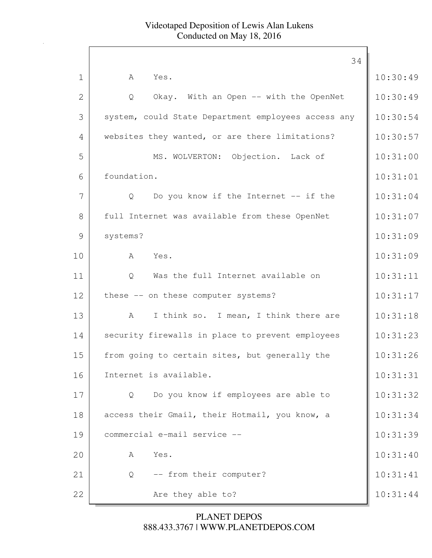|              | 34                                                  |          |
|--------------|-----------------------------------------------------|----------|
| $\mathbf 1$  | A<br>Yes.                                           | 10:30:49 |
| $\mathbf{2}$ | Okay. With an Open -- with the OpenNet<br>Q         | 10:30:49 |
| 3            | system, could State Department employees access any | 10:30:54 |
| 4            | websites they wanted, or are there limitations?     | 10:30:57 |
| 5            | MS. WOLVERTON: Objection. Lack of                   | 10:31:00 |
| 6            | foundation.                                         | 10:31:01 |
| 7            | Do you know if the Internet -- if the<br>Q          | 10:31:04 |
| 8            | full Internet was available from these OpenNet      | 10:31:07 |
| 9            | systems?                                            | 10:31:09 |
| 10           | A<br>Yes.                                           | 10:31:09 |
| 11           | Was the full Internet available on<br>Q             | 10:31:11 |
| 12           | these -- on these computer systems?                 | 10:31:17 |
| 13           | I think so. I mean, I think there are<br>A          | 10:31:18 |
| 14           | security firewalls in place to prevent employees    | 10:31:23 |
| 15           | from going to certain sites, but generally the      | 10:31:26 |
| 16           | Internet is available.                              | 10:31:31 |
| 17           | Do you know if employees are able to<br>Q           | 10:31:32 |
| 18           | access their Gmail, their Hotmail, you know, a      | 10:31:34 |
| 19           | commercial e-mail service --                        | 10:31:39 |
| 20           | Yes.<br>А                                           | 10:31:40 |
| 21           | -- from their computer?<br>Q                        | 10:31:41 |
| 22           | Are they able to?                                   | 10:31:44 |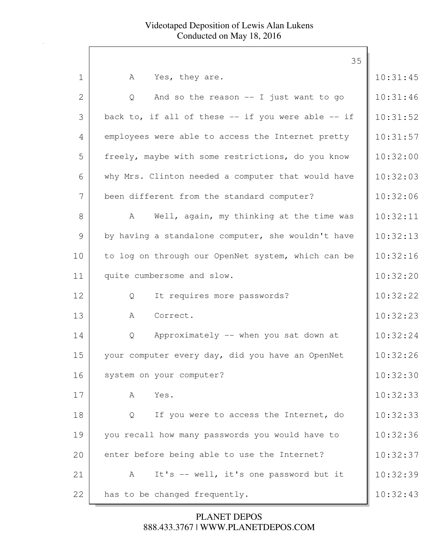|              | 35                                                     |          |
|--------------|--------------------------------------------------------|----------|
| $\mathbf 1$  | Yes, they are.<br>A                                    | 10:31:45 |
| $\mathbf{2}$ | And so the reason $--$ I just want to go<br>Q          | 10:31:46 |
| 3            | back to, if all of these $--$ if you were able $--$ if | 10:31:52 |
| 4            | employees were able to access the Internet pretty      | 10:31:57 |
| 5            | freely, maybe with some restrictions, do you know      | 10:32:00 |
| 6            | why Mrs. Clinton needed a computer that would have     | 10:32:03 |
| 7            | been different from the standard computer?             | 10:32:06 |
| 8            | Well, again, my thinking at the time was<br>A          | 10:32:11 |
| 9            | by having a standalone computer, she wouldn't have     | 10:32:13 |
| 10           | to log on through our OpenNet system, which can be     | 10:32:16 |
| 11           | quite cumbersome and slow.                             | 10:32:20 |
| 12           | It requires more passwords?<br>Q                       | 10:32:22 |
| 13           | Correct.<br>Α                                          | 10:32:23 |
| 14           | Approximately -- when you sat down at<br>Q             | 10:32:24 |
| 15           | your computer every day, did you have an OpenNet       | 10:32:26 |
| 16           | system on your computer?                               | 10:32:30 |
| 17           | Yes.<br>A                                              | 10:32:33 |
| 18           | If you were to access the Internet, do<br>Q            | 10:32:33 |
| 19           | you recall how many passwords you would have to        | 10:32:36 |
| 20           | enter before being able to use the Internet?           | 10:32:37 |
| 21           | It's -- well, it's one password but it<br>A            | 10:32:39 |
| 22           | has to be changed frequently.                          | 10:32:43 |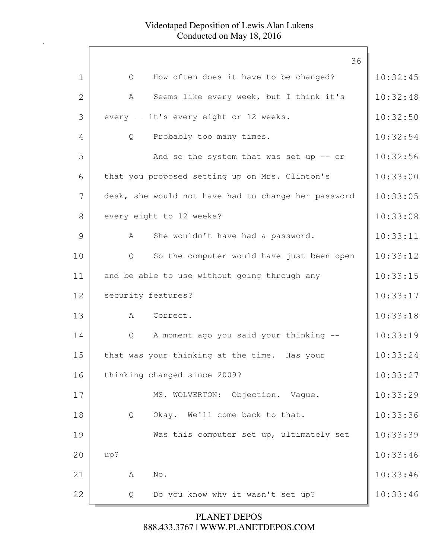| 36                                                  |          |
|-----------------------------------------------------|----------|
| How often does it have to be changed?<br>Q          | 10:32:45 |
| Seems like every week, but I think it's<br>A        | 10:32:48 |
| every -- it's every eight or 12 weeks.              | 10:32:50 |
| Probably too many times.<br>Q                       | 10:32:54 |
| And so the system that was set up $-$ or            | 10:32:56 |
| that you proposed setting up on Mrs. Clinton's      | 10:33:00 |
| desk, she would not have had to change her password | 10:33:05 |
| every eight to 12 weeks?                            | 10:33:08 |
| She wouldn't have had a password.<br>A              | 10:33:11 |
| So the computer would have just been open<br>Q      | 10:33:12 |
| and be able to use without going through any        | 10:33:15 |
| security features?                                  | 10:33:17 |
| A Correct.                                          | 10:33:18 |
| A moment ago you said your thinking --<br>Q         | 10:33:19 |
| that was your thinking at the time. Has your        | 10:33:24 |
| thinking changed since 2009?                        | 10:33:27 |
| MS. WOLVERTON: Objection. Vaque.                    | 10:33:29 |
| Okay. We'll come back to that.<br>Q                 | 10:33:36 |
| Was this computer set up, ultimately set            | 10:33:39 |
| up?                                                 | 10:33:46 |
| No.<br>A                                            | 10:33:46 |
| Do you know why it wasn't set up?<br>Q              | 10:33:46 |
|                                                     |          |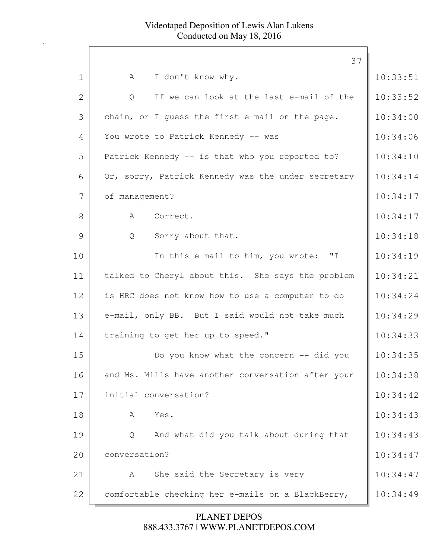|              | 37                                                 |          |
|--------------|----------------------------------------------------|----------|
| $\mathbf 1$  | A<br>I don't know why.                             | 10:33:51 |
| $\mathbf{2}$ | If we can look at the last e-mail of the<br>Q      | 10:33:52 |
| 3            | chain, or I guess the first e-mail on the page.    | 10:34:00 |
| 4            | You wrote to Patrick Kennedy -- was                | 10:34:06 |
| 5            | Patrick Kennedy -- is that who you reported to?    | 10:34:10 |
| 6            | Or, sorry, Patrick Kennedy was the under secretary | 10:34:14 |
| 7            | of management?                                     | 10:34:17 |
| 8            | A<br>Correct.                                      | 10:34:17 |
| 9            | Sorry about that.<br>Q                             | 10:34:18 |
| 10           | In this e-mail to him, you wrote: "I               | 10:34:19 |
| 11           | talked to Cheryl about this. She says the problem  | 10:34:21 |
| 12           | is HRC does not know how to use a computer to do   | 10:34:24 |
| 13           | e-mail, only BB. But I said would not take much    | 10:34:29 |
| 14           | training to get her up to speed."                  | 10:34:33 |
| 15           | Do you know what the concern -- did you            | 10:34:35 |
| 16           | and Ms. Mills have another conversation after your | 10:34:38 |
| 17           | initial conversation?                              | 10:34:42 |
| 18           | Yes.<br>Α                                          | 10:34:43 |
| 19           | And what did you talk about during that<br>Q       | 10:34:43 |
| 20           | conversation?                                      | 10:34:47 |
| 21           | She said the Secretary is very<br>A                | 10:34:47 |
| 22           | comfortable checking her e-mails on a BlackBerry,  | 10:34:49 |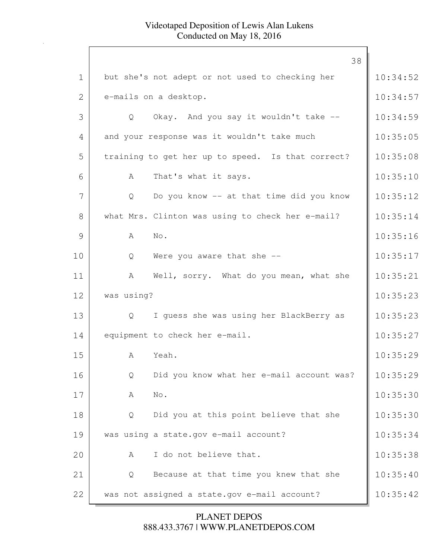|             | 38                                                |          |
|-------------|---------------------------------------------------|----------|
| $\mathbf 1$ | but she's not adept or not used to checking her   | 10:34:52 |
| 2           | e-mails on a desktop.                             | 10:34:57 |
| 3           | Okay. And you say it wouldn't take --<br>Q        | 10:34:59 |
| 4           | and your response was it wouldn't take much       | 10:35:05 |
| 5           | training to get her up to speed. Is that correct? | 10:35:08 |
| 6           | That's what it says.<br>A                         | 10:35:10 |
| 7           | Do you know -- at that time did you know<br>Q     | 10:35:12 |
| 8           | what Mrs. Clinton was using to check her e-mail?  | 10:35:14 |
| 9           | A<br>No.                                          | 10:35:16 |
| 10          | Were you aware that she --<br>Q                   | 10:35:17 |
| 11          | Well, sorry. What do you mean, what she<br>A      | 10:35:21 |
| 12          | was using?                                        | 10:35:23 |
| 13          | I guess she was using her BlackBerry as<br>Q      | 10:35:23 |
| 14          | equipment to check her e-mail.                    | 10:35:27 |
| 15          | Yeah.<br>A                                        | 10:35:29 |
| 16          | Did you know what her e-mail account was?<br>Q    | 10:35:29 |
| 17          | No.<br>A                                          | 10:35:30 |
| 18          | Did you at this point believe that she<br>Q       | 10:35:30 |
| 19          | was using a state.gov e-mail account?             | 10:35:34 |
| 20          | I do not believe that.<br>A                       | 10:35:38 |
| 21          | Because at that time you knew that she<br>Q       | 10:35:40 |
| 22          | was not assigned a state.gov e-mail account?      | 10:35:42 |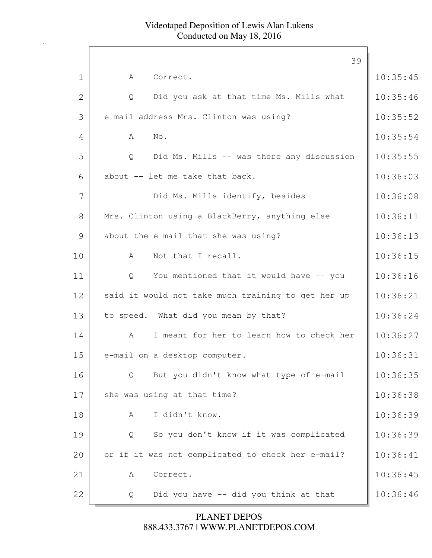|                | 39                                                 |          |
|----------------|----------------------------------------------------|----------|
| $\mathbf 1$    | Correct.<br>A                                      | 10:35:45 |
| $\overline{2}$ | Did you ask at that time Ms. Mills what<br>Q       | 10:35:46 |
| 3              | e-mail address Mrs. Clinton was using?             | 10:35:52 |
| 4              | No.<br>$\mathbb A$                                 | 10:35:54 |
| 5              | Did Ms. Mills -- was there any discussion<br>Q     | 10:35:55 |
| 6              | about -- let me take that back.                    | 10:36:03 |
| 7              | Did Ms. Mills identify, besides                    | 10:36:08 |
| 8              | Mrs. Clinton using a BlackBerry, anything else     | 10:36:11 |
| 9              | about the e-mail that she was using?               | 10:36:13 |
| 10             | Not that I recall.<br>$\mathbb{A}$                 | 10:36:15 |
| 11             | You mentioned that it would have -- you<br>Q       | 10:36:16 |
| 12             | said it would not take much training to get her up | 10:36:21 |
| 13             | to speed. What did you mean by that?               | 10:36:24 |
| 14             | I meant for her to learn how to check her<br>A     | 10:36:27 |
| 15             | e-mail on a desktop computer.                      | 10:36:31 |
| 16             | But you didn't know what type of e-mail<br>Q       | 10:36:35 |
| 17             | she was using at that time?                        | 10:36:38 |
| 18             | I didn't know.<br>Α                                | 10:36:39 |
| 19             | So you don't know if it was complicated<br>Q       | 10:36:39 |
| 20             | or if it was not complicated to check her e-mail?  | 10:36:41 |
| 21             | Correct.<br>А                                      | 10:36:45 |
| 22             | Did you have -- did you think at that<br>Q         | 10:36:46 |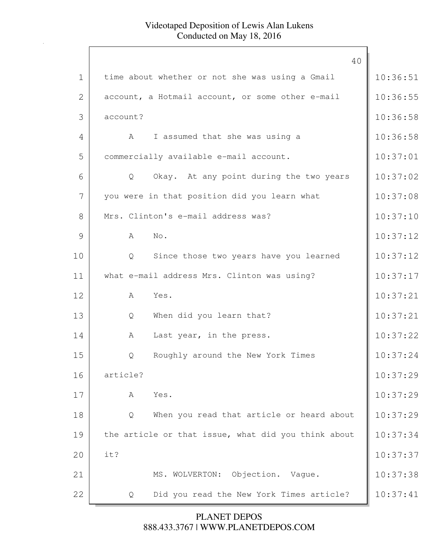|             | 40                                                  |          |
|-------------|-----------------------------------------------------|----------|
| $\mathbf 1$ | time about whether or not she was using a Gmail     | 10:36:51 |
| 2           | account, a Hotmail account, or some other e-mail    | 10:36:55 |
| 3           | account?                                            | 10:36:58 |
| 4           | I assumed that she was using a<br>A                 | 10:36:58 |
| 5           | commercially available e-mail account.              | 10:37:01 |
| 6           | Okay. At any point during the two years<br>Q        | 10:37:02 |
| 7           | you were in that position did you learn what        | 10:37:08 |
| 8           | Mrs. Clinton's e-mail address was?                  | 10:37:10 |
| 9           | No.<br>A                                            | 10:37:12 |
| 10          | Since those two years have you learned<br>Q         | 10:37:12 |
| 11          | what e-mail address Mrs. Clinton was using?         | 10:37:17 |
| 12          | Yes.<br>A                                           | 10:37:21 |
| 13          | When did you learn that?<br>Q                       | 10:37:21 |
| 14          | Last year, in the press.<br>A                       | 10:37:22 |
| 15          | Roughly around the New York Times<br>Q              | 10:37:24 |
| 16          | article?                                            | 10:37:29 |
| 17          | Yes.<br>A                                           | 10:37:29 |
| 18          | When you read that article or heard about<br>Q      | 10:37:29 |
| 19          | the article or that issue, what did you think about | 10:37:34 |
| 20          | it?                                                 | 10:37:37 |
| 21          | MS. WOLVERTON:<br>Objection. Vague.                 | 10:37:38 |
| 22          | Did you read the New York Times article?<br>Q       | 10:37:41 |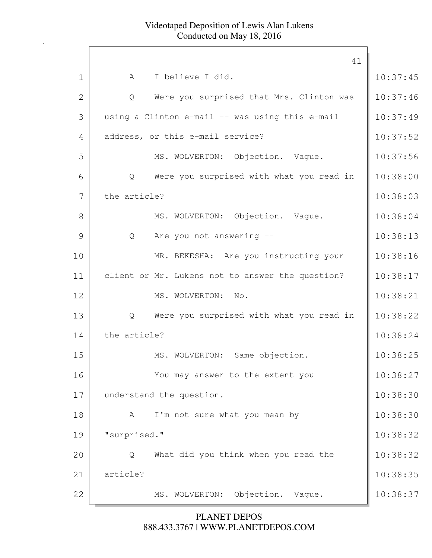|              | 41                                               |          |
|--------------|--------------------------------------------------|----------|
| $\mathbf 1$  | I believe I did.<br>A                            | 10:37:45 |
| $\mathbf{2}$ | Were you surprised that Mrs. Clinton was<br>Q    | 10:37:46 |
| 3            | using a Clinton e-mail -- was using this e-mail  | 10:37:49 |
| 4            | address, or this e-mail service?                 | 10:37:52 |
| 5            | MS. WOLVERTON: Objection. Vaque.                 | 10:37:56 |
| 6            | Were you surprised with what you read in<br>Q    | 10:38:00 |
| 7            | the article?                                     | 10:38:03 |
| 8            | MS. WOLVERTON: Objection. Vague.                 | 10:38:04 |
| 9            | Are you not answering --<br>$Q_{\cdot}$          | 10:38:13 |
| 10           | MR. BEKESHA: Are you instructing your            | 10:38:16 |
| 11           | client or Mr. Lukens not to answer the question? | 10:38:17 |
| 12           | MS. WOLVERTON:<br>No.                            | 10:38:21 |
| 13           | Were you surprised with what you read in<br>Q    | 10:38:22 |
| 14           | the article?                                     | 10:38:24 |
| 15           | MS. WOLVERTON: Same objection.                   | 10:38:25 |
| 16           | You may answer to the extent you                 | 10:38:27 |
| 17           | understand the question.                         | 10:38:30 |
| 18           | I'm not sure what you mean by<br>A               | 10:38:30 |
| 19           | "surprised."                                     | 10:38:32 |
| 20           | What did you think when you read the<br>Q        | 10:38:32 |
| 21           | article?                                         | 10:38:35 |
| 22           | Objection. Vague.<br>MS. WOLVERTON:              | 10:38:37 |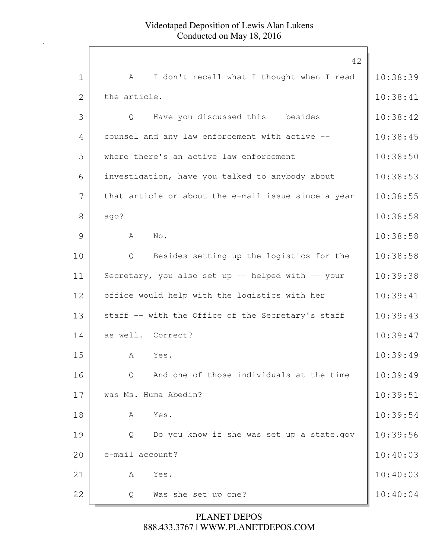|              | 42                                                  |          |
|--------------|-----------------------------------------------------|----------|
| $\mathbf 1$  | I don't recall what I thought when I read<br>A      | 10:38:39 |
| $\mathbf{2}$ | the article.                                        | 10:38:41 |
| 3            | Have you discussed this -- besides<br>Q             | 10:38:42 |
| 4            | counsel and any law enforcement with active --      | 10:38:45 |
| 5            | where there's an active law enforcement             | 10:38:50 |
| 6            | investigation, have you talked to anybody about     | 10:38:53 |
| 7            | that article or about the e-mail issue since a year | 10:38:55 |
| 8            | ago?                                                | 10:38:58 |
| 9            | A<br>No.                                            | 10:38:58 |
| 10           | Besides setting up the logistics for the<br>Q       | 10:38:58 |
| 11           | Secretary, you also set up -- helped with -- your   | 10:39:38 |
| 12           | office would help with the logistics with her       | 10:39:41 |
| 13           | staff -- with the Office of the Secretary's staff   | 10:39:43 |
| 14           | as well. Correct?                                   | 10:39:47 |
| 15           | Yes.<br>A                                           | 10:39:49 |
| 16           | And one of those individuals at the time<br>Q       | 10:39:49 |
| 17           | was Ms. Huma Abedin?                                | 10:39:51 |
| 18           | Yes.<br>Α                                           | 10:39:54 |
| 19           | Do you know if she was set up a state.gov<br>Q      | 10:39:56 |
| 20           | e-mail account?                                     | 10:40:03 |
| 21           | Yes.<br>Α                                           | 10:40:03 |
| 22           | Was she set up one?<br>Q                            | 10:40:04 |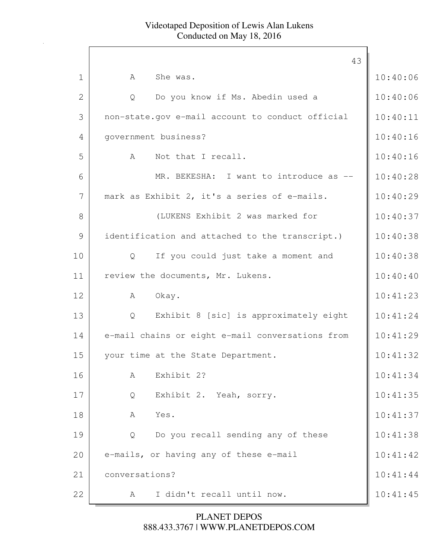|              | 43                                               |          |
|--------------|--------------------------------------------------|----------|
| $\mathbf 1$  | She was.<br>A                                    | 10:40:06 |
| $\mathbf{2}$ | Do you know if Ms. Abedin used a<br>Q            | 10:40:06 |
| 3            | non-state.gov e-mail account to conduct official | 10:40:11 |
| 4            | government business?                             | 10:40:16 |
| 5            | Not that I recall.<br>A                          | 10:40:16 |
| 6            | MR. BEKESHA: I want to introduce as --           | 10:40:28 |
| 7            | mark as Exhibit 2, it's a series of e-mails.     | 10:40:29 |
| 8            | (LUKENS Exhibit 2 was marked for                 | 10:40:37 |
| 9            | identification and attached to the transcript.)  | 10:40:38 |
| 10           | If you could just take a moment and<br>Q         | 10:40:38 |
| 11           | review the documents, Mr. Lukens.                | 10:40:40 |
| 12           | Okay.<br>A                                       | 10:41:23 |
| 13           | Exhibit 8 [sic] is approximately eight<br>Q      | 10:41:24 |
| 14           | e-mail chains or eight e-mail conversations from | 10:41:29 |
| 15           | your time at the State Department.               | 10:41:32 |
| 16           | Exhibit 2?<br>A                                  | 10:41:34 |
| 17           | Exhibit 2. Yeah, sorry.<br>Q                     | 10:41:35 |
| 18           | Yes.<br>A                                        | 10:41:37 |
| 19           | Do you recall sending any of these<br>Q          | 10:41:38 |
| 20           | e-mails, or having any of these e-mail           | 10:41:42 |
| 21           | conversations?                                   | 10:41:44 |
| 22           | I didn't recall until now.<br>A                  | 10:41:45 |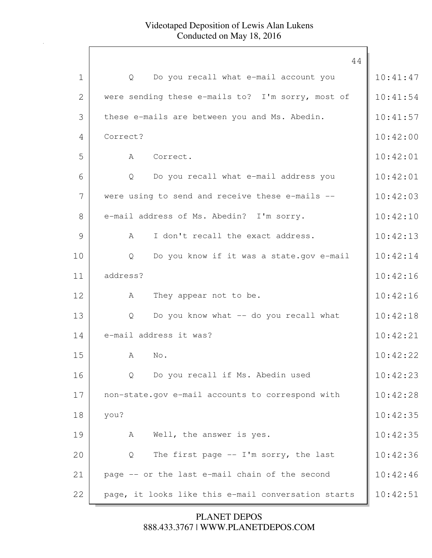|              | 44                                                  |          |
|--------------|-----------------------------------------------------|----------|
| $\mathbf 1$  | Do you recall what e-mail account you<br>Q          | 10:41:47 |
| $\mathbf{2}$ | were sending these e-mails to? I'm sorry, most of   | 10:41:54 |
| 3            | these e-mails are between you and Ms. Abedin.       | 10:41:57 |
| 4            | Correct?                                            | 10:42:00 |
| 5            | A<br>Correct.                                       | 10:42:01 |
| 6            | Do you recall what e-mail address you<br>Q          | 10:42:01 |
| 7            | were using to send and receive these e-mails --     | 10:42:03 |
| 8            | e-mail address of Ms. Abedin? I'm sorry.            | 10:42:10 |
| 9            | I don't recall the exact address.<br>$\mathcal{A}$  | 10:42:13 |
| 10           | Do you know if it was a state.gov e-mail<br>Q       | 10:42:14 |
| 11           | address?                                            | 10:42:16 |
| 12           | They appear not to be.<br>A                         | 10:42:16 |
| 13           | Do you know what -- do you recall what<br>Q         | 10:42:18 |
| 14           | e-mail address it was?                              | 10:42:21 |
| 15           | A<br>No.                                            | 10:42:22 |
| 16           | Do you recall if Ms. Abedin used<br>Q               | 10:42:23 |
| 17           | non-state.gov e-mail accounts to correspond with    | 10:42:28 |
| 18           | you?                                                | 10:42:35 |
| 19           | Well, the answer is yes.<br>A                       | 10:42:35 |
| 20           | The first page $-$ I'm sorry, the last<br>Q         | 10:42:36 |
| 21           | page -- or the last e-mail chain of the second      | 10:42:46 |
| 22           | page, it looks like this e-mail conversation starts | 10:42:51 |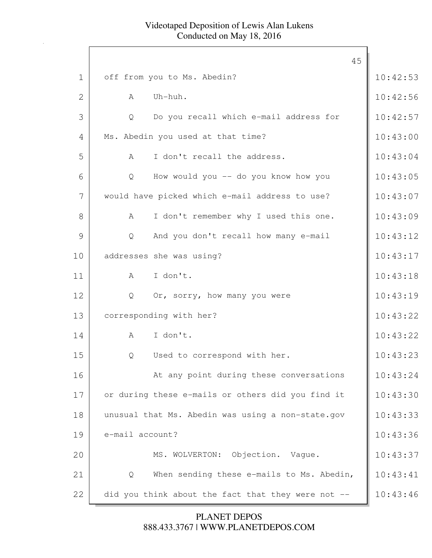|              | 45                                                     |          |
|--------------|--------------------------------------------------------|----------|
| $\mathbf{1}$ | off from you to Ms. Abedin?                            | 10:42:53 |
| $\mathbf{2}$ | Uh-huh.<br>A                                           | 10:42:56 |
| 3            | Do you recall which e-mail address for<br>$\mathsf{Q}$ | 10:42:57 |
| 4            | Ms. Abedin you used at that time?                      | 10:43:00 |
| 5            | I don't recall the address.<br>A                       | 10:43:04 |
| 6            | How would you -- do you know how you<br>$\mathsf{Q}$   | 10:43:05 |
| 7            | would have picked which e-mail address to use?         | 10:43:07 |
| 8            | I don't remember why I used this one.<br>A             | 10:43:09 |
| 9            | And you don't recall how many e-mail<br>Q              | 10:43:12 |
| 10           | addresses she was using?                               | 10:43:17 |
| 11           | I don't.<br>$A \quad \alpha$                           | 10:43:18 |
| 12           | Or, sorry, how many you were<br>Q                      | 10:43:19 |
| 13           | corresponding with her?                                | 10:43:22 |
| 14           | I don't.<br>$\mathbf{A}$                               | 10:43:22 |
| 15           | Used to correspond with her.<br>Q                      | 10:43:23 |
| 16           | At any point during these conversations                | 10:43:24 |
| 17           | or during these e-mails or others did you find it      | 10:43:30 |
| 18           | unusual that Ms. Abedin was using a non-state.gov      | 10:43:33 |
| 19           | e-mail account?                                        | 10:43:36 |
| 20           | MS. WOLVERTON: Objection. Vaque.                       | 10:43:37 |
| 21           | When sending these e-mails to Ms. Abedin,<br>Q         | 10:43:41 |
| 22           | did you think about the fact that they were not --     | 10:43:46 |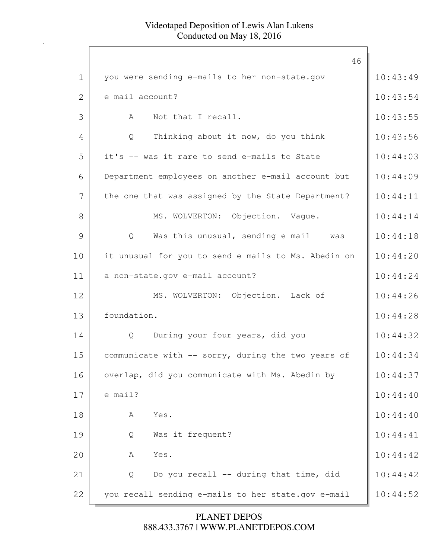|             | 46                                                  |          |
|-------------|-----------------------------------------------------|----------|
| $\mathbf 1$ | you were sending e-mails to her non-state.gov       | 10:43:49 |
| 2           | e-mail account?                                     | 10:43:54 |
| 3           | Not that I recall.<br>A                             | 10:43:55 |
| 4           | Thinking about it now, do you think<br>Q            | 10:43:56 |
| 5           | it's -- was it rare to send e-mails to State        | 10:44:03 |
| 6           | Department employees on another e-mail account but  | 10:44:09 |
| 7           | the one that was assigned by the State Department?  | 10:44:11 |
| 8           | MS. WOLVERTON: Objection. Vaque.                    | 10:44:14 |
| 9           | Was this unusual, sending e-mail -- was<br>Q        | 10:44:18 |
| 10          | it unusual for you to send e-mails to Ms. Abedin on | 10:44:20 |
| 11          | a non-state.gov e-mail account?                     | 10:44:24 |
| 12          | MS. WOLVERTON: Objection. Lack of                   | 10:44:26 |
| 13          | foundation.                                         | 10:44:28 |
| 14          | During your four years, did you<br>Q                | 10:44:32 |
| 15          | communicate with -- sorry, during the two years of  | 10:44:34 |
| 16          | overlap, did you communicate with Ms. Abedin by     | 10:44:37 |
| 17          | $e$ -mail?                                          | 10:44:40 |
| 18          | Yes.<br>A                                           | 10:44:40 |
| 19          | Was it frequent?<br>Q                               | 10:44:41 |
| 20          | Yes.<br>А                                           | 10:44:42 |
| 21          | Do you recall -- during that time, did<br>Q         | 10:44:42 |
| 22          | you recall sending e-mails to her state.gov e-mail  | 10:44:52 |
|             |                                                     |          |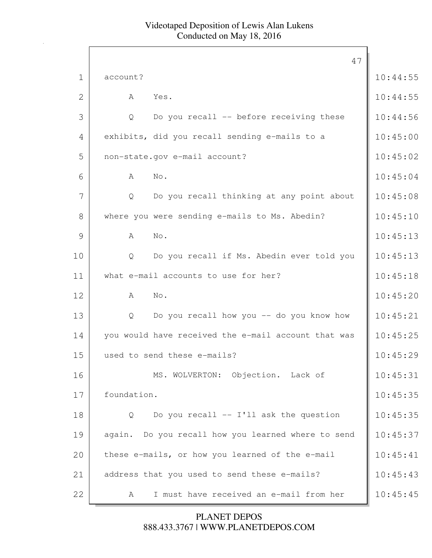|                | 47                                                  |          |
|----------------|-----------------------------------------------------|----------|
| $\mathbf 1$    | account?                                            | 10:44:55 |
| $\overline{2}$ | A<br>Yes.                                           | 10:44:55 |
| 3              | Do you recall -- before receiving these<br>Q        | 10:44:56 |
| 4              | exhibits, did you recall sending e-mails to a       | 10:45:00 |
| 5              | non-state.gov e-mail account?                       | 10:45:02 |
| 6              | A<br>No.                                            | 10:45:04 |
| 7              | Do you recall thinking at any point about<br>Q      | 10:45:08 |
| 8              | where you were sending e-mails to Ms. Abedin?       | 10:45:10 |
| 9              | A<br>No.                                            | 10:45:13 |
| 10             | Do you recall if Ms. Abedin ever told you<br>Q      | 10:45:13 |
| 11             | what e-mail accounts to use for her?                | 10:45:18 |
| 12             | A<br>No.                                            | 10:45:20 |
| 13             | Do you recall how you -- do you know how<br>Q       | 10:45:21 |
| 14             | you would have received the e-mail account that was | 10:45:25 |
| 15             | used to send these e-mails?                         | 10:45:29 |
| 16             | MS. WOLVERTON: Objection. Lack of                   | 10:45:31 |
| 17             | foundation.                                         | 10:45:35 |
| 18             | Do you recall -- I'll ask the question<br>Q         | 10:45:35 |
| 19             | again. Do you recall how you learned where to send  | 10:45:37 |
| 20             | these e-mails, or how you learned of the e-mail     | 10:45:41 |
| 21             | address that you used to send these e-mails?        | 10:45:43 |
| 22             | I must have received an e-mail from her<br>A        | 10:45:45 |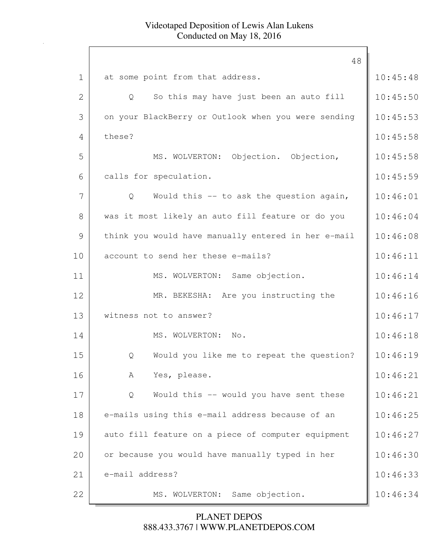|                | 48                                                  |          |
|----------------|-----------------------------------------------------|----------|
| $\mathbf 1$    | at some point from that address.                    | 10:45:48 |
| $\overline{2}$ | So this may have just been an auto fill<br>Q        | 10:45:50 |
| 3              | on your BlackBerry or Outlook when you were sending | 10:45:53 |
| 4              | these?                                              | 10:45:58 |
| 5              | MS. WOLVERTON: Objection. Objection,                | 10:45:58 |
| 6              | calls for speculation.                              | 10:45:59 |
| 7              | Would this -- to ask the question again,<br>Q       | 10:46:01 |
| 8              | was it most likely an auto fill feature or do you   | 10:46:04 |
| 9              | think you would have manually entered in her e-mail | 10:46:08 |
| 10             | account to send her these e-mails?                  | 10:46:11 |
| 11             | MS. WOLVERTON: Same objection.                      | 10:46:14 |
| 12             | MR. BEKESHA: Are you instructing the                | 10:46:16 |
| 13             | witness not to answer?                              | 10:46:17 |
| 14             | MS. WOLVERTON: No.                                  | 10:46:18 |
| 15             | Would you like me to repeat the question?<br>Q      | 10:46:19 |
| 16             | Yes, please.<br>А                                   | 10:46:21 |
| 17             | Would this -- would you have sent these<br>Q        | 10:46:21 |
| 18             | e-mails using this e-mail address because of an     | 10:46:25 |
| 19             | auto fill feature on a piece of computer equipment  | 10:46:27 |
| 20             | or because you would have manually typed in her     | 10:46:30 |
| 21             | e-mail address?                                     | 10:46:33 |
| 22             | Same objection.<br>MS. WOLVERTON:                   | 10:46:34 |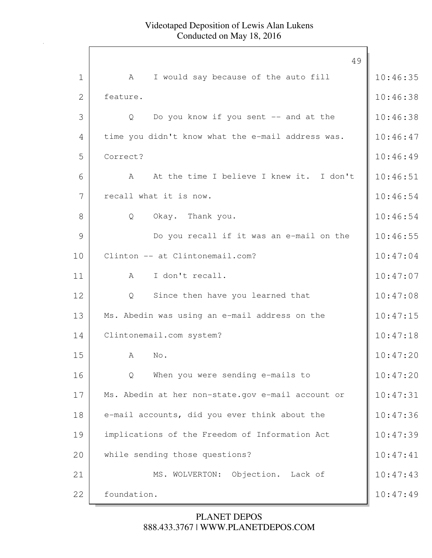|              | 49                                                |          |
|--------------|---------------------------------------------------|----------|
| $\mathbf 1$  | I would say because of the auto fill<br>A         | 10:46:35 |
| $\mathbf{2}$ | feature.                                          | 10:46:38 |
| 3            | Do you know if you sent -- and at the<br>Q        | 10:46:38 |
| 4            | time you didn't know what the e-mail address was. | 10:46:47 |
| 5            | Correct?                                          | 10:46:49 |
| 6            | At the time I believe I knew it. I don't<br>A     | 10:46:51 |
| 7            | recall what it is now.                            | 10:46:54 |
| 8            | Okay. Thank you.<br>Q                             | 10:46:54 |
| 9            | Do you recall if it was an e-mail on the          | 10:46:55 |
| 10           | Clinton -- at Clintonemail.com?                   | 10:47:04 |
| 11           | I don't recall.<br>A                              | 10:47:07 |
| 12           | Since then have you learned that<br>Q             | 10:47:08 |
| 13           | Ms. Abedin was using an e-mail address on the     | 10:47:15 |
| 14           | Clintonemail.com system?                          | 10:47:18 |
| 15           | A<br>No.                                          | 10:47:20 |
| 16           | When you were sending e-mails to<br>Q             | 10:47:20 |
| 17           | Ms. Abedin at her non-state.gov e-mail account or | 10:47:31 |
| 18           | e-mail accounts, did you ever think about the     | 10:47:36 |
| 19           | implications of the Freedom of Information Act    | 10:47:39 |
| 20           | while sending those questions?                    | 10:47:41 |
| 21           | MS. WOLVERTON:<br>Objection. Lack of              | 10:47:43 |
| 22           | foundation.                                       | 10:47:49 |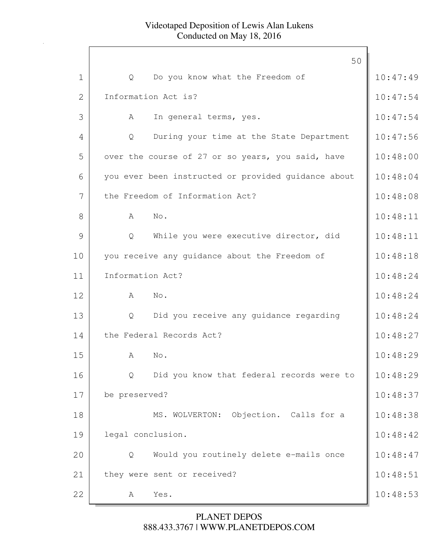|             | 50                                                  |          |
|-------------|-----------------------------------------------------|----------|
| $\mathbf 1$ | Do you know what the Freedom of<br>Q                | 10:47:49 |
| 2           | Information Act is?                                 | 10:47:54 |
| 3           | A<br>In general terms, yes.                         | 10:47:54 |
| 4           | During your time at the State Department<br>Q       | 10:47:56 |
| 5           | over the course of 27 or so years, you said, have   | 10:48:00 |
| 6           | you ever been instructed or provided guidance about | 10:48:04 |
| 7           | the Freedom of Information Act?                     | 10:48:08 |
| 8           | No.<br>A                                            | 10:48:11 |
| 9           | While you were executive director, did<br>Q         | 10:48:11 |
| 10          | you receive any guidance about the Freedom of       | 10:48:18 |
| 11          | Information Act?                                    | 10:48:24 |
| 12          | No.<br>$\mathbb A$                                  | 10:48:24 |
| 13          | Did you receive any guidance regarding<br>Q         | 10:48:24 |
| 14          | the Federal Records Act?                            | 10:48:27 |
| 15          | No.<br>A                                            | 10:48:29 |
| 16          | Did you know that federal records were to<br>Q      | 10:48:29 |
| 17          | be preserved?                                       | 10:48:37 |
| 18          | MS. WOLVERTON:<br>Objection. Calls for a            | 10:48:38 |
| 19          | legal conclusion.                                   | 10:48:42 |
| 20          | Would you routinely delete e-mails once<br>Q        | 10:48:47 |
| 21          | they were sent or received?                         | 10:48:51 |
| 22          | Yes.<br>A                                           | 10:48:53 |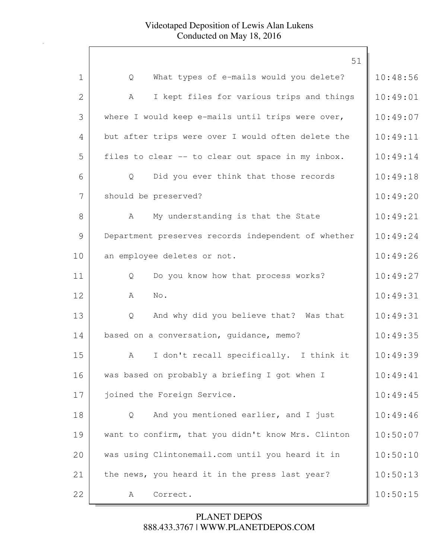|                | 51                                                  |          |
|----------------|-----------------------------------------------------|----------|
| $\mathbf 1$    | What types of e-mails would you delete?<br>Q        | 10:48:56 |
| $\overline{2}$ | I kept files for various trips and things<br>A      | 10:49:01 |
|                |                                                     |          |
| 3              | where I would keep e-mails until trips were over,   | 10:49:07 |
| 4              | but after trips were over I would often delete the  | 10:49:11 |
| 5              | files to clear -- to clear out space in my inbox.   | 10:49:14 |
| 6              | Did you ever think that those records<br>Q          | 10:49:18 |
| 7              | should be preserved?                                | 10:49:20 |
| 8              | My understanding is that the State<br>A             | 10:49:21 |
| 9              | Department preserves records independent of whether | 10:49:24 |
| 10             | an employee deletes or not.                         | 10:49:26 |
| 11             | Do you know how that process works?<br>Q            | 10:49:27 |
| 12             | A<br>No.                                            | 10:49:31 |
| 13             | And why did you believe that? Was that<br>Q         | 10:49:31 |
| 14             | based on a conversation, quidance, memo?            | 10:49:35 |
| 15             | I don't recall specifically. I think it<br>A        | 10:49:39 |
| 16             | was based on probably a briefing I got when I       | 10:49:41 |
| 17             | joined the Foreign Service.                         | 10:49:45 |
| 18             | And you mentioned earlier, and I just<br>Q          | 10:49:46 |
| 19             | want to confirm, that you didn't know Mrs. Clinton  | 10:50:07 |
| 20             | was using Clintonemail.com until you heard it in    | 10:50:10 |
| 21             | the news, you heard it in the press last year?      | 10:50:13 |
| 22             | Correct.<br>A                                       | 10:50:15 |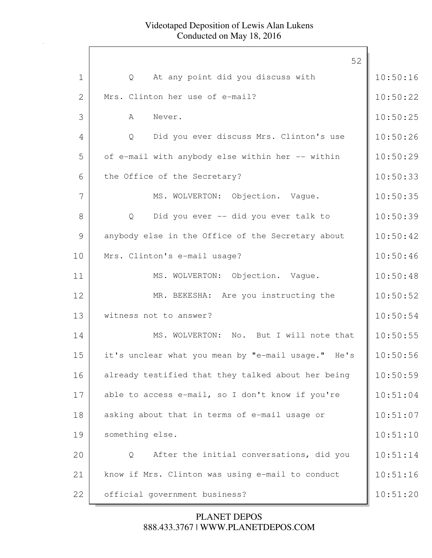|              | 52                                                        |          |
|--------------|-----------------------------------------------------------|----------|
| $\mathbf 1$  | At any point did you discuss with<br>Q                    | 10:50:16 |
| $\mathbf{2}$ | Mrs. Clinton her use of e-mail?                           | 10:50:22 |
| 3            | $\mathcal{A}$<br>Never.                                   | 10:50:25 |
| 4            | Did you ever discuss Mrs. Clinton's use<br>Q              | 10:50:26 |
| 5            | of e-mail with anybody else within her -- within          | 10:50:29 |
| 6            | the Office of the Secretary?                              | 10:50:33 |
| 7            | MS. WOLVERTON: Objection. Vaque.                          | 10:50:35 |
| 8            | Did you ever -- did you ever talk to<br>$Q \qquad \qquad$ | 10:50:39 |
| 9            | anybody else in the Office of the Secretary about         | 10:50:42 |
| 10           | Mrs. Clinton's e-mail usage?                              | 10:50:46 |
| 11           | MS. WOLVERTON: Objection. Vaque.                          | 10:50:48 |
| 12           | MR. BEKESHA: Are you instructing the                      | 10:50:52 |
| 13           | witness not to answer?                                    | 10:50:54 |
| 14           | MS. WOLVERTON: No. But I will note that                   | 10:50:55 |
| 15           | it's unclear what you mean by "e-mail usage." He's        | 10:50:56 |
| 16           | already testified that they talked about her being        | 10:50:59 |
| 17           | able to access e-mail, so I don't know if you're          | 10:51:04 |
| 18           | asking about that in terms of e-mail usage or             | 10:51:07 |
| 19           | something else.                                           | 10:51:10 |
| 20           | After the initial conversations, did you<br>Q             | 10:51:14 |
| 21           | know if Mrs. Clinton was using e-mail to conduct          | 10:51:16 |
| 22           | official government business?                             | 10:51:20 |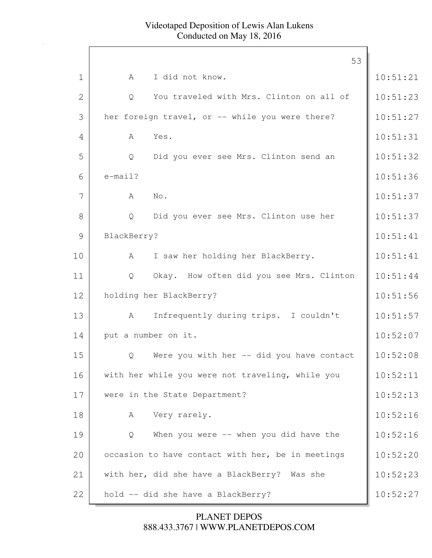|                | 53                                                    |          |
|----------------|-------------------------------------------------------|----------|
| $\mathbf 1$    | I did not know.<br>A                                  | 10:51:21 |
| $\overline{2}$ | You traveled with Mrs. Clinton on all of<br>Q         | 10:51:23 |
| 3              | her foreign travel, or -- while you were there?       | 10:51:27 |
| 4              | Yes.<br>A                                             | 10:51:31 |
| 5              | $\mathsf{Q}$<br>Did you ever see Mrs. Clinton send an | 10:51:32 |
| 6              | $e$ -mail?                                            | 10:51:36 |
| 7              | A<br>No.                                              | 10:51:37 |
| 8              | Did you ever see Mrs. Clinton use her<br>Q            | 10:51:37 |
| 9              | BlackBerry?                                           | 10:51:41 |
| 10             | I saw her holding her BlackBerry.<br>A                | 10:51:41 |
| 11             | Okay. How often did you see Mrs. Clinton<br>Q         | 10:51:44 |
| 12             | holding her BlackBerry?                               | 10:51:56 |
| 13             | Infrequently during trips. I couldn't<br>A            | 10:51:57 |
| 14             | put a number on it.                                   | 10:52:07 |
| 15             | Were you with her -- did you have contact<br>Q        | 10:52:08 |
| 16             | with her while you were not traveling, while you      | 10:52:11 |
| 17             | were in the State Department?                         | 10:52:13 |
| 18             | Very rarely.<br>А                                     | 10:52:16 |
| 19             | When you were -- when you did have the<br>Q           | 10:52:16 |
| 20             | occasion to have contact with her, be in meetings     | 10:52:20 |
| 21             | with her, did she have a BlackBerry? Was she          | 10:52:23 |
| 22             | hold -- did she have a BlackBerry?                    | 10:52:27 |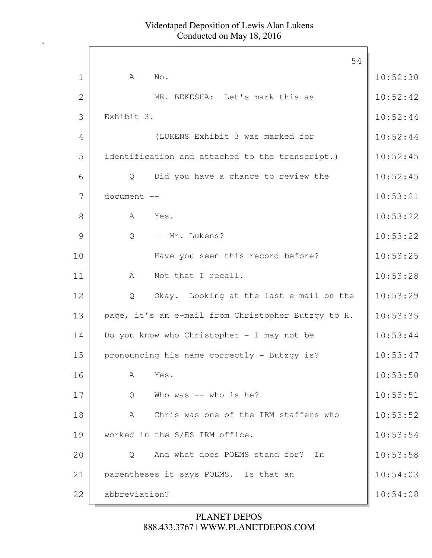|              | 54                                                 |          |
|--------------|----------------------------------------------------|----------|
| $\mathbf 1$  | A<br>No.                                           | 10:52:30 |
| $\mathbf{2}$ | MR. BEKESHA: Let's mark this as                    | 10:52:42 |
| 3            | Exhibit 3.                                         | 10:52:44 |
| 4            | (LUKENS Exhibit 3 was marked for                   | 10:52:44 |
| 5            | identification and attached to the transcript.)    | 10:52:45 |
| 6            | Did you have a chance to review the<br>Q           | 10:52:45 |
| 7            | document --                                        | 10:53:21 |
| 8            | Yes.<br>A                                          | 10:53:22 |
| 9            | -- Mr. Lukens?<br>$\mathsf{Q}$                     | 10:53:22 |
| 10           | Have you seen this record before?                  | 10:53:25 |
| 11           | Not that I recall.<br>A                            | 10:53:28 |
| 12           | Okay. Looking at the last e-mail on the<br>Q       | 10:53:29 |
| 13           | page, it's an e-mail from Christopher Butzgy to H. | 10:53:35 |
| 14           | Do you know who Christopher - I may not be         | 10:53:44 |
| 15           | pronouncing his name correctly - Butzgy is?        | 10:53:47 |
| 16           | Yes.<br>A                                          | 10:53:50 |
| 17           | Who was -- who is he?<br>Q                         | 10:53:51 |
| 18           | Chris was one of the IRM staffers who<br>A         | 10:53:52 |
| 19           | worked in the S/ES-IRM office.                     | 10:53:54 |
| 20           | And what does POEMS stand for?<br>In<br>Q          | 10:53:58 |
| 21           | parentheses it says POEMS. Is that an              | 10:54:03 |
| 22           | abbreviation?                                      | 10:54:08 |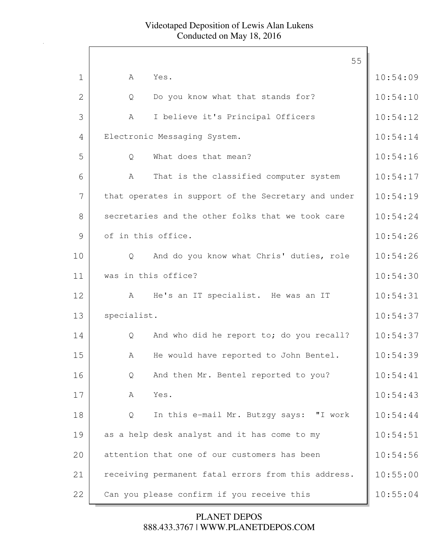|                |                     | 55                                                  |          |
|----------------|---------------------|-----------------------------------------------------|----------|
| $\mathbf 1$    | A                   | Yes.                                                | 10:54:09 |
| $\overline{2}$ | Q                   | Do you know what that stands for?                   | 10:54:10 |
| 3              | A                   | I believe it's Principal Officers                   | 10:54:12 |
| 4              |                     | Electronic Messaging System.                        | 10:54:14 |
| 5              | $\mathsf{Q}$        | What does that mean?                                | 10:54:16 |
| 6              | A                   | That is the classified computer system              | 10:54:17 |
| 7              |                     | that operates in support of the Secretary and under | 10:54:19 |
| 8              |                     | secretaries and the other folks that we took care   | 10:54:24 |
| 9              | of in this office.  |                                                     | 10:54:26 |
| 10             | Q                   | And do you know what Chris' duties, role            | 10:54:26 |
| 11             | was in this office? |                                                     | 10:54:30 |
| 12             | $\mathbf{A}$        | He's an IT specialist. He was an IT                 | 10:54:31 |
| 13             | specialist.         |                                                     | 10:54:37 |
| 14             | Q                   | And who did he report to; do you recall?            | 10:54:37 |
| 15             | A                   | He would have reported to John Bentel.              | 10:54:39 |
| 16             | Q                   | And then Mr. Bentel reported to you?                | 10:54:41 |
| 17             | A                   | Yes.                                                | 10:54:43 |
| 18             | Q                   | In this e-mail Mr. Butzgy says: "I work             | 10:54:44 |
| 19             |                     | as a help desk analyst and it has come to my        | 10:54:51 |
| 20             |                     | attention that one of our customers has been        | 10:54:56 |
| 21             |                     | receiving permanent fatal errors from this address. | 10:55:00 |
| 22             |                     | Can you please confirm if you receive this          | 10:55:04 |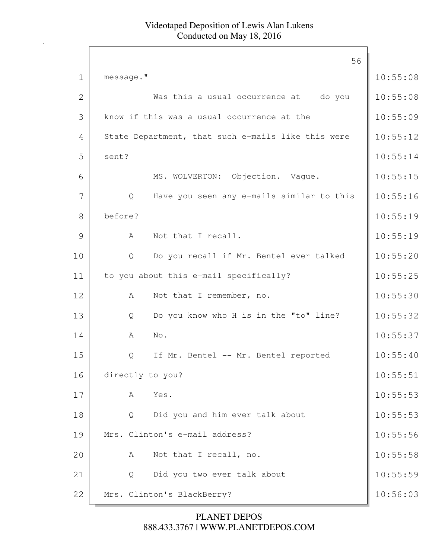|              | 56                                                 |          |
|--------------|----------------------------------------------------|----------|
| $\mathbf{1}$ | message."                                          | 10:55:08 |
| $\mathbf{2}$ | Was this a usual occurrence at -- do you           | 10:55:08 |
| 3            | know if this was a usual occurrence at the         | 10:55:09 |
| 4            | State Department, that such e-mails like this were | 10:55:12 |
| 5            | sent?                                              | 10:55:14 |
| 6            | MS. WOLVERTON: Objection. Vague.                   | 10:55:15 |
| 7            | Have you seen any e-mails similar to this<br>Q     | 10:55:16 |
| 8            | before?                                            | 10:55:19 |
| 9            | Not that I recall.<br>A                            | 10:55:19 |
| 10           | Do you recall if Mr. Bentel ever talked<br>Q       | 10:55:20 |
| 11           | to you about this e-mail specifically?             | 10:55:25 |
| 12           | Not that I remember, no.<br>A                      | 10:55:30 |
| 13           | Do you know who H is in the "to" line?<br>Q        | 10:55:32 |
| 14           | No.<br>A                                           | 10:55:37 |
| 15           | If Mr. Bentel -- Mr. Bentel reported<br>Q          | 10:55:40 |
| 16           | directly to you?                                   | 10:55:51 |
| 17           | A<br>Yes.                                          | 10:55:53 |
| 18           | Did you and him ever talk about<br>Q               | 10:55:53 |
| 19           | Mrs. Clinton's e-mail address?                     | 10:55:56 |
| 20           | Not that I recall, no.<br>Α                        | 10:55:58 |
| 21           | Did you two ever talk about<br>Q                   | 10:55:59 |
| 22           | Mrs. Clinton's BlackBerry?                         | 10:56:03 |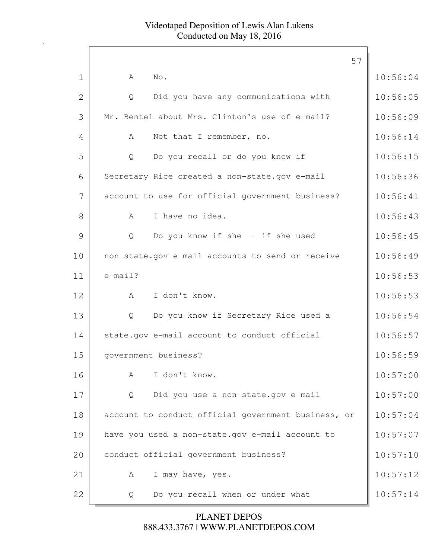|                | 57                                                  |          |
|----------------|-----------------------------------------------------|----------|
| $\mathbf 1$    | No.<br>A                                            | 10:56:04 |
| $\overline{2}$ | Did you have any communications with<br>Q           | 10:56:05 |
| 3              | Mr. Bentel about Mrs. Clinton's use of e-mail?      | 10:56:09 |
| 4              | Not that I remember, no.<br>A                       | 10:56:14 |
| 5              | Do you recall or do you know if<br>Q                | 10:56:15 |
| 6              | Secretary Rice created a non-state.gov e-mail       | 10:56:36 |
| 7              | account to use for official government business?    | 10:56:41 |
| 8              | I have no idea.<br>A                                | 10:56:43 |
| 9              | Do you know if she -- if she used<br>Q              | 10:56:45 |
| 10             | non-state.gov e-mail accounts to send or receive    | 10:56:49 |
| 11             | $e$ -mail?                                          | 10:56:53 |
| 12             | I don't know.<br>A                                  | 10:56:53 |
| 13             | Do you know if Secretary Rice used a<br>Q           | 10:56:54 |
| 14             | state.gov e-mail account to conduct official        | 10:56:57 |
| 15             | qovernment business?                                | 10:56:59 |
| 16             | I don't know.<br>A                                  | 10:57:00 |
| 17             | Did you use a non-state.gov e-mail<br>Q             | 10:57:00 |
| 18             | account to conduct official government business, or | 10:57:04 |
| 19             | have you used a non-state.gov e-mail account to     | 10:57:07 |
| 20             | conduct official government business?               | 10:57:10 |
| 21             | I may have, yes.<br>A                               | 10:57:12 |
| 22             | Do you recall when or under what<br>Q               | 10:57:14 |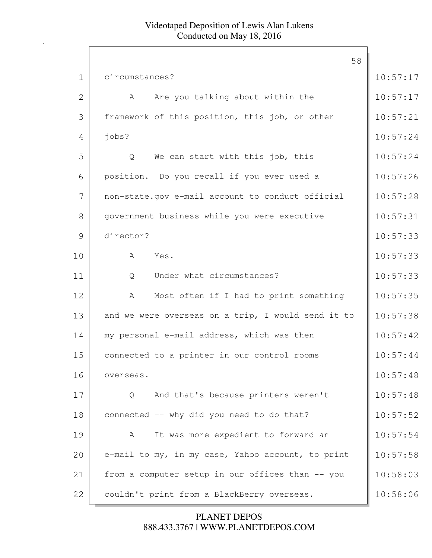|             | 58                                                 |          |
|-------------|----------------------------------------------------|----------|
| $\mathbf 1$ | circumstances?                                     | 10:57:17 |
| 2           | Are you talking about within the<br>A              | 10:57:17 |
| 3           | framework of this position, this job, or other     | 10:57:21 |
| 4           | jobs?                                              | 10:57:24 |
| 5           | Q<br>We can start with this job, this              | 10:57:24 |
| 6           | position. Do you recall if you ever used a         | 10:57:26 |
| 7           | non-state.gov e-mail account to conduct official   | 10:57:28 |
| 8           | government business while you were executive       | 10:57:31 |
| 9           | director?                                          | 10:57:33 |
| 10          | Yes.<br>A                                          | 10:57:33 |
| 11          | Under what circumstances?<br>Q                     | 10:57:33 |
| 12          | Most often if I had to print something<br>A        | 10:57:35 |
| 13          | and we were overseas on a trip, I would send it to | 10:57:38 |
| 14          | my personal e-mail address, which was then         | 10:57:42 |
| 15          | connected to a printer in our control rooms        | 10:57:44 |
| 16          | overseas.                                          | 10:57:48 |
| 17          | And that's because printers weren't<br>Q           | 10:57:48 |
| 18          | connected -- why did you need to do that?          | 10:57:52 |
| 19          | It was more expedient to forward an<br>A           | 10:57:54 |
| 20          | e-mail to my, in my case, Yahoo account, to print  | 10:57:58 |
| 21          | from a computer setup in our offices than -- you   | 10:58:03 |
| 22          | couldn't print from a BlackBerry overseas.         | 10:58:06 |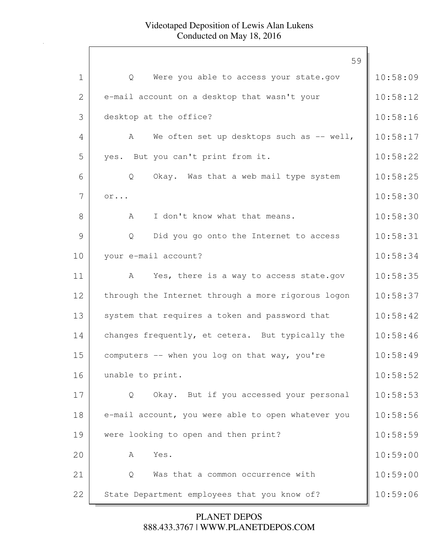|                | 59                                                 |          |
|----------------|----------------------------------------------------|----------|
| 1              | Were you able to access your state.gov<br>Q        | 10:58:09 |
| $\overline{2}$ | e-mail account on a desktop that wasn't your       | 10:58:12 |
| 3              | desktop at the office?                             | 10:58:16 |
| 4              | We often set up desktops such as -- well,<br>A     | 10:58:17 |
| 5              | yes. But you can't print from it.                  | 10:58:22 |
| 6              | Okay. Was that a web mail type system<br>Q         | 10:58:25 |
| 7              | $or \ldots$                                        | 10:58:30 |
| 8              | I don't know what that means.<br>A                 | 10:58:30 |
| 9              | Did you go onto the Internet to access<br>Q        | 10:58:31 |
| 10             | your e-mail account?                               | 10:58:34 |
| 11             | Yes, there is a way to access state.gov<br>A       | 10:58:35 |
| 12             | through the Internet through a more rigorous logon | 10:58:37 |
| 13             | system that requires a token and password that     | 10:58:42 |
| 14             | changes frequently, et cetera. But typically the   | 10:58:46 |
| 15             | computers -- when you log on that way, you're      | 10:58:49 |
| 16             | unable to print.                                   | 10:58:52 |
| 17             | Okay. But if you accessed your personal<br>Q       | 10:58:53 |
| 18             | e-mail account, you were able to open whatever you | 10:58:56 |
| 19             | were looking to open and then print?               | 10:58:59 |
| 20             | Yes.<br>A                                          | 10:59:00 |
| 21             | Was that a common occurrence with<br>Q             | 10:59:00 |
| 22             | State Department employees that you know of?       | 10:59:06 |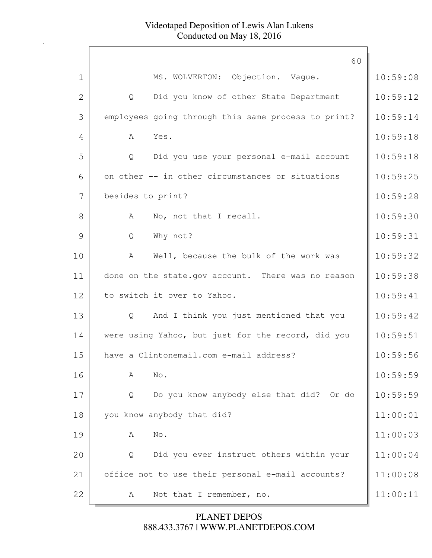|                | 60                                                     |          |
|----------------|--------------------------------------------------------|----------|
| $\mathbf 1$    | MS. WOLVERTON: Objection. Vaque.                       | 10:59:08 |
| $\overline{2}$ | Did you know of other State Department<br>$\mathsf{Q}$ | 10:59:12 |
| 3              | employees going through this same process to print?    | 10:59:14 |
| 4              | A<br>Yes.                                              | 10:59:18 |
| 5              | Did you use your personal e-mail account<br>Q          | 10:59:18 |
| 6              | on other -- in other circumstances or situations       | 10:59:25 |
| 7              | besides to print?                                      | 10:59:28 |
| 8              | No, not that I recall.<br>$\mathbb A$                  | 10:59:30 |
| 9              | Why not?<br>Q                                          | 10:59:31 |
| 10             | Well, because the bulk of the work was<br>A            | 10:59:32 |
| 11             | done on the state.gov account. There was no reason     | 10:59:38 |
| 12             | to switch it over to Yahoo.                            | 10:59:41 |
| 13             | And I think you just mentioned that you<br>Q           | 10:59:42 |
| 14             | were using Yahoo, but just for the record, did you     | 10:59:51 |
| 15             | have a Clintonemail.com e-mail address?                | 10:59:56 |
| 16             | No.<br>Α                                               | 10:59:59 |
| 17             | Do you know anybody else that did? Or do<br>Q          | 10:59:59 |
| 18             | you know anybody that did?                             | 11:00:01 |
| 19             | No.<br>$\mathbb A$                                     | 11:00:03 |
| 20             | Did you ever instruct others within your<br>Q          | 11:00:04 |
| 21             | office not to use their personal e-mail accounts?      | 11:00:08 |
| 22             | Not that I remember, no.<br>A                          | 11:00:11 |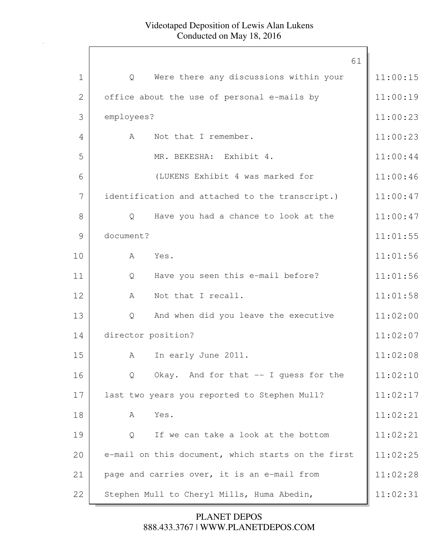|             | 61                                                 |          |
|-------------|----------------------------------------------------|----------|
| $\mathbf 1$ | Were there any discussions within your<br>Q        | 11:00:15 |
| 2           | office about the use of personal e-mails by        | 11:00:19 |
| 3           | employees?                                         | 11:00:23 |
| 4           | Not that I remember.<br>A                          | 11:00:23 |
| 5           | MR. BEKESHA: Exhibit 4.                            | 11:00:44 |
| 6           | (LUKENS Exhibit 4 was marked for                   | 11:00:46 |
| 7           | identification and attached to the transcript.)    | 11:00:47 |
| 8           | Have you had a chance to look at the<br>Q          | 11:00:47 |
| 9           | document?                                          | 11:01:55 |
| 10          | A<br>Yes.                                          | 11:01:56 |
| 11          | Have you seen this e-mail before?<br>Q             | 11:01:56 |
| 12          | Not that I recall.<br>A                            | 11:01:58 |
| 13          | And when did you leave the executive<br>Q          | 11:02:00 |
| 14          | director position?                                 | 11:02:07 |
| 15          | In early June 2011.<br>А                           | 11:02:08 |
| 16          | Okay. And for that -- I guess for the<br>Q         | 11:02:10 |
| 17          | last two years you reported to Stephen Mull?       | 11:02:17 |
| 18          | Yes.<br>A                                          | 11:02:21 |
| 19          | If we can take a look at the bottom<br>Q           | 11:02:21 |
| 20          | e-mail on this document, which starts on the first | 11:02:25 |
| 21          | page and carries over, it is an e-mail from        | 11:02:28 |
| 22          | Stephen Mull to Cheryl Mills, Huma Abedin,         | 11:02:31 |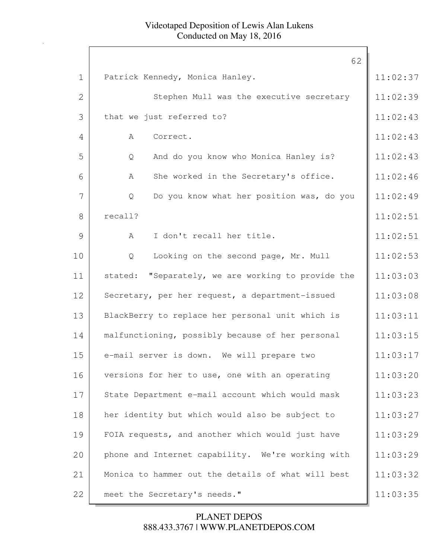|                | 62                                                    |          |
|----------------|-------------------------------------------------------|----------|
| $\mathbf 1$    | Patrick Kennedy, Monica Hanley.                       | 11:02:37 |
| $\overline{2}$ | Stephen Mull was the executive secretary              | 11:02:39 |
| 3              | that we just referred to?                             | 11:02:43 |
| 4              | A<br>Correct.                                         | 11:02:43 |
| 5              | And do you know who Monica Hanley is?<br>Q            | 11:02:43 |
| 6              | She worked in the Secretary's office.<br>A            | 11:02:46 |
| 7              | Do you know what her position was, do you<br>Q        | 11:02:49 |
| 8              | recall?                                               | 11:02:51 |
| 9              | I don't recall her title.<br>$\mathcal{A}$            | 11:02:51 |
| 10             | Looking on the second page, Mr. Mull<br>Q             | 11:02:53 |
| 11             | "Separately, we are working to provide the<br>stated: | 11:03:03 |
| 12             | Secretary, per her request, a department-issued       | 11:03:08 |
| 13             | BlackBerry to replace her personal unit which is      | 11:03:11 |
| 14             | malfunctioning, possibly because of her personal      | 11:03:15 |
| 15             | e-mail server is down. We will prepare two            | 11:03:17 |
| 16             | versions for her to use, one with an operating        | 11:03:20 |
| 17             | State Department e-mail account which would mask      | 11:03:23 |
| 18             | her identity but which would also be subject to       | 11:03:27 |
| 19             | FOIA requests, and another which would just have      | 11:03:29 |
| 20             | phone and Internet capability. We're working with     | 11:03:29 |
| 21             | Monica to hammer out the details of what will best    | 11:03:32 |
| 22             | meet the Secretary's needs."                          | 11:03:35 |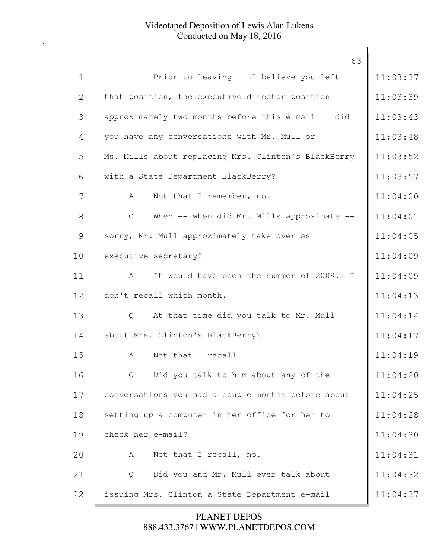|             | 63                                                        |          |
|-------------|-----------------------------------------------------------|----------|
| $\mathbf 1$ | Prior to leaving -- I believe you left                    | 11:03:37 |
| 2           | that position, the executive director position            | 11:03:39 |
| 3           | approximately two months before this e-mail -- did        | 11:03:43 |
| 4           | you have any conversations with Mr. Mull or               | 11:03:48 |
| 5           | Ms. Mills about replacing Mrs. Clinton's BlackBerry       | 11:03:52 |
| 6           | with a State Department BlackBerry?                       | 11:03:57 |
| 7           | Not that I remember, no.<br>A                             | 11:04:00 |
| 8           | When $--$ when did Mr. Mills approximate $--$<br>Q        | 11:04:01 |
| 9           | sorry, Mr. Mull approximately take over as                | 11:04:05 |
| 10          | executive secretary?                                      | 11:04:09 |
| 11          | It would have been the summer of 2009. I<br>$\mathcal{A}$ | 11:04:09 |
| 12          | don't recall which month.                                 | 11:04:13 |
| 13          | At that time did you talk to Mr. Mull<br>Q                | 11:04:14 |
| 14          | about Mrs. Clinton's BlackBerry?                          | 11:04:17 |
| 15          | Not that I recall.<br>A                                   | 11:04:19 |
| 16          | Did you talk to him about any of the<br>Q                 | 11:04:20 |
| 17          | conversations you had a couple months before about        | 11:04:25 |
| 18          | setting up a computer in her office for her to            | 11:04:28 |
| 19          | check her e-mail?                                         | 11:04:30 |
| 20          | Not that I recall, no.<br>A                               | 11:04:31 |
| 21          | Did you and Mr. Mull ever talk about<br>Q                 | 11:04:32 |
| 22          | issuing Mrs. Clinton a State Department e-mail            | 11:04:37 |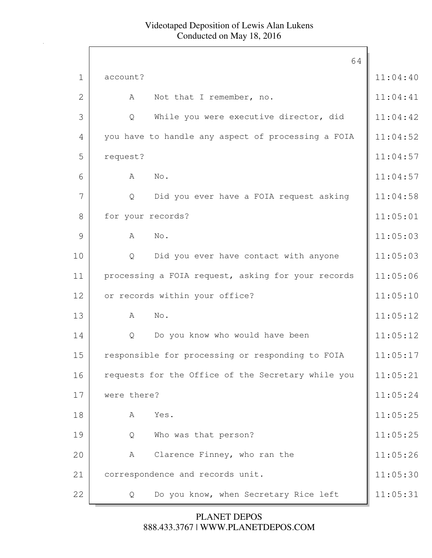|                | 64                                                 |          |
|----------------|----------------------------------------------------|----------|
| $\mathbf 1$    | account?                                           | 11:04:40 |
| $\overline{2}$ | Not that I remember, no.<br>A                      | 11:04:41 |
| 3              | While you were executive director, did<br>Q        | 11:04:42 |
| 4              | you have to handle any aspect of processing a FOIA | 11:04:52 |
| 5              | request?                                           | 11:04:57 |
| 6              | No.<br>A                                           | 11:04:57 |
| 7              | Did you ever have a FOIA request asking<br>Q       | 11:04:58 |
| 8              | for your records?                                  | 11:05:01 |
| 9              | No.<br>A                                           | 11:05:03 |
| 10             | Did you ever have contact with anyone<br>Q         | 11:05:03 |
| 11             | processing a FOIA request, asking for your records | 11:05:06 |
| 12             | or records within your office?                     | 11:05:10 |
| 13             | No.<br>A                                           | 11:05:12 |
| 14             | Do you know who would have been<br>Q               | 11:05:12 |
| 15             | responsible for processing or responding to FOIA   | 11:05:17 |
| 16             | requests for the Office of the Secretary while you | 11:05:21 |
| 17             | were there?                                        | 11:05:24 |
| 18             | Yes.<br>Α                                          | 11:05:25 |
| 19             | Who was that person?<br>Q                          | 11:05:25 |
| 20             | Clarence Finney, who ran the<br>А                  | 11:05:26 |
| 21             | correspondence and records unit.                   | 11:05:30 |
| 22             | Do you know, when Secretary Rice left<br>Q         | 11:05:31 |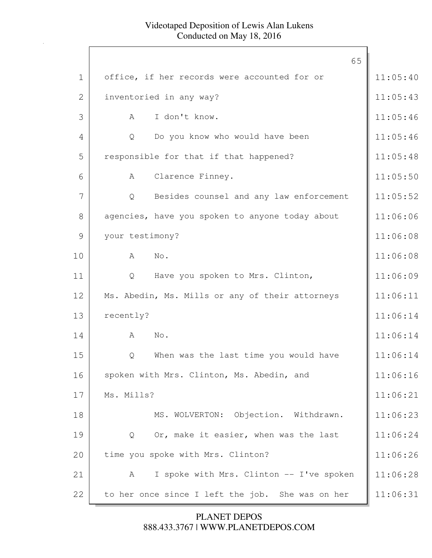|                | 65                                               |          |
|----------------|--------------------------------------------------|----------|
| $\mathbf{1}$   | office, if her records were accounted for or     | 11:05:40 |
| $\overline{2}$ | inventoried in any way?                          | 11:05:43 |
| 3              | I don't know.<br>A                               | 11:05:46 |
| 4              | Do you know who would have been<br>Q             | 11:05:46 |
| 5              | responsible for that if that happened?           | 11:05:48 |
| 6              | Clarence Finney.<br>A                            | 11:05:50 |
| 7              | Besides counsel and any law enforcement<br>Q     | 11:05:52 |
| 8              | agencies, have you spoken to anyone today about  | 11:06:06 |
| 9              | your testimony?                                  | 11:06:08 |
| 10             | No.<br>A                                         | 11:06:08 |
| 11             | Have you spoken to Mrs. Clinton,<br>Q            | 11:06:09 |
| 12             | Ms. Abedin, Ms. Mills or any of their attorneys  | 11:06:11 |
| 13             | recently?                                        | 11:06:14 |
| 14             | No.<br>A                                         | 11:06:14 |
| 15             | When was the last time you would have<br>Q       | 11:06:14 |
| 16             | spoken with Mrs. Clinton, Ms. Abedin, and        | 11:06:16 |
| 17             | Ms. Mills?                                       | 11:06:21 |
| 18             | MS. WOLVERTON: Objection. Withdrawn.             | 11:06:23 |
| 19             | Or, make it easier, when was the last<br>Q       | 11:06:24 |
| 20             | time you spoke with Mrs. Clinton?                | 11:06:26 |
| 21             | I spoke with Mrs. Clinton -- I've spoken<br>A    | 11:06:28 |
| 22             | to her once since I left the job. She was on her | 11:06:31 |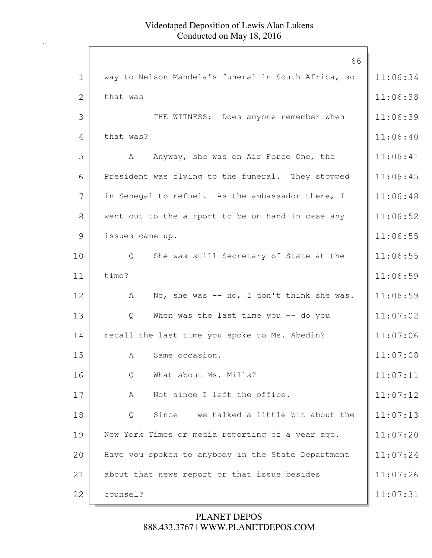|                | 66                                                  |          |
|----------------|-----------------------------------------------------|----------|
| $\mathbf 1$    | way to Nelson Mandela's funeral in South Africa, so | 11:06:34 |
| $\overline{2}$ | that was $-$                                        | 11:06:38 |
| 3              | THE WITNESS: Does anyone remember when              | 11:06:39 |
| 4              | that was?                                           | 11:06:40 |
| 5              | Anyway, she was on Air Force One, the<br>A          | 11:06:41 |
| 6              | President was flying to the funeral. They stopped   | 11:06:45 |
| 7              | in Senegal to refuel. As the ambassador there, I    | 11:06:48 |
| 8              | went out to the airport to be on hand in case any   | 11:06:52 |
| 9              | issues came up.                                     | 11:06:55 |
| 10             | She was still Secretary of State at the<br>Q        | 11:06:55 |
| 11             | time?                                               | 11:06:59 |
| 12             | No, she was $-$ no, I don't think she was.<br>A     | 11:06:59 |
| 13             | When was the last time you $-$ do you<br>Q          | 11:07:02 |
| 14             | recall the last time you spoke to Ms. Abedin?       | 11:07:06 |
| 15             | Same occasion.<br>A                                 | 11:07:08 |
| 16             | What about Ms. Mills?<br>Q                          | 11:07:11 |
| 17             | Not since I left the office.<br>A                   | 11:07:12 |
| 18             | Since -- we talked a little bit about the<br>Q      | 11:07:13 |
| 19             | New York Times or media reporting of a year ago.    | 11:07:20 |
| 20             | Have you spoken to anybody in the State Department  | 11:07:24 |
| 21             | about that news report or that issue besides        | 11:07:26 |
| 22             | counsel?                                            | 11:07:31 |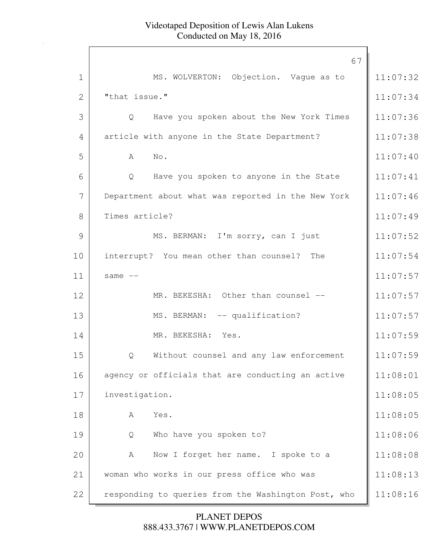|              | 67                                                       |          |
|--------------|----------------------------------------------------------|----------|
| $\mathbf 1$  | MS. WOLVERTON: Objection. Vague as to                    | 11:07:32 |
| $\mathbf{2}$ | "that issue."                                            | 11:07:34 |
| 3            | Have you spoken about the New York Times<br>$\mathsf{Q}$ | 11:07:36 |
| 4            | article with anyone in the State Department?             | 11:07:38 |
| 5            | $\mathbb{N}\circ$ .<br>A                                 | 11:07:40 |
| 6            | Have you spoken to anyone in the State<br>Q              | 11:07:41 |
| 7            | Department about what was reported in the New York       | 11:07:46 |
| 8            | Times article?                                           | 11:07:49 |
| 9            | MS. BERMAN: I'm sorry, can I just                        | 11:07:52 |
| 10           | interrupt? You mean other than counsel? The              | 11:07:54 |
| 11           | same $--$                                                | 11:07:57 |
| 12           | MR. BEKESHA: Other than counsel --                       | 11:07:57 |
| 13           | MS. BERMAN: -- qualification?                            | 11:07:57 |
| 14           | MR. BEKESHA: Yes.                                        | 11:07:59 |
| 15           | Without counsel and any law enforcement<br>Q             | 11:07:59 |
| 16           | agency or officials that are conducting an active        | 11:08:01 |
| 17           | investigation.                                           | 11:08:05 |
| 18           | Yes.<br>A                                                | 11:08:05 |
| 19           | Who have you spoken to?<br>Q                             | 11:08:06 |
| 20           | Now I forget her name. I spoke to a<br>A                 | 11:08:08 |
| 21           | woman who works in our press office who was              | 11:08:13 |
| 22           | responding to queries from the Washington Post, who      | 11:08:16 |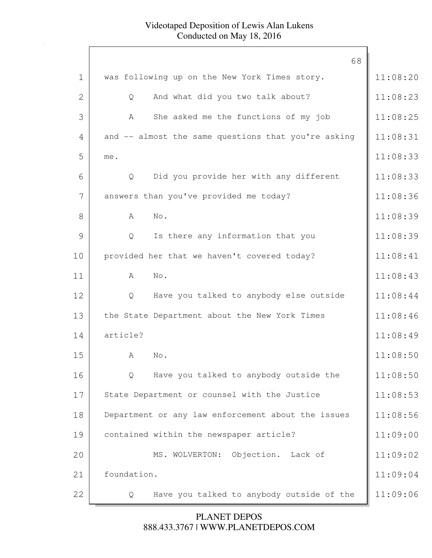|              | 68                                                  |          |
|--------------|-----------------------------------------------------|----------|
| $\mathbf 1$  | was following up on the New York Times story.       | 11:08:20 |
| $\mathbf{2}$ | And what did you two talk about?<br>Q               | 11:08:23 |
| 3            | She asked me the functions of my job<br>A           | 11:08:25 |
| 4            | and -- almost the same questions that you're asking | 11:08:31 |
| 5            | me.                                                 | 11:08:33 |
| 6            | Did you provide her with any different<br>Q         | 11:08:33 |
| 7            | answers than you've provided me today?              | 11:08:36 |
| 8            | A<br>No.                                            | 11:08:39 |
| 9            | Is there any information that you<br>Q              | 11:08:39 |
| 10           | provided her that we haven't covered today?         | 11:08:41 |
| 11           | A<br>No.                                            | 11:08:43 |
| 12           | Have you talked to anybody else outside<br>Q        | 11:08:44 |
| 13           | the State Department about the New York Times       | 11:08:46 |
| 14           | article?                                            | 11:08:49 |
| 15           | $\mathbb A$<br>No.                                  | 11:08:50 |
| 16           | Have you talked to anybody outside the<br>Q         | 11:08:50 |
| 17           | State Department or counsel with the Justice        | 11:08:53 |
| 18           | Department or any law enforcement about the issues  | 11:08:56 |
| 19           | contained within the newspaper article?             | 11:09:00 |
| 20           | Objection. Lack of<br>MS. WOLVERTON:                | 11:09:02 |
| 21           | foundation.                                         | 11:09:04 |
| 22           | Have you talked to anybody outside of the<br>Q      | 11:09:06 |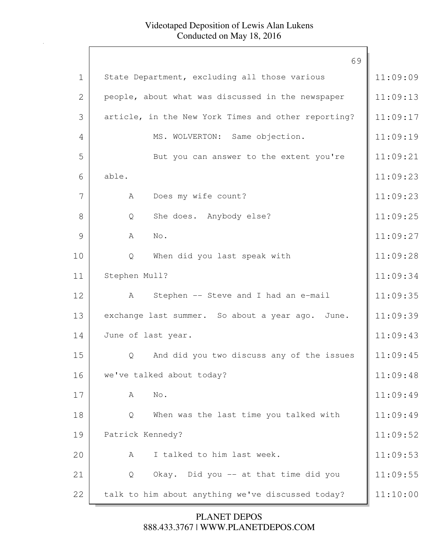|                | 69                                                  |          |
|----------------|-----------------------------------------------------|----------|
| $\mathbf 1$    | State Department, excluding all those various       | 11:09:09 |
| $\overline{2}$ | people, about what was discussed in the newspaper   | 11:09:13 |
| 3              | article, in the New York Times and other reporting? | 11:09:17 |
| 4              | MS. WOLVERTON: Same objection.                      | 11:09:19 |
| 5              | But you can answer to the extent you're             | 11:09:21 |
| 6              | able.                                               | 11:09:23 |
| 7              | Does my wife count?<br>A                            | 11:09:23 |
| 8              | She does. Anybody else?<br>Q                        | 11:09:25 |
| 9              | A<br>No.                                            | 11:09:27 |
| 10             | When did you last speak with<br>Q                   | 11:09:28 |
| 11             | Stephen Mull?                                       | 11:09:34 |
| 12             | Stephen -- Steve and I had an e-mail<br>A           | 11:09:35 |
| 13             | exchange last summer. So about a year ago. June.    | 11:09:39 |
| 14             | June of last year.                                  | 11:09:43 |
| 15             | And did you two discuss any of the issues<br>Q      | 11:09:45 |
| 16             | we've talked about today?                           | 11:09:48 |
| 17             | No.<br>A                                            | 11:09:49 |
| 18             | When was the last time you talked with<br>Q         | 11:09:49 |
| 19             | Patrick Kennedy?                                    | 11:09:52 |
| 20             | I talked to him last week.<br>A                     | 11:09:53 |
| 21             | Okay. Did you -- at that time did you<br>Q          | 11:09:55 |
| 22             | talk to him about anything we've discussed today?   | 11:10:00 |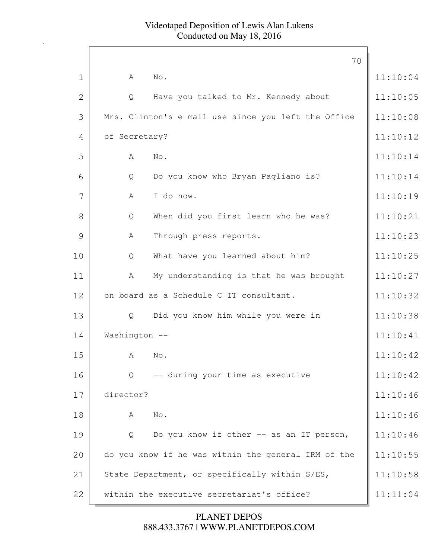|              |               |                                                     | 70 |          |
|--------------|---------------|-----------------------------------------------------|----|----------|
| $\mathbf 1$  | A             | No.                                                 |    | 11:10:04 |
| $\mathbf{2}$ | Q             | Have you talked to Mr. Kennedy about                |    | 11:10:05 |
| 3            |               | Mrs. Clinton's e-mail use since you left the Office |    | 11:10:08 |
| 4            | of Secretary? |                                                     |    | 11:10:12 |
| 5            | Α             | No.                                                 |    | 11:10:14 |
| 6            | Q             | Do you know who Bryan Pagliano is?                  |    | 11:10:14 |
| 7            | A             | I do now.                                           |    | 11:10:19 |
| 8            | Q             | When did you first learn who he was?                |    | 11:10:21 |
| 9            | Α             | Through press reports.                              |    | 11:10:23 |
| 10           | Q             | What have you learned about him?                    |    | 11:10:25 |
| 11           | А             | My understanding is that he was brought             |    | 11:10:27 |
| 12           |               | on board as a Schedule C IT consultant.             |    | 11:10:32 |
| 13           | Q             | Did you know him while you were in                  |    | 11:10:38 |
| 14           | Washington -- |                                                     |    | 11:10:41 |
| 15           | A             | No.                                                 |    | 11:10:42 |
| 16           | Q             | -- during your time as executive                    |    | 11:10:42 |
| 17           | director?     |                                                     |    | 11:10:46 |
| 18           | A             | No.                                                 |    | 11:10:46 |
| 19           | Q             | Do you know if other -- as an IT person,            |    | 11:10:46 |
| 20           |               | do you know if he was within the general IRM of the |    | 11:10:55 |
| 21           |               | State Department, or specifically within S/ES,      |    | 11:10:58 |
| 22           |               | within the executive secretariat's office?          |    | 11:11:04 |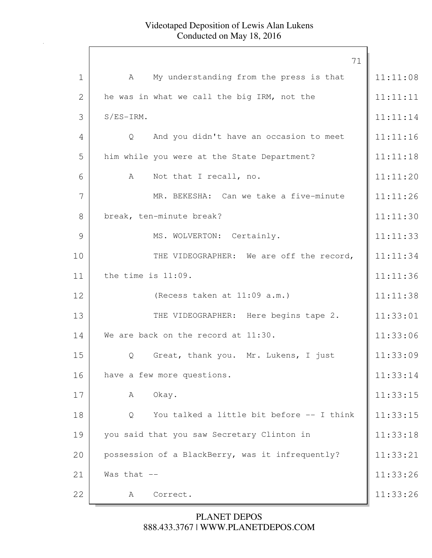|             | 71                                               |          |
|-------------|--------------------------------------------------|----------|
| $\mathbf 1$ | My understanding from the press is that<br>A     | 11:11:08 |
| 2           | he was in what we call the big IRM, not the      | 11:11:11 |
| 3           | $S/ES-IRM$ .                                     | 11:11:14 |
| 4           | And you didn't have an occasion to meet<br>Q     | 11:11:16 |
| 5           | him while you were at the State Department?      | 11:11:18 |
| 6           | Not that I recall, no.<br>A                      | 11:11:20 |
| 7           | MR. BEKESHA: Can we take a five-minute           | 11:11:26 |
| 8           | break, ten-minute break?                         | 11:11:30 |
| 9           | MS. WOLVERTON: Certainly.                        | 11:11:33 |
| 10          | THE VIDEOGRAPHER: We are off the record,         | 11:11:34 |
| 11          | the time is 11:09.                               | 11:11:36 |
| 12          | (Recess taken at 11:09 a.m.)                     | 11:11:38 |
| 13          | THE VIDEOGRAPHER: Here begins tape 2.            | 11:33:01 |
| 14          | We are back on the record at 11:30.              | 11:33:06 |
| 15          | Great, thank you. Mr. Lukens, I just<br>Q        | 11:33:09 |
| 16          | have a few more questions.                       | 11:33:14 |
| 17          | Okay.<br>A                                       | 11:33:15 |
| 18          | You talked a little bit before -- I think<br>Q   | 11:33:15 |
| 19          | you said that you saw Secretary Clinton in       | 11:33:18 |
| 20          | possession of a BlackBerry, was it infrequently? | 11:33:21 |
| 21          | Was that $--$                                    | 11:33:26 |
| 22          | Correct.<br>A                                    | 11:33:26 |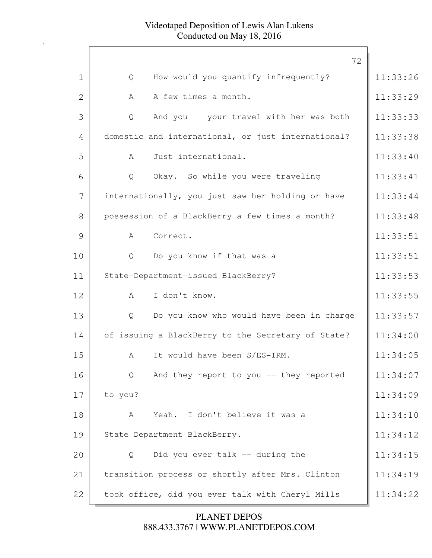|                | 72                                                       |          |
|----------------|----------------------------------------------------------|----------|
| 1              | How would you quantify infrequently?<br>Q                | 11:33:26 |
| $\overline{2}$ | A few times a month.<br>A                                | 11:33:29 |
| 3              | And you -- your travel with her was both<br>$\mathsf{Q}$ | 11:33:33 |
| 4              | domestic and international, or just international?       | 11:33:38 |
| 5              | Just international.<br>$\mathbb A$                       | 11:33:40 |
| 6              | Okay. So while you were traveling<br>Q                   | 11:33:41 |
| 7              | internationally, you just saw her holding or have        | 11:33:44 |
| 8              | possession of a BlackBerry a few times a month?          | 11:33:48 |
| 9              | Correct.<br>$\mathsf{A}$                                 | 11:33:51 |
| 10             | Do you know if that was a<br>Q                           | 11:33:51 |
| 11             | State-Department-issued BlackBerry?                      | 11:33:53 |
| 12             | I don't know.<br>A                                       | 11:33:55 |
| 13             | Do you know who would have been in charge<br>Q           | 11:33:57 |
| 14             | of issuing a BlackBerry to the Secretary of State?       | 11:34:00 |
| 15             | It would have been S/ES-IRM.<br>A                        | 11:34:05 |
| 16             | And they report to you -- they reported<br>Q             | 11:34:07 |
| 17             | to you?                                                  | 11:34:09 |
| 18             | Yeah. I don't believe it was a<br>A                      | 11:34:10 |
| 19             | State Department BlackBerry.                             | 11:34:12 |
| 20             | Did you ever talk -- during the<br>Q                     | 11:34:15 |
| 21             | transition process or shortly after Mrs. Clinton         | 11:34:19 |
| 22             | took office, did you ever talk with Cheryl Mills         | 11:34:22 |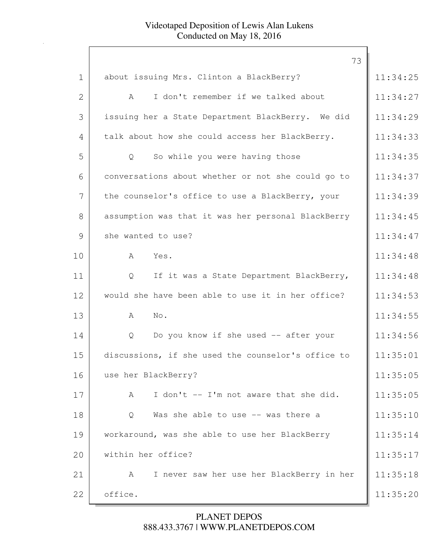|                | 73                                                 |          |
|----------------|----------------------------------------------------|----------|
| $\mathbf 1$    | about issuing Mrs. Clinton a BlackBerry?           | 11:34:25 |
| $\overline{2}$ | I don't remember if we talked about<br>A           | 11:34:27 |
| 3              | issuing her a State Department BlackBerry. We did  | 11:34:29 |
| 4              | talk about how she could access her BlackBerry.    | 11:34:33 |
| 5              | So while you were having those<br>Q                | 11:34:35 |
| 6              | conversations about whether or not she could go to | 11:34:37 |
| 7              | the counselor's office to use a BlackBerry, your   | 11:34:39 |
| 8              | assumption was that it was her personal BlackBerry | 11:34:45 |
| 9              | she wanted to use?                                 | 11:34:47 |
| 10             | Yes.<br>A                                          | 11:34:48 |
| 11             | If it was a State Department BlackBerry,<br>Q      | 11:34:48 |
| 12             | would she have been able to use it in her office?  | 11:34:53 |
| 13             | No.<br>A                                           | 11:34:55 |
| 14             | Do you know if she used -- after your<br>Q         | 11:34:56 |
| 15             | discussions, if she used the counselor's office to | 11:35:01 |
| 16             | use her BlackBerry?                                | 11:35:05 |
| 17             | I don't -- I'm not aware that she did.<br>A        | 11:35:05 |
| 18             | Was she able to use -- was there a<br>Q            | 11:35:10 |
| 19             | workaround, was she able to use her BlackBerry     | 11:35:14 |
| 20             | within her office?                                 | 11:35:17 |
| 21             | I never saw her use her BlackBerry in her<br>A     | 11:35:18 |
| 22             | office.                                            | 11:35:20 |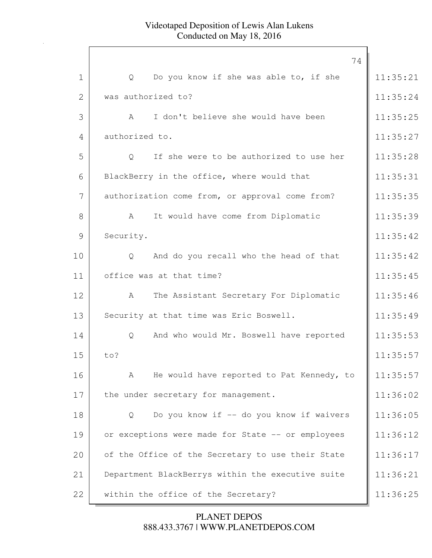|             | 74                                                |          |
|-------------|---------------------------------------------------|----------|
| $\mathbf 1$ | Do you know if she was able to, if she<br>Q       | 11:35:21 |
| 2           | was authorized to?                                | 11:35:24 |
| 3           | I don't believe she would have been<br>A          | 11:35:25 |
| 4           | authorized to.                                    | 11:35:27 |
| 5           | If she were to be authorized to use her<br>Q      | 11:35:28 |
| 6           | BlackBerry in the office, where would that        | 11:35:31 |
| 7           | authorization come from, or approval come from?   | 11:35:35 |
| 8           | It would have come from Diplomatic<br>A           | 11:35:39 |
| 9           | Security.                                         | 11:35:42 |
| 10          | And do you recall who the head of that<br>Q       | 11:35:42 |
| 11          | office was at that time?                          | 11:35:45 |
| 12          | The Assistant Secretary For Diplomatic<br>A       | 11:35:46 |
| 13          | Security at that time was Eric Boswell.           | 11:35:49 |
| 14          | And who would Mr. Boswell have reported<br>Q      | 11:35:53 |
| 15          | to?                                               | 11:35:57 |
| 16          | He would have reported to Pat Kennedy, to<br>A    | 11:35:57 |
| 17          | the under secretary for management.               | 11:36:02 |
| 18          | Do you know if -- do you know if waivers<br>Q     | 11:36:05 |
| 19          | or exceptions were made for State -- or employees | 11:36:12 |
| 20          | of the Office of the Secretary to use their State | 11:36:17 |
| 21          | Department BlackBerrys within the executive suite | 11:36:21 |
| 22          | within the office of the Secretary?               | 11:36:25 |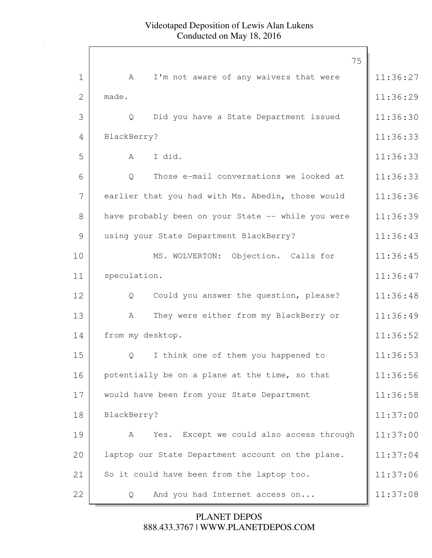|                | 75                                                     |          |
|----------------|--------------------------------------------------------|----------|
| $\mathbf 1$    | I'm not aware of any waivers that were<br>A            | 11:36:27 |
| $\overline{2}$ | made.                                                  | 11:36:29 |
| 3              | Did you have a State Department issued<br>Q            | 11:36:30 |
| 4              | BlackBerry?                                            | 11:36:33 |
| 5              | I did.<br>A                                            | 11:36:33 |
| 6              | Those e-mail conversations we looked at<br>Q           | 11:36:33 |
| 7              | earlier that you had with Ms. Abedin, those would      | 11:36:36 |
| 8              | have probably been on your State -- while you were     | 11:36:39 |
| 9              | using your State Department BlackBerry?                | 11:36:43 |
| 10             | MS. WOLVERTON: Objection. Calls for                    | 11:36:45 |
| 11             | speculation.                                           | 11:36:47 |
| 12             | $\mathsf{Q}$<br>Could you answer the question, please? | 11:36:48 |
| 13             | They were either from my BlackBerry or<br>A            | 11:36:49 |
| 14             | from my desktop.                                       | 11:36:52 |
| 15             | I think one of them you happened to<br>Q               | 11:36:53 |
| 16             | potentially be on a plane at the time, so that         | 11:36:56 |
| 17             | would have been from your State Department             | 11:36:58 |
| 18             | BlackBerry?                                            | 11:37:00 |
| 19             | Yes. Except we could also access through<br>A          | 11:37:00 |
| 20             | laptop our State Department account on the plane.      | 11:37:04 |
| 21             | So it could have been from the laptop too.             | 11:37:06 |
| 22             | And you had Internet access on<br>Q                    | 11:37:08 |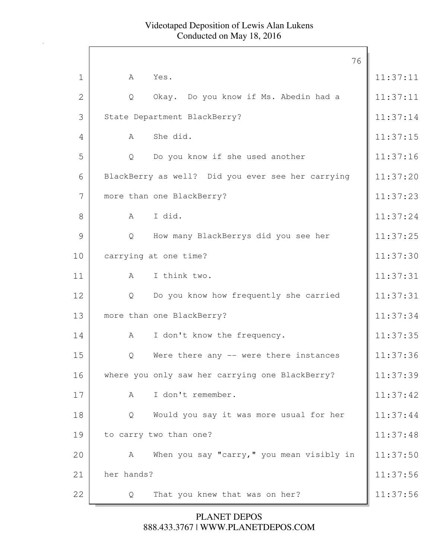|                |             |                                                   | 76 |          |
|----------------|-------------|---------------------------------------------------|----|----------|
| $\mathbf 1$    | A           | Yes.                                              |    | 11:37:11 |
| $\overline{2}$ | Q           | Okay. Do you know if Ms. Abedin had a             |    | 11:37:11 |
| 3              |             | State Department BlackBerry?                      |    | 11:37:14 |
| 4              | A           | She did.                                          |    | 11:37:15 |
| 5              | Q           | Do you know if she used another                   |    | 11:37:16 |
| 6              |             | BlackBerry as well? Did you ever see her carrying |    | 11:37:20 |
| 7              |             | more than one BlackBerry?                         |    | 11:37:23 |
| 8              | $\mathbb A$ | I did.                                            |    | 11:37:24 |
| 9              | Q           | How many BlackBerrys did you see her              |    | 11:37:25 |
| 10             |             | carrying at one time?                             |    | 11:37:30 |
| 11             | A           | I think two.                                      |    | 11:37:31 |
| 12             | Q           | Do you know how frequently she carried            |    | 11:37:31 |
| 13             |             | more than one BlackBerry?                         |    | 11:37:34 |
| 14             | A           | I don't know the frequency.                       |    | 11:37:35 |
| 15             | Q           | Were there any -- were there instances            |    | 11:37:36 |
| 16             |             | where you only saw her carrying one BlackBerry?   |    | 11:37:39 |
| 17             | A           | I don't remember.                                 |    | 11:37:42 |
| 18             | Q           | Would you say it was more usual for her           |    | 11:37:44 |
| 19             |             | to carry two than one?                            |    | 11:37:48 |
| 20             | A           | When you say "carry," you mean visibly in         |    | 11:37:50 |
| 21             | her hands?  |                                                   |    | 11:37:56 |
| 22             | Q           | That you knew that was on her?                    |    | 11:37:56 |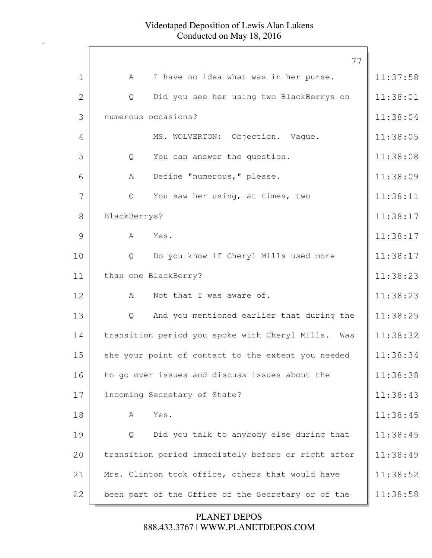|              | 77                                                  |          |
|--------------|-----------------------------------------------------|----------|
| $\mathbf{1}$ | I have no idea what was in her purse.<br>A          | 11:37:58 |
| $\mathbf{2}$ | Did you see her using two BlackBerrys on<br>Q       | 11:38:01 |
| 3            | numerous occasions?                                 | 11:38:04 |
| 4            | MS. WOLVERTON: Objection. Vaque.                    | 11:38:05 |
| 5            | You can answer the question.<br>Q                   | 11:38:08 |
| 6            | Define "numerous," please.<br>A                     | 11:38:09 |
| 7            | You saw her using, at times, two<br>Q               | 11:38:11 |
| 8            | BlackBerrys?                                        | 11:38:17 |
| 9            | A<br>Yes.                                           | 11:38:17 |
| 10           | Do you know if Cheryl Mills used more<br>Q          | 11:38:17 |
| 11           | than one BlackBerry?                                | 11:38:23 |
| 12           | Not that I was aware of.<br>A                       | 11:38:23 |
| 13           | And you mentioned earlier that during the<br>Q      | 11:38:25 |
| 14           | transition period you spoke with Cheryl Mills. Was  | 11:38:32 |
| 15           | she your point of contact to the extent you needed  | 11:38:34 |
| 16           | to go over issues and discuss issues about the      | 11:38:38 |
| 17           | incoming Secretary of State?                        | 11:38:43 |
| 18           | Yes.<br>A                                           | 11:38:45 |
| 19           | Did you talk to anybody else during that<br>Q       | 11:38:45 |
| 20           | transition period immediately before or right after | 11:38:49 |
| 21           | Mrs. Clinton took office, others that would have    | 11:38:52 |
| 22           | been part of the Office of the Secretary or of the  | 11:38:58 |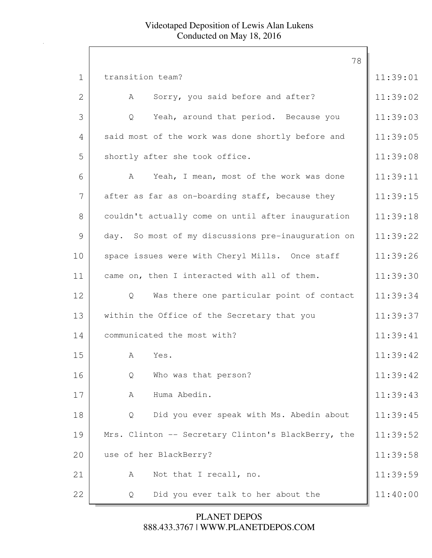|              | 78                                                  |          |
|--------------|-----------------------------------------------------|----------|
| $\mathbf 1$  | transition team?                                    | 11:39:01 |
| $\mathbf{2}$ | Sorry, you said before and after?<br>A              | 11:39:02 |
| 3            | Yeah, around that period. Because you<br>Q          | 11:39:03 |
| 4            | said most of the work was done shortly before and   | 11:39:05 |
| 5            | shortly after she took office.                      | 11:39:08 |
| 6            | Yeah, I mean, most of the work was done<br>A        | 11:39:11 |
| 7            | after as far as on-boarding staff, because they     | 11:39:15 |
| 8            | couldn't actually come on until after inauguration  | 11:39:18 |
| 9            | day. So most of my discussions pre-inauguration on  | 11:39:22 |
| 10           | space issues were with Cheryl Mills. Once staff     | 11:39:26 |
| 11           | came on, then I interacted with all of them.        | 11:39:30 |
| 12           | Was there one particular point of contact<br>Q      | 11:39:34 |
| 13           | within the Office of the Secretary that you         | 11:39:37 |
| 14           | communicated the most with?                         | 11:39:41 |
| 15           | Yes.<br>A                                           | 11:39:42 |
| 16           | Who was that person?<br>Q                           | 11:39:42 |
| 17           | Huma Abedin.<br>A                                   | 11:39:43 |
| 18           | Did you ever speak with Ms. Abedin about<br>Q       | 11:39:45 |
| 19           | Mrs. Clinton -- Secretary Clinton's BlackBerry, the | 11:39:52 |
| 20           | use of her BlackBerry?                              | 11:39:58 |
| 21           | Not that I recall, no.<br>A                         | 11:39:59 |
| 22           | Did you ever talk to her about the<br>Q             | 11:40:00 |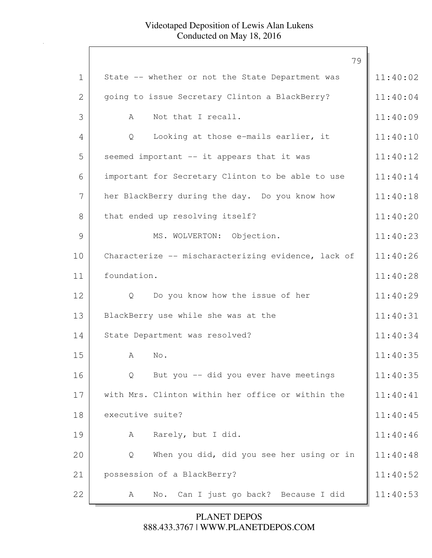|             | 79                                                  |          |
|-------------|-----------------------------------------------------|----------|
| $\mathbf 1$ | State -- whether or not the State Department was    | 11:40:02 |
| 2           | going to issue Secretary Clinton a BlackBerry?      | 11:40:04 |
| 3           | Not that I recall.<br>A                             | 11:40:09 |
| 4           | Looking at those e-mails earlier, it<br>Q           | 11:40:10 |
| 5           | seemed important -- it appears that it was          | 11:40:12 |
| 6           | important for Secretary Clinton to be able to use   | 11:40:14 |
| 7           | her BlackBerry during the day. Do you know how      | 11:40:18 |
| 8           | that ended up resolving itself?                     | 11:40:20 |
| 9           | MS. WOLVERTON: Objection.                           | 11:40:23 |
| 10          | Characterize -- mischaracterizing evidence, lack of | 11:40:26 |
| 11          | foundation.                                         | 11:40:28 |
| 12          | Do you know how the issue of her<br>$\mathsf{Q}$    | 11:40:29 |
| 13          | BlackBerry use while she was at the                 | 11:40:31 |
| 14          | State Department was resolved?                      | 11:40:34 |
| 15          | No.<br>A                                            | 11:40:35 |
| 16          | But you -- did you ever have meetings<br>Q          | 11:40:35 |
| 17          | with Mrs. Clinton within her office or within the   | 11:40:41 |
| 18          | executive suite?                                    | 11:40:45 |
| 19          | Rarely, but I did.<br>A                             | 11:40:46 |
| 20          | When you did, did you see her using or in<br>Q      | 11:40:48 |
| 21          | possession of a BlackBerry?                         | 11:40:52 |
| 22          | Can I just go back? Because I did<br>No.<br>A       | 11:40:53 |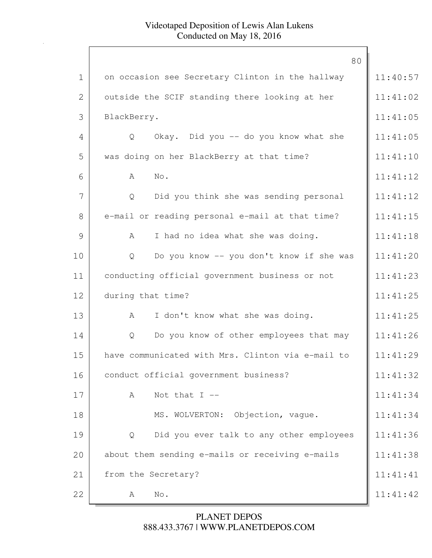|              | 80                                                |          |
|--------------|---------------------------------------------------|----------|
| $\mathbf 1$  | on occasion see Secretary Clinton in the hallway  | 11:40:57 |
| $\mathbf{2}$ | outside the SCIF standing there looking at her    | 11:41:02 |
| 3            | BlackBerry.                                       | 11:41:05 |
| 4            | Okay. Did you -- do you know what she<br>Q        | 11:41:05 |
| 5            | was doing on her BlackBerry at that time?         | 11:41:10 |
| 6            | $\mathrm{No}$ .<br>A                              | 11:41:12 |
| 7            | Did you think she was sending personal<br>Q       | 11:41:12 |
| 8            | e-mail or reading personal e-mail at that time?   | 11:41:15 |
| 9            | I had no idea what she was doing.<br>Α            | 11:41:18 |
| 10           | Do you know -- you don't know if she was<br>Q     | 11:41:20 |
| 11           | conducting official government business or not    | 11:41:23 |
| 12           | during that time?                                 | 11:41:25 |
| 13           | I don't know what she was doing.<br>A             | 11:41:25 |
| 14           | Do you know of other employees that may<br>Q      | 11:41:26 |
| 15           | have communicated with Mrs. Clinton via e-mail to | 11:41:29 |
| 16           | conduct official government business?             | 11:41:32 |
| 17           | Not that $I$ --<br>A                              | 11:41:34 |
| 18           | MS. WOLVERTON: Objection, vague.                  | 11:41:34 |
| 19           | Did you ever talk to any other employees<br>Q     | 11:41:36 |
| 20           | about them sending e-mails or receiving e-mails   | 11:41:38 |
| 21           | from the Secretary?                               | 11:41:41 |
| 22           | No.<br>A                                          | 11:41:42 |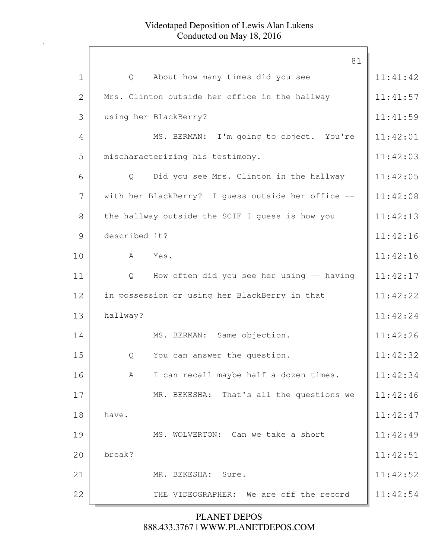|              | 81                                                 |          |
|--------------|----------------------------------------------------|----------|
| $\mathbf 1$  | About how many times did you see<br>Q              | 11:41:42 |
| $\mathbf{2}$ | Mrs. Clinton outside her office in the hallway     | 11:41:57 |
| 3            | using her BlackBerry?                              | 11:41:59 |
| 4            | MS. BERMAN: I'm going to object. You're            | 11:42:01 |
| 5            | mischaracterizing his testimony.                   | 11:42:03 |
| 6            | Did you see Mrs. Clinton in the hallway<br>Q       | 11:42:05 |
| 7            | with her BlackBerry? I guess outside her office -- | 11:42:08 |
| 8            | the hallway outside the SCIF I guess is how you    | 11:42:13 |
| 9            | described it?                                      | 11:42:16 |
| 10           | A<br>Yes.                                          | 11:42:16 |
| 11           | How often did you see her using -- having<br>Q     | 11:42:17 |
| 12           | in possession or using her BlackBerry in that      | 11:42:22 |
| 13           | hallway?                                           | 11:42:24 |
| 14           | MS. BERMAN: Same objection.                        | 11:42:26 |
| 15           | You can answer the question.<br>Q                  | 11:42:32 |
| 16           | I can recall maybe half a dozen times.<br>A        | 11:42:34 |
| 17           | MR. BEKESHA: That's all the questions we           | 11:42:46 |
| 18           | have.                                              | 11:42:47 |
| 19           | MS. WOLVERTON: Can we take a short                 | 11:42:49 |
| 20           | break?                                             | 11:42:51 |
| 21           | MR. BEKESHA: Sure.                                 | 11:42:52 |
| 22           | THE VIDEOGRAPHER: We are off the record            | 11:42:54 |
|              |                                                    |          |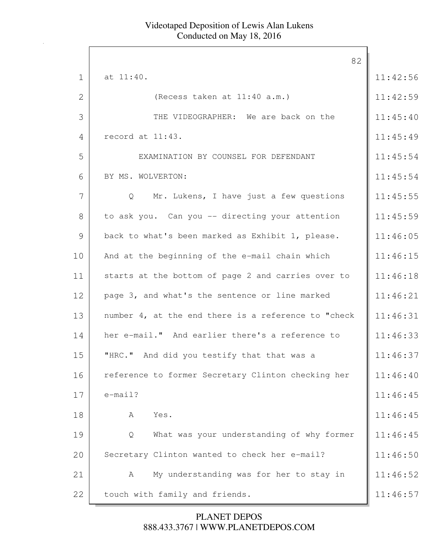|                | 82                                                  |          |
|----------------|-----------------------------------------------------|----------|
| $\mathbf{1}$   | at 11:40.                                           | 11:42:56 |
| $\mathbf{2}$   | (Recess taken at 11:40 a.m.)                        | 11:42:59 |
| 3              | THE VIDEOGRAPHER: We are back on the                | 11:45:40 |
| $\overline{4}$ | record at 11:43.                                    | 11:45:49 |
| 5              | EXAMINATION BY COUNSEL FOR DEFENDANT                | 11:45:54 |
| 6              | BY MS. WOLVERTON:                                   | 11:45:54 |
| 7              | Mr. Lukens, I have just a few questions<br>Q        | 11:45:55 |
| 8              | to ask you. Can you -- directing your attention     | 11:45:59 |
| 9              | back to what's been marked as Exhibit 1, please.    | 11:46:05 |
| 10             | And at the beginning of the e-mail chain which      | 11:46:15 |
| 11             | starts at the bottom of page 2 and carries over to  | 11:46:18 |
| 12             | page 3, and what's the sentence or line marked      | 11:46:21 |
| 13             | number 4, at the end there is a reference to "check | 11:46:31 |
| 14             | her e-mail." And earlier there's a reference to     | 11:46:33 |
| 15             | "HRC." And did you testify that that was a          | 11:46:37 |
| 16             | reference to former Secretary Clinton checking her  | 11:46:40 |
| 17             | $e$ -mail?                                          | 11:46:45 |
| 18             | Yes.<br>А                                           | 11:46:45 |
| 19             | What was your understanding of why former<br>Q      | 11:46:45 |
| 20             | Secretary Clinton wanted to check her e-mail?       | 11:46:50 |
| 21             | My understanding was for her to stay in<br>A        | 11:46:52 |
| 22             | touch with family and friends.                      | 11:46:57 |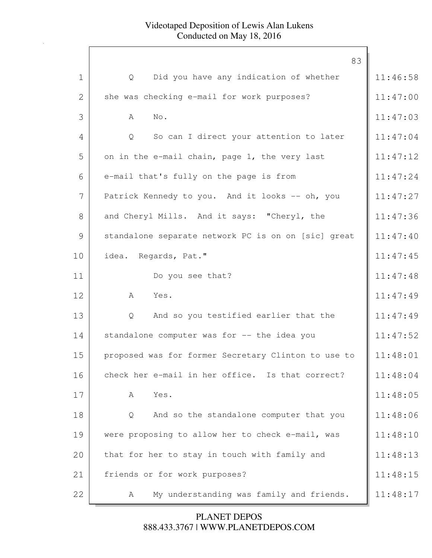|              | 83                                                  |          |
|--------------|-----------------------------------------------------|----------|
| $\mathbf 1$  | Did you have any indication of whether<br>Q         | 11:46:58 |
| $\mathbf{2}$ | she was checking e-mail for work purposes?          | 11:47:00 |
| 3            | No.<br>A                                            | 11:47:03 |
| 4            | So can I direct your attention to later<br>Q        | 11:47:04 |
| 5            | on in the e-mail chain, page 1, the very last       | 11:47:12 |
| 6            | e-mail that's fully on the page is from             | 11:47:24 |
| 7            | Patrick Kennedy to you. And it looks -- oh, you     | 11:47:27 |
| 8            | and Cheryl Mills. And it says: "Cheryl, the         | 11:47:36 |
| 9            | standalone separate network PC is on on [sic] great | 11:47:40 |
| 10           | idea. Regards, Pat."                                | 11:47:45 |
| 11           | Do you see that?                                    | 11:47:48 |
| 12           | A<br>Yes.                                           | 11:47:49 |
| 13           | And so you testified earlier that the<br>Q          | 11:47:49 |
| 14           | standalone computer was for -- the idea you         | 11:47:52 |
| 15           | proposed was for former Secretary Clinton to use to | 11:48:01 |
| 16           | check her e-mail in her office. Is that correct?    | 11:48:04 |
| 17           | Yes.<br>Α                                           | 11:48:05 |
| 18           | And so the standalone computer that you<br>Q        | 11:48:06 |
| 19           | were proposing to allow her to check e-mail, was    | 11:48:10 |
| 20           | that for her to stay in touch with family and       | 11:48:13 |
| 21           | friends or for work purposes?                       | 11:48:15 |
| 22           | My understanding was family and friends.<br>A       | 11:48:17 |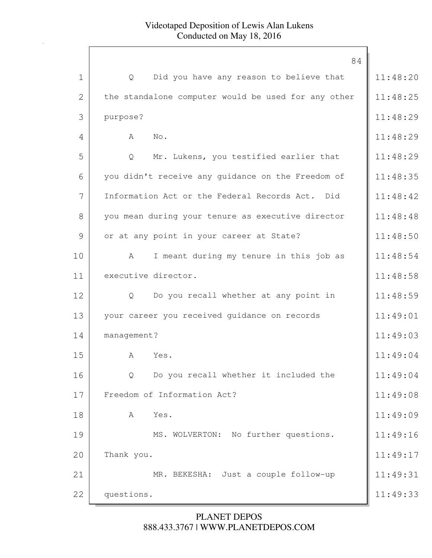|              | 84                                                      |          |
|--------------|---------------------------------------------------------|----------|
| $\mathbf 1$  | Did you have any reason to believe that<br>Q            | 11:48:20 |
| $\mathbf{2}$ | the standalone computer would be used for any other     | 11:48:25 |
|              |                                                         |          |
| 3            | purpose?                                                | 11:48:29 |
| 4            | No.<br>A                                                | 11:48:29 |
| 5            | Mr. Lukens, you testified earlier that<br>Q             | 11:48:29 |
| 6            | you didn't receive any guidance on the Freedom of       | 11:48:35 |
| 7            | Information Act or the Federal Records Act. Did         | 11:48:42 |
| 8            | you mean during your tenure as executive director       | 11:48:48 |
| 9            | or at any point in your career at State?                | 11:48:50 |
| 10           | I meant during my tenure in this job as<br>A            | 11:48:54 |
| 11           | executive director.                                     | 11:48:58 |
| 12           | Do you recall whether at any point in<br>Q              | 11:48:59 |
| 13           | your career you received guidance on records            | 11:49:01 |
| 14           | management?                                             | 11:49:03 |
| 15           | A<br>Yes.                                               | 11:49:04 |
| 16           | Do you recall whether it included the<br>$\overline{Q}$ | 11:49:04 |
| 17           | Freedom of Information Act?                             | 11:49:08 |
| 18           | Yes.<br>A                                               | 11:49:09 |
| 19           | MS. WOLVERTON: No further questions.                    | 11:49:16 |
| 20           | Thank you.                                              | 11:49:17 |
| 21           | MR. BEKESHA: Just a couple follow-up                    | 11:49:31 |
| 22           | questions.                                              | 11:49:33 |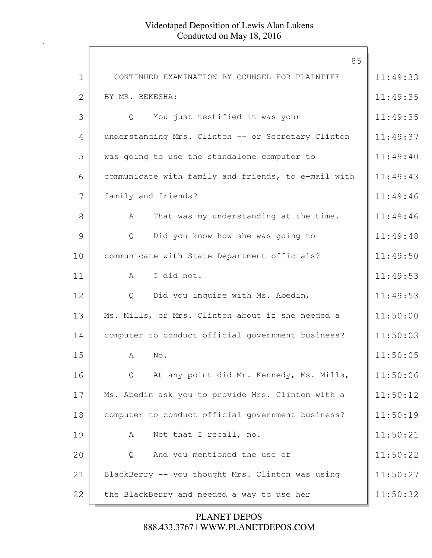|                | 85                                                  |          |
|----------------|-----------------------------------------------------|----------|
| $\mathbf 1$    | CONTINUED EXAMINATION BY COUNSEL FOR PLAINTIFF      | 11:49:33 |
| $\overline{2}$ | BY MR. BEKESHA:                                     | 11:49:35 |
| 3              | You just testified it was your<br>$\overline{Q}$    | 11:49:35 |
| 4              | understanding Mrs. Clinton -- or Secretary Clinton  | 11:49:37 |
| 5              | was going to use the standalone computer to         | 11:49:40 |
| 6              | communicate with family and friends, to e-mail with | 11:49:43 |
| 7              | family and friends?                                 | 11:49:46 |
| 8              | That was my understanding at the time.<br>A         | 11:49:46 |
| 9              | Did you know how she was going to<br>Q              | 11:49:48 |
| 10             | communicate with State Department officials?        | 11:49:50 |
| 11             | I did not.<br>A                                     | 11:49:53 |
| 12             | Did you inquire with Ms. Abedin,<br>Q               | 11:49:53 |
| 13             | Ms. Mills, or Mrs. Clinton about if she needed a    | 11:50:00 |
| 14             | computer to conduct official government business?   | 11:50:03 |
| 15             | No.<br>A                                            | 11:50:05 |
| 16             | At any point did Mr. Kennedy, Ms. Mills,<br>$\circ$ | 11:50:06 |
| 17             | Ms. Abedin ask you to provide Mrs. Clinton with a   | 11:50:12 |
| 18             | computer to conduct official government business?   | 11:50:19 |
| 19             | Not that I recall, no.<br>A                         | 11:50:21 |
| 20             | And you mentioned the use of<br>Q                   | 11:50:22 |
| 21             | BlackBerry -- you thought Mrs. Clinton was using    | 11:50:27 |
| 22             | the BlackBerry and needed a way to use her          | 11:50:32 |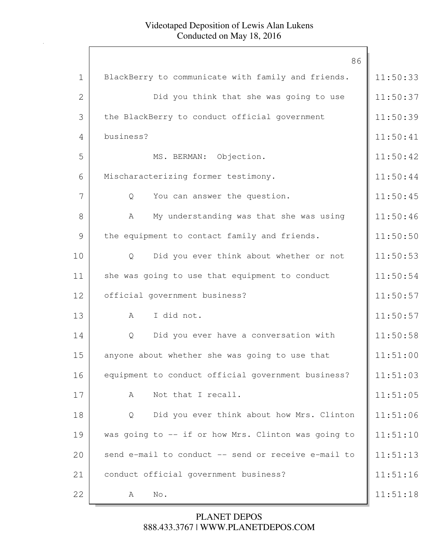| $\mathbf{1}$   | 86                                                  |          |
|----------------|-----------------------------------------------------|----------|
|                | BlackBerry to communicate with family and friends.  | 11:50:33 |
| $\overline{2}$ | Did you think that she was going to use             | 11:50:37 |
| 3              | the BlackBerry to conduct official government       | 11:50:39 |
| 4              | business?                                           | 11:50:41 |
| 5              | MS. BERMAN: Objection.                              | 11:50:42 |
| 6              | Mischaracterizing former testimony.                 | 11:50:44 |
| 7              | You can answer the question.<br>Q                   | 11:50:45 |
| 8              | My understanding was that she was using<br>A        | 11:50:46 |
| 9              | the equipment to contact family and friends.        | 11:50:50 |
| 10             | Did you ever think about whether or not<br>Q        | 11:50:53 |
| 11             | she was going to use that equipment to conduct      | 11:50:54 |
| 12             | official government business?                       | 11:50:57 |
| 13             | I did not.<br>A                                     | 11:50:57 |
| 14             | Did you ever have a conversation with<br>Q          | 11:50:58 |
| 15             | anyone about whether she was going to use that      | 11:51:00 |
| 16             | equipment to conduct official government business?  | 11:51:03 |
| 17             | Not that I recall.<br>A                             | 11:51:05 |
| 18             | Did you ever think about how Mrs. Clinton<br>Q      | 11:51:06 |
| 19             | was going to -- if or how Mrs. Clinton was going to | 11:51:10 |
| 20             | send e-mail to conduct -- send or receive e-mail to | 11:51:13 |
| 21             | conduct official government business?               | 11:51:16 |
| 22             | No.<br>A                                            | 11:51:18 |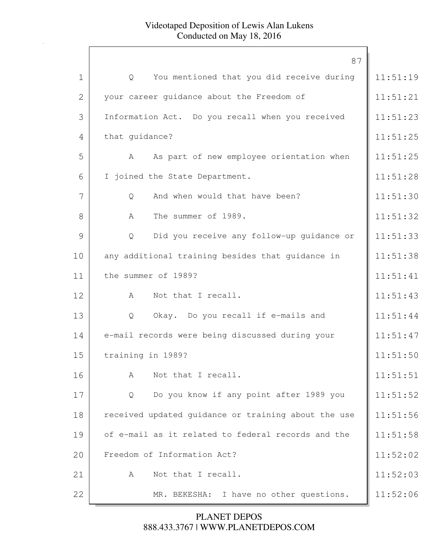|              | 87                                                  |          |
|--------------|-----------------------------------------------------|----------|
| $\mathbf 1$  | You mentioned that you did receive during<br>Q      | 11:51:19 |
| $\mathbf{2}$ | your career guidance about the Freedom of           | 11:51:21 |
| 3            | Information Act. Do you recall when you received    | 11:51:23 |
| 4            | that guidance?                                      | 11:51:25 |
| 5            | As part of new employee orientation when<br>A       | 11:51:25 |
| 6            | I joined the State Department.                      | 11:51:28 |
| 7            | And when would that have been?<br>Q                 | 11:51:30 |
| 8            | The summer of 1989.<br>A                            | 11:51:32 |
| 9            | Did you receive any follow-up quidance or<br>Q      | 11:51:33 |
| 10           | any additional training besides that guidance in    | 11:51:38 |
| 11           | the summer of 1989?                                 | 11:51:41 |
| 12           | Not that I recall.<br>A                             | 11:51:43 |
| 13           | Okay. Do you recall if e-mails and<br>Q             | 11:51:44 |
| 14           | e-mail records were being discussed during your     | 11:51:47 |
| 15           | training in 1989?                                   | 11:51:50 |
| 16           | Not that I recall.<br>A                             | 11:51:51 |
| 17           | Do you know if any point after 1989 you<br>Q        | 11:51:52 |
| 18           | received updated guidance or training about the use | 11:51:56 |
| 19           | of e-mail as it related to federal records and the  | 11:51:58 |
| 20           | Freedom of Information Act?                         | 11:52:02 |
| 21           | Not that I recall.<br>A                             | 11:52:03 |
| 22           | MR. BEKESHA: I have no other questions.             | 11:52:06 |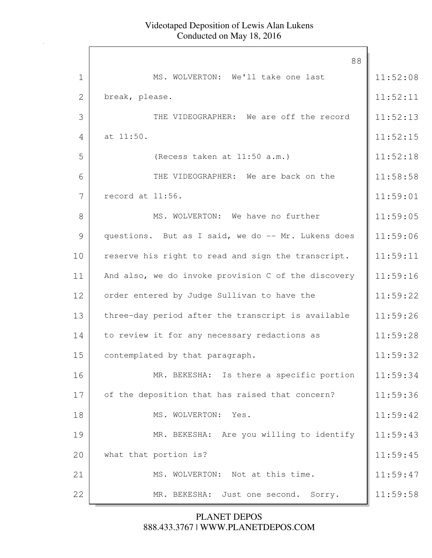|             | 88                                                  |          |
|-------------|-----------------------------------------------------|----------|
| $\mathbf 1$ | MS. WOLVERTON: We'll take one last                  | 11:52:08 |
| 2           | break, please.                                      | 11:52:11 |
| 3           | THE VIDEOGRAPHER: We are off the record             | 11:52:13 |
| 4           | at 11:50.                                           | 11:52:15 |
| 5           | (Recess taken at 11:50 a.m.)                        | 11:52:18 |
| 6           | THE VIDEOGRAPHER: We are back on the                | 11:58:58 |
| 7           | record at 11:56.                                    | 11:59:01 |
| 8           | MS. WOLVERTON: We have no further                   | 11:59:05 |
| 9           | questions. But as I said, we do -- Mr. Lukens does  | 11:59:06 |
| 10          | reserve his right to read and sign the transcript.  | 11:59:11 |
| 11          | And also, we do invoke provision C of the discovery | 11:59:16 |
| 12          | order entered by Judge Sullivan to have the         | 11:59:22 |
| 13          | three-day period after the transcript is available  | 11:59:26 |
| 14          | to review it for any necessary redactions as        | 11:59:28 |
| 15          | contemplated by that paragraph.                     | 11:59:32 |
| 16          | MR. BEKESHA: Is there a specific portion            | 11:59:34 |
| 17          | of the deposition that has raised that concern?     | 11:59:36 |
| 18          | MS. WOLVERTON: Yes.                                 | 11:59:42 |
| 19          | MR. BEKESHA: Are you willing to identify            | 11:59:43 |
| 20          | what that portion is?                               | 11:59:45 |
| 21          | MS. WOLVERTON: Not at this time.                    | 11:59:47 |
| 22          | MR. BEKESHA:<br>Just one second.<br>Sorry.          | 11:59:58 |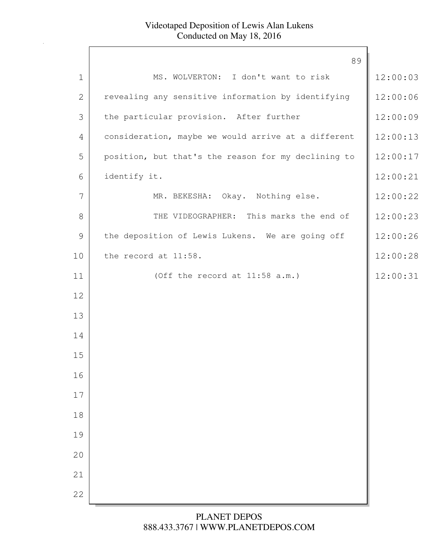| 89<br>MS. WOLVERTON: I don't want to risk<br>$\mathbf 1$<br>$\mathbf{2}$<br>revealing any sensitive information by identifying<br>3<br>the particular provision. After further<br>consideration, maybe we would arrive at a different<br>4<br>5<br>position, but that's the reason for my declining to<br>identify it.<br>6<br>7<br>MR. BEKESHA: Okay. Nothing else.<br>8<br>THE VIDEOGRAPHER: This marks the end of<br>9<br>the deposition of Lewis Lukens. We are going off<br>the record at 11:58.<br>10<br>(Off the record at 11:58 a.m.)<br>11<br>12<br>13<br>14<br>15<br>16<br>17<br>$1\,8$<br>19<br>20<br>21<br>22 |  |          |
|---------------------------------------------------------------------------------------------------------------------------------------------------------------------------------------------------------------------------------------------------------------------------------------------------------------------------------------------------------------------------------------------------------------------------------------------------------------------------------------------------------------------------------------------------------------------------------------------------------------------------|--|----------|
|                                                                                                                                                                                                                                                                                                                                                                                                                                                                                                                                                                                                                           |  |          |
|                                                                                                                                                                                                                                                                                                                                                                                                                                                                                                                                                                                                                           |  | 12:00:03 |
|                                                                                                                                                                                                                                                                                                                                                                                                                                                                                                                                                                                                                           |  | 12:00:06 |
|                                                                                                                                                                                                                                                                                                                                                                                                                                                                                                                                                                                                                           |  | 12:00:09 |
|                                                                                                                                                                                                                                                                                                                                                                                                                                                                                                                                                                                                                           |  | 12:00:13 |
|                                                                                                                                                                                                                                                                                                                                                                                                                                                                                                                                                                                                                           |  | 12:00:17 |
|                                                                                                                                                                                                                                                                                                                                                                                                                                                                                                                                                                                                                           |  | 12:00:21 |
|                                                                                                                                                                                                                                                                                                                                                                                                                                                                                                                                                                                                                           |  | 12:00:22 |
|                                                                                                                                                                                                                                                                                                                                                                                                                                                                                                                                                                                                                           |  | 12:00:23 |
|                                                                                                                                                                                                                                                                                                                                                                                                                                                                                                                                                                                                                           |  | 12:00:26 |
|                                                                                                                                                                                                                                                                                                                                                                                                                                                                                                                                                                                                                           |  | 12:00:28 |
|                                                                                                                                                                                                                                                                                                                                                                                                                                                                                                                                                                                                                           |  | 12:00:31 |
|                                                                                                                                                                                                                                                                                                                                                                                                                                                                                                                                                                                                                           |  |          |
|                                                                                                                                                                                                                                                                                                                                                                                                                                                                                                                                                                                                                           |  |          |
|                                                                                                                                                                                                                                                                                                                                                                                                                                                                                                                                                                                                                           |  |          |
|                                                                                                                                                                                                                                                                                                                                                                                                                                                                                                                                                                                                                           |  |          |
|                                                                                                                                                                                                                                                                                                                                                                                                                                                                                                                                                                                                                           |  |          |
|                                                                                                                                                                                                                                                                                                                                                                                                                                                                                                                                                                                                                           |  |          |
|                                                                                                                                                                                                                                                                                                                                                                                                                                                                                                                                                                                                                           |  |          |
|                                                                                                                                                                                                                                                                                                                                                                                                                                                                                                                                                                                                                           |  |          |
|                                                                                                                                                                                                                                                                                                                                                                                                                                                                                                                                                                                                                           |  |          |
|                                                                                                                                                                                                                                                                                                                                                                                                                                                                                                                                                                                                                           |  |          |
|                                                                                                                                                                                                                                                                                                                                                                                                                                                                                                                                                                                                                           |  |          |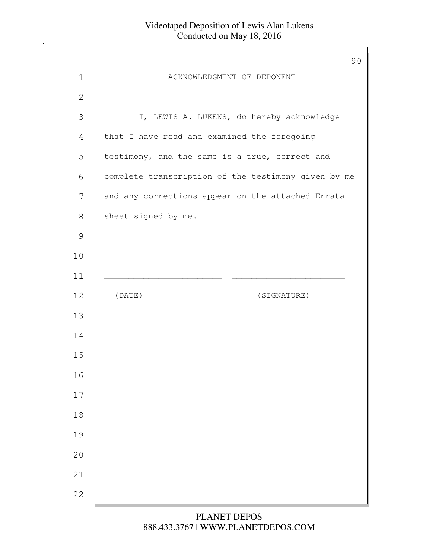Г

|               | 90                                                  |
|---------------|-----------------------------------------------------|
| 1             | ACKNOWLEDGMENT OF DEPONENT                          |
| 2             |                                                     |
| 3             | I, LEWIS A. LUKENS, do hereby acknowledge           |
| 4             | that I have read and examined the foregoing         |
| 5             | testimony, and the same is a true, correct and      |
| 6             | complete transcription of the testimony given by me |
| 7             | and any corrections appear on the attached Errata   |
| 8             | sheet signed by me.                                 |
| $\mathcal{G}$ |                                                     |
| 10            |                                                     |
| 11            |                                                     |
| 12            | (DATE)<br>(SIGNATURE)                               |
| 13            |                                                     |
| 14            |                                                     |
| 15            |                                                     |
| 16            |                                                     |
| 17            |                                                     |
| 18            |                                                     |
| 19            |                                                     |
| 20            |                                                     |
| 21            |                                                     |
| 22            |                                                     |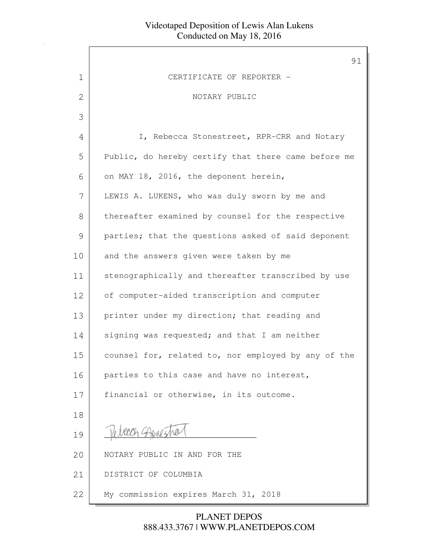$\Gamma$ 

|              | 91                                                  |
|--------------|-----------------------------------------------------|
| 1            | CERTIFICATE OF REPORTER -                           |
| $\mathbf{2}$ | NOTARY PUBLIC                                       |
| 3            |                                                     |
| 4            | I, Rebecca Stonestreet, RPR-CRR and Notary          |
| 5            | Public, do hereby certify that there came before me |
| 6            | on MAY 18, 2016, the deponent herein,               |
| 7            | LEWIS A. LUKENS, who was duly sworn by me and       |
| 8            | thereafter examined by counsel for the respective   |
| 9            | parties; that the questions asked of said deponent  |
| 10           | and the answers given were taken by me              |
| 11           | stenographically and thereafter transcribed by use  |
| 12           | of computer-aided transcription and computer        |
| 13           | printer under my direction; that reading and        |
| 14           | signing was requested; and that I am neither        |
| 15           | counsel for, related to, nor employed by any of the |
| 16           | parties to this case and have no interest,          |
| 17           | financial or otherwise, in its outcome.             |
| 18           |                                                     |
| 19           |                                                     |
| 20           | NOTARY PUBLIC IN AND FOR THE                        |
| 21           | DISTRICT OF COLUMBIA                                |
| 22           | My commission expires March 31, 2018                |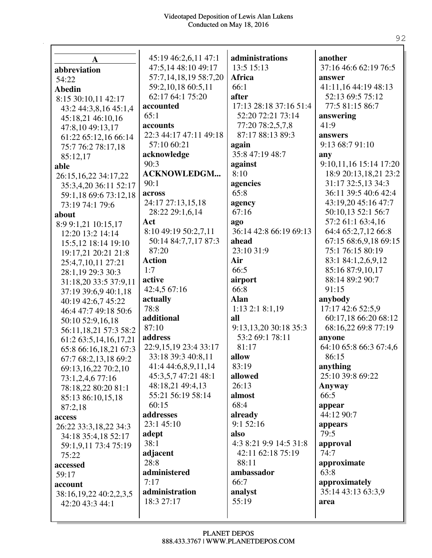| $\mathbf A$            | 45:19 46:2,6,11 47:1   | administrations        | another                       |
|------------------------|------------------------|------------------------|-------------------------------|
|                        | 47:5,14 48:10 49:17    | 13:5 15:13             | 37:16 46:6 62:19 76:5         |
| abbreviation           | 57:7,14,18,19 58:7,20  | Africa                 | answer                        |
| 54:22                  | 59:2,10,18 60:5,11     | 66:1                   | 41:11,16 44:19 48:13          |
| <b>Abedin</b>          | 62:17 64:1 75:20       | after                  | 52:13 69:5 75:12              |
| 8:15 30:10,11 42:17    | accounted              | 17:13 28:18 37:16 51:4 | 77:5 81:15 86:7               |
| 43:2 44:3,8,16 45:1,4  | 65:1                   | 52:20 72:21 73:14      | answering                     |
| 45:18,21 46:10,16      | accounts               | 77:20 78:2,5,7,8       | 41:9                          |
| 47:8,10 49:13,17       | 22:3 44:17 47:11 49:18 | 87:17 88:13 89:3       | answers                       |
| 61:22 65:12,16 66:14   | 57:10 60:21            | again                  | 9:13 68:7 91:10               |
| 75:7 76:2 78:17,18     |                        | 35:8 47:19 48:7        |                               |
| 85:12,17               | acknowledge<br>90:3    |                        | any<br>9:10,11,16 15:14 17:20 |
| able                   |                        | against<br>8:10        |                               |
| 26:15,16,22 34:17,22   | <b>ACKNOWLEDGM</b>     |                        | 18:9 20:13,18,21 23:2         |
| 35:3,4,20 36:11 52:17  | 90:1                   | agencies<br>65:8       | 31:17 32:5,13 34:3            |
| 59:1,18 69:6 73:12,18  | across                 |                        | 36:11 39:5 40:6 42:4          |
| 73:19 74:1 79:6        | 24:17 27:13,15,18      | agency                 | 43:19,20 45:16 47:7           |
| about                  | 28:22 29:1,6,14        | 67:16                  | 50:10,13 52:1 56:7            |
| 8:9 9:1,21 10:15,17    | Act                    | ago                    | 57:2 61:1 63:4,16             |
| 12:20 13:2 14:14       | 8:10 49:19 50:2,7,11   | 36:14 42:8 66:19 69:13 | 64:4 65:2,7,12 66:8           |
| 15:5,12 18:14 19:10    | 50:14 84:7,7,17 87:3   | ahead                  | 67:15 68:6,9,18 69:15         |
| 19:17,21 20:21 21:8    | 87:20                  | 23:10 31:9             | 75:1 76:15 80:19              |
| 25:4,7,10,11 27:21     | <b>Action</b>          | Air                    | 83:1 84:1,2,6,9,12            |
| 28:1,19 29:3 30:3      | 1:7                    | 66:5                   | 85:16 87:9,10,17              |
| 31:18,20 33:5 37:9,11  | active                 | airport                | 88:14 89:2 90:7               |
| 37:19 39:6,9 40:1,18   | 42:4,5 67:16           | 66:8                   | 91:15                         |
| 40:19 42:6,7 45:22     | actually               | <b>Alan</b>            | anybody                       |
| 46:4 47:7 49:18 50:6   | 78:8                   | $1:13$ $2:1$ $8:1,19$  | 17:17 42:6 52:5,9             |
| 50:10 52:9,16,18       | additional             | all                    | 60:17,18 66:20 68:12          |
| 56:11,18,21 57:3 58:2  | 87:10                  | 9:13,13,20 30:18 35:3  | 68:16,22 69:8 77:19           |
| 61:2 63:5,14,16,17,21  | address                | 53:2 69:1 78:11        | anyone                        |
| 65:8 66:16,18,21 67:3  | 22:9,15,19 23:4 33:17  | 81:17                  | 64:10 65:8 66:3 67:4,6        |
| 67:7 68:2,13,18 69:2   | 33:18 39:3 40:8,11     | allow                  | 86:15                         |
| 69:13,16,22 70:2,10    | 41:4 44:6,8,9,11,14    | 83:19                  | anything                      |
| 73:1,2,4,6 77:16       | 45:3,5,7 47:21 48:1    | allowed                | 25:10 39:8 69:22              |
| 78:18,22 80:20 81:1    | 48:18,21 49:4,13       | 26:13                  | Anyway                        |
| 85:13 86:10,15,18      | 55:21 56:19 58:14      | almost                 | 66:5                          |
| 87:2,18                | 60:15                  | 68:4                   | appear                        |
| access                 | addresses              | already                | 44:12 90:7                    |
| 26:22 33:3,18,22 34:3  | 23:145:10              | 9:1 52:16              | appears                       |
| 34:18 35:4,18 52:17    | adept                  | also                   | 79:5                          |
| 59:1,9,11 73:4 75:19   | 38:1                   | 4:3 8:21 9:9 14:5 31:8 | approval                      |
| 75:22                  | adjacent               | 42:11 62:18 75:19      | 74:7                          |
| accessed               | 28:8                   | 88:11                  | approximate                   |
| 59:17                  | administered           | ambassador             | 63:8                          |
| account                | 7:17                   | 66:7                   | approximately                 |
| 38:16,19,22 40:2,2,3,5 | administration         | analyst                | 35:14 43:13 63:3,9            |
| 42:20 43:3 44:1        | 18:3 27:17             | 55:19                  | area                          |
|                        |                        |                        |                               |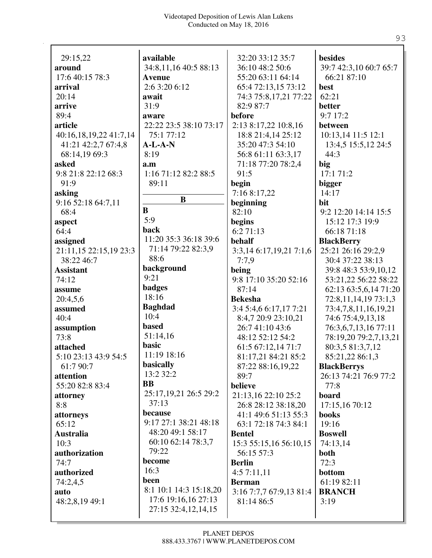| 29:15,22               | available                 | 32:20 33:12 35:7        | besides                |
|------------------------|---------------------------|-------------------------|------------------------|
| around                 | 34:8,11,16 40:5 88:13     | 36:10 48:2 50:6         | 39:7 42:3,10 60:7 65:7 |
| 17:6 40:15 78:3        | <b>Avenue</b>             | 55:20 63:11 64:14       | 66:21 87:10            |
| arrival                | 2:6 3:20 6:12             | 65:4 72:13,15 73:12     | best                   |
| 20:14                  | await                     | 74:3 75:8,17,21 77:22   | 62:21                  |
| arrive                 | 31:9                      | 82:9 87:7               | better                 |
| 89:4                   | aware                     | before                  | 9:7 17:2               |
| article                | 22:22 23:5 38:10 73:17    | 2:13 8:17,22 10:8,16    | between                |
| 40:16,18,19,22 41:7,14 | 75:1 77:12                | 18:8 21:4,14 25:12      | 10:13,14 11:5 12:1     |
| 41:21 42:2,7 67:4,8    | $A-L-A-N$                 | 35:20 47:3 54:10        | 13:4,5 15:5,12 24:5    |
| 68:14,19 69:3          | 8:19                      | 56:8 61:11 63:3,17      | 44:3                   |
| asked                  | a.m                       | 71:18 77:20 78:2,4      | big                    |
| 9:8 21:8 22:12 68:3    | 1:16 71:12 82:2 88:5      | 91:5                    | 17:1 71:2              |
| 91:9                   | 89:11                     | begin                   | bigger                 |
| asking                 |                           | 7:16 8:17,22            | 14:17                  |
| 9:16 52:18 64:7,11     | $\bf{B}$                  | beginning               | bit                    |
| 68:4                   | $\bf{B}$                  | 82:10                   | 9:2 12:20 14:14 15:5   |
| aspect                 | 5:9                       | begins                  | 15:12 17:3 19:9        |
| 64:4                   | back                      | 6:271:13                | 66:18 71:18            |
| assigned               | 11:20 35:3 36:18 39:6     | behalf                  | <b>BlackBerry</b>      |
| 21:11,15 22:15,19 23:3 | 71:14 79:22 82:3,9        | 3:3,14 6:17,19,21 7:1,6 | 25:21 26:16 29:2,9     |
| 38:22 46:7             | 88:6                      | 7:7,9                   | 30:4 37:22 38:13       |
| <b>Assistant</b>       | background                | being                   | 39:8 48:3 53:9,10,12   |
| 74:12                  | 9:21                      | 9:8 17:10 35:20 52:16   | 53:21,22 56:22 58:22   |
| assume                 | <b>badges</b>             | 87:14                   | 62:13 63:5,6,14 71:20  |
| 20:4,5,6               | 18:16                     | <b>Bekesha</b>          | 72:8,11,14,19 73:1,3   |
| assumed                | <b>Baghdad</b>            | 3:4 5:4,6 6:17,17 7:21  | 73:4,7,8,11,16,19,21   |
| 40:4                   | 10:4                      | 8:4,7 20:9 23:10,21     | 74:6 75:4,9,13,18      |
| assumption             | <b>based</b>              | 26:7 41:10 43:6         | 76:3,6,7,13,16 77:11   |
| 73:8                   | 51:14,16                  | 48:12 52:12 54:2        | 78:19,20 79:2,7,13,21  |
| attached               | basic                     | 61:5 67:12,14 71:7      | 80:3,5 81:3,7,12       |
| 5:10 23:13 43:9 54:5   | 11:19 18:16               | 81:17,21 84:21 85:2     | 85:21,22 86:1,3        |
| 61:7 90:7              | basically                 | 87:22 88:16,19,22       | <b>BlackBerrys</b>     |
| attention              | 13:2 32:2                 | 89:7                    | 26:13 74:21 76:9 77:2  |
| 55:20 82:8 83:4        | <b>BB</b>                 | believe                 | 77:8                   |
| attorney               | 25:17, 19, 21 26: 5 29: 2 | 21:13,16 22:10 25:2     | board                  |
| 8:8                    | 37:13                     | 26:8 28:12 38:18,20     | 17:15,16 70:12         |
| attorneys              | because                   | 41:1 49:6 51:13 55:3    | <b>books</b>           |
| 65:12                  | 9:17 27:1 38:21 48:18     | 63:1 72:18 74:3 84:1    | 19:16                  |
| <b>Australia</b>       | 48:20 49:1 58:17          | <b>Bentel</b>           | <b>Boswell</b>         |
| 10:3                   | 60:10 62:14 78:3,7        | 15:3 55:15,16 56:10,15  | 74:13,14               |
| authorization          | 79:22                     | 56:15 57:3              | both                   |
| 74:7                   | become                    | <b>Berlin</b>           | 72:3                   |
| authorized             | 16:3                      | 4:57:11,11              | bottom                 |
| 74:2,4,5               | been                      | <b>Berman</b>           | 61:19 82:11            |
| auto                   | 8:1 10:1 14:3 15:18,20    | 3:16 7:7,7 67:9,13 81:4 | <b>BRANCH</b>          |
| 48:2,8,19 49:1         | 17:6 19:16,16 27:13       | 81:14 86:5              | 3:19                   |
|                        | 27:15 32:4,12,14,15       |                         |                        |
|                        |                           |                         |                        |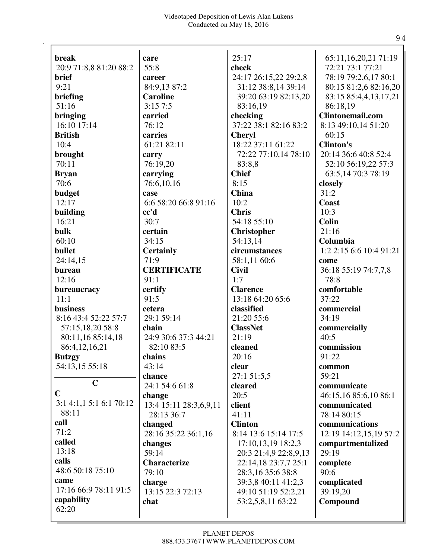| <b>break</b>           | care                   | 25:17                 | 65:11,16,20,21 71:19    |
|------------------------|------------------------|-----------------------|-------------------------|
| 20:9 71:8,8 81:20 88:2 | 55:8                   | check                 | 72:21 73:1 77:21        |
| brief                  | career                 | 24:17 26:15,22 29:2,8 | 78:19 79:2,6,17 80:1    |
| 9:21                   | 84:9,13 87:2           | 31:12 38:8,14 39:14   | 80:15 81:2,6 82:16,20   |
| briefing               | <b>Caroline</b>        | 39:20 63:19 82:13,20  | 83:15 85:4,4,13,17,21   |
| 51:16                  | 3:157:5                | 83:16,19              | 86:18,19                |
| bringing               | carried                | checking              | <b>Clintonemail.com</b> |
| 16:10 17:14            | 76:12                  | 37:22 38:1 82:16 83:2 | 8:13 49:10,14 51:20     |
| <b>British</b>         | carries                | <b>Cheryl</b>         | 60:15                   |
| 10:4                   | 61:21 82:11            | 18:22 37:11 61:22     | <b>Clinton's</b>        |
| brought                | carry                  | 72:22 77:10,14 78:10  | 20:14 36:6 40:8 52:4    |
| 70:11                  | 76:19,20               | 83:8,8                | 52:10 56:19,22 57:3     |
| <b>Bryan</b>           | carrying               | <b>Chief</b>          | 63:5,14 70:3 78:19      |
| 70:6                   | 76:6,10,16             | 8:15                  | closely                 |
| budget                 | case                   | China                 | 31:2                    |
| 12:17                  | 6:6 58:20 66:8 91:16   | 10:2                  | <b>Coast</b>            |
| building               | cc'd                   | <b>Chris</b>          | 10:3                    |
| 16:21                  | 30:7                   | 54:18 55:10           | <b>Colin</b>            |
| bulk                   | certain                | <b>Christopher</b>    | 21:16                   |
| 60:10                  | 34:15                  | 54:13,14              | Columbia                |
| bullet                 | <b>Certainly</b>       | circumstances         | 1:2 2:15 6:6 10:4 91:21 |
| 24:14,15               | 71:9                   | 58:1,11 60:6          | come                    |
| bureau                 | <b>CERTIFICATE</b>     | <b>Civil</b>          | 36:18 55:19 74:7,7,8    |
| 12:16                  | 91:1                   | 1:7                   | 78:8                    |
| bureaucracy            | certify                | <b>Clarence</b>       | comfortable             |
| 11:1                   | 91:5                   | 13:18 64:20 65:6      | 37:22                   |
| business               | cetera                 | classified            | commercial              |
| 8:16 43:4 52:22 57:7   | 29:1 59:14             | 21:20 55:6            | 34:19                   |
| 57:15,18,20 58:8       | chain                  | <b>ClassNet</b>       | commercially            |
| 80:11,16 85:14,18      | 24:9 30:6 37:3 44:21   | 21:19                 | 40:5                    |
| 86:4,12,16,21          | 82:10 83:5             | cleaned               | commission              |
| <b>Butzgy</b>          | chains                 | 20:16                 | 91:22                   |
| 54:13,15 55:18         | 43:14                  | clear                 | common                  |
|                        | chance                 | 27:1 51:5,5           | 59:21                   |
| $\mathbf C$            | 24:1 54:6 61:8         | cleared               | communicate             |
| $\mathbf C$            | change                 | 20:5                  | 46:15,16 85:6,10 86:1   |
| 3:14:1,15:16:170:12    | 13:4 15:11 28:3,6,9,11 | client                | communicated            |
| 88:11                  | 28:13 36:7             | 41:11                 | 78:14 80:15             |
| call                   | changed                | <b>Clinton</b>        | communications          |
| 71:2                   | 28:16 35:22 36:1,16    | 8:14 13:6 15:14 17:5  | 12:19 14:12,15,19 57:2  |
| called                 | changes                | 17:10,13,19 18:2,3    | compartmentalized       |
| 13:18                  | 59:14                  | 20:3 21:4,9 22:8,9,13 | 29:19                   |
| calls                  | <b>Characterize</b>    | 22:14,18 23:7,7 25:1  | complete                |
| 48:6 50:18 75:10       | 79:10                  | 28:3,16 35:6 38:8     | 90:6                    |
| came                   | charge                 | 39:3,8 40:11 41:2,3   | complicated             |
| 17:16 66:9 78:11 91:5  | 13:15 22:3 72:13       | 49:10 51:19 52:2,21   | 39:19,20                |
| capability             | chat                   | 53:2,5,8,11 63:22     | Compound                |
| 62:20                  |                        |                       |                         |
|                        |                        |                       |                         |

94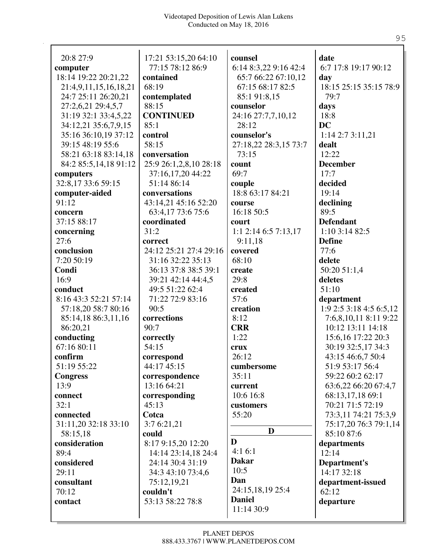| 20:8 27:9             | 17:21 53:15,20 64:10   | counsel                | date                    |
|-----------------------|------------------------|------------------------|-------------------------|
| computer              | 77:15 78:12 86:9       | 6:14 8:3,22 9:16 42:4  | 6:7 17:8 19:17 90:12    |
| 18:14 19:22 20:21,22  | contained              | 65:7 66:22 67:10,12    | day                     |
| 21:4,9,11,15,16,18,21 | 68:19                  | 67:15 68:17 82:5       | 18:15 25:15 35:15 78:9  |
| 24:7 25:11 26:20,21   | contemplated           | 85:1 91:8,15           | 79:7                    |
| 27:2,6,21 29:4,5,7    | 88:15                  | counselor              | days                    |
| 31:19 32:1 33:4,5,22  | <b>CONTINUED</b>       | 24:16 27:7,7,10,12     | 18:8                    |
| 34:12,21 35:6,7,9,15  | 85:1                   | 28:12                  | <b>DC</b>               |
| 35:16 36:10,19 37:12  | control                | counselor's            | 1:14 2:7 3:11,21        |
| 39:15 48:19 55:6      | 58:15                  | 27:18,22 28:3,15 73:7  | dealt                   |
| 58:21 63:18 83:14,18  | conversation           | 73:15                  | 12:22                   |
| 84:2 85:5,14,18 91:12 | 25:9 26:1,2,8,10 28:18 | count                  | <b>December</b>         |
| computers             | 37:16,17,20 44:22      | 69:7                   | 17:7                    |
| 32:8,17 33:6 59:15    | 51:14 86:14            | couple                 | decided                 |
| computer-aided        | conversations          | 18:8 63:17 84:21       | 19:14                   |
| 91:12                 | 43:14,21 45:16 52:20   | course                 | declining               |
| concern               | 63:4,17 73:6 75:6      | 16:18 50:5             | 89:5                    |
| 37:15 88:17           | coordinated            | court                  | <b>Defendant</b>        |
| concerning            | 31:2                   | $1:1$ 2:14 6:5 7:13,17 | 1:10 3:14 82:5          |
| 27:6                  | correct                | 9:11,18                | <b>Define</b>           |
|                       |                        |                        | 77:6                    |
| conclusion            | 24:12 25:21 27:4 29:16 | covered                |                         |
| 7:20 50:19            | 31:16 32:22 35:13      | 68:10                  | delete                  |
| Condi                 | 36:13 37:8 38:5 39:1   | create                 | 50:20 51:1,4            |
| 16:9                  | 39:21 42:14 44:4,5     | 29:8                   | deletes                 |
| conduct               | 49:5 51:22 62:4        | created                | 51:10                   |
| 8:16 43:3 52:21 57:14 | 71:22 72:9 83:16       | 57:6                   | department              |
| 57:18,20 58:7 80:16   | 90:5                   | creation               | 1:9 2:5 3:18 4:5 6:5,12 |
| 85:14,18 86:3,11,16   | corrections            | 8:12                   | 7:6,8,10,11 8:11 9:22   |
| 86:20,21              | 90:7                   | <b>CRR</b>             | 10:12 13:11 14:18       |
| conducting            | correctly              | 1:22                   | 15:6,16 17:22 20:3      |
| 67:16 80:11           | 54:15                  | crux                   | 30:19 32:5,17 34:3      |
| confirm               | correspond             | 26:12                  | 43:15 46:6,7 50:4       |
| 51:19 55:22           | 44:17 45:15            | cumbersome             | 51:9 53:17 56:4         |
| <b>Congress</b>       | correspondence         | 35:11                  | 59:22 60:2 62:17        |
| 13:9                  | 13:16 64:21            | current                | 63:6,22 66:20 67:4,7    |
| connect               | corresponding          | 10:6 16:8              | 68:13,17,18 69:1        |
| 32:1                  | 45:13                  | customers              | 70:21 71:5 72:19        |
| connected             | Cotca                  | 55:20                  | 73:3,11 74:21 75:3,9    |
| 31:11,20 32:18 33:10  | 3:7 6:21,21            |                        | 75:17,20 76:3 79:1,14   |
| 58:15,18              | could                  | D                      | 85:10 87:6              |
| consideration         | 8:17 9:15,20 12:20     | D                      | departments             |
| 89:4                  |                        | 4:16:1                 | 12:14                   |
|                       | 14:14 23:14,18 24:4    | <b>Dakar</b>           |                         |
| considered            | 24:14 30:4 31:19       | 10:5                   | Department's            |
| 29:11                 | 34:3 43:10 73:4,6      | Dan                    | 14:17 32:18             |
| consultant            | 75:12,19,21            |                        | department-issued       |
| 70:12                 | couldn't               | 24:15,18,19 25:4       | 62:12                   |
| contact               | 53:13 58:22 78:8       | <b>Daniel</b>          | departure               |
|                       |                        | 11:14 30:9             |                         |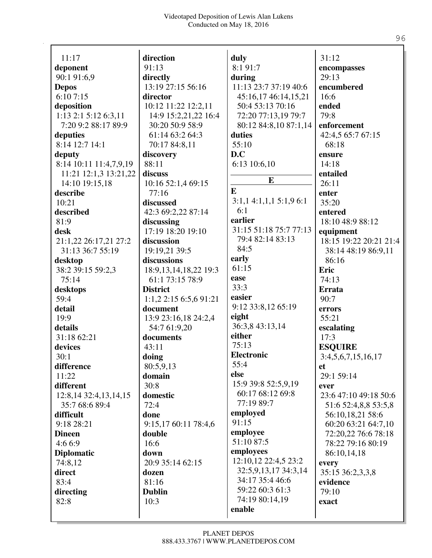| 11:17                  | direction                 | duly                   | 31:12                  |
|------------------------|---------------------------|------------------------|------------------------|
| deponent               | 91:13                     | 8:1 91:7               | encompasses            |
| 90:1 91:6,9            | directly                  | during                 | 29:13                  |
| <b>Depos</b>           | 13:19 27:15 56:16         | 11:13 23:7 37:19 40:6  | encumbered             |
| 6:107:15               | director                  | 45:16,17 46:14,15,21   | 16:6                   |
| deposition             | 10:12 11:22 12:2,11       | 50:4 53:13 70:16       | ended                  |
| 1:13 2:1 5:12 6:3,11   | 14:9 15:2,21,22 16:4      | 72:20 77:13,19 79:7    | 79:8                   |
| 7:20 9:2 88:17 89:9    | 30:20 50:9 58:9           | 80:12 84:8,10 87:1,14  | enforcement            |
| deputies               | 61:14 63:2 64:3           | duties                 | 42:4,5 65:7 67:15      |
| 8:14 12:7 14:1         | 70:17 84:8,11             | 55:10                  | 68:18                  |
| deputy                 | discovery                 | D.C                    | ensure                 |
| 8:14 10:11 11:4,7,9,19 | 88:11                     | 6:13 10:6,10           | 14:18                  |
| 11:21 12:1,3 13:21,22  | discuss                   |                        | entailed               |
| 14:10 19:15,18         | 10:16 52:1,4 69:15        | E                      | 26:11                  |
| describe               | 77:16                     | E                      | enter                  |
| 10:21                  | discussed                 | 3:1,14:1,1,15:1,96:1   | 35:20                  |
| described              | 42:3 69:2,22 87:14        | 6:1                    | entered                |
| 81:9                   | discussing                | earlier                | 18:10 48:9 88:12       |
| desk                   | 17:19 18:20 19:10         | 31:15 51:18 75:7 77:13 | equipment              |
| 21:1,22 26:17,21 27:2  | discussion                | 79:4 82:14 83:13       | 18:15 19:22 20:21 21:4 |
| 31:13 36:7 55:19       | 19:19,21 39:5             | 84:5                   | 38:14 48:19 86:9,11    |
| desktop                | discussions               | early                  | 86:16                  |
| 38:2 39:15 59:2,3      | 18:9, 13, 14, 18, 22 19:3 | 61:15                  | Eric                   |
| 75:14                  | 61:1 73:15 78:9           | ease                   | 74:13                  |
| desktops               | <b>District</b>           | 33:3                   | <b>Errata</b>          |
| 59:4                   | 1:1,2 2:15 6:5,6 91:21    | easier                 | 90:7                   |
| detail                 | document                  | 9:12 33:8,12 65:19     | errors                 |
| 19:9                   | 13:9 23:16,18 24:2,4      | eight                  | 55:21                  |
| details                | 54:7 61:9,20              | 36:3,8 43:13,14        | escalating             |
| 31:18 62:21            | documents                 | either                 | 17:3                   |
| devices                | 43:11                     | 75:13                  | <b>ESQUIRE</b>         |
| 30:1                   | doing                     | <b>Electronic</b>      | 3:4,5,6,7,15,16,17     |
| difference             | 80:5,9,13                 | 55:4                   | et                     |
| 11:22                  | domain                    | else                   | 29:1 59:14             |
| different              | 30:8                      | 15:9 39:8 52:5,9,19    | ever                   |
| 12:8,14 32:4,13,14,15  | domestic                  | 60:17 68:12 69:8       | 23:6 47:10 49:18 50:6  |
| 35:7 68:6 89:4         | 72:4                      | 77:19 89:7             | 51:6 52:4,8,8 53:5,8   |
| difficult              | done                      | employed               | 56:10,18,21 58:6       |
| 9:18 28:21             | 9:15,17 60:11 78:4,6      | 91:15                  | 60:20 63:21 64:7,10    |
| <b>Dineen</b>          | double                    | employee               | 72:20,22 76:6 78:18    |
| 4:6 6:9                | 16:6                      | 51:10 87:5             | 78:22 79:16 80:19      |
| <b>Diplomatic</b>      | down                      | employees              | 86:10,14,18            |
| 74:8,12                | 20:9 35:14 62:15          | 12:10,12 22:4,5 23:2   | every                  |
| direct                 | dozen                     | 32:5,9,13,17 34:3,14   | 35:15 36:2,3,3,8       |
| 83:4                   | 81:16                     | 34:17 35:4 46:6        | evidence               |
|                        |                           | 59:22 60:3 61:3        | 79:10                  |
| directing              | <b>Dublin</b>             | 74:19 80:14,19         |                        |
| 82:8                   | 10:3                      | enable                 | exact                  |
|                        |                           |                        |                        |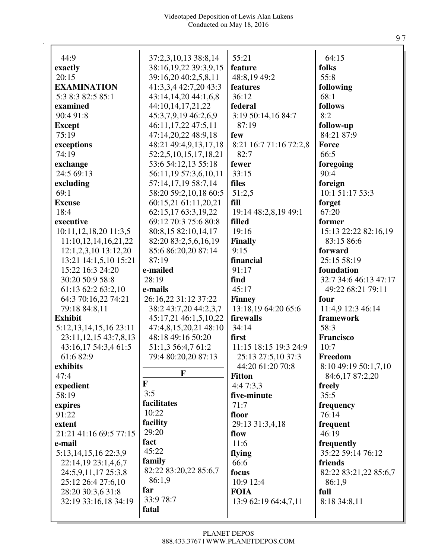| 44:9                       | 37:2,3,10,13 38:8,14                          | 55:21                          | 64:15                      |
|----------------------------|-----------------------------------------------|--------------------------------|----------------------------|
| exactly                    | 38:16,19,22 39:3,9,15                         | feature                        | folks                      |
| 20:15                      | 39:16,20 40:2,5,8,11                          | 48:8,19 49:2                   | 55:8                       |
| <b>EXAMINATION</b>         | 41:3,3,4 42:7,20 43:3                         | features                       | following                  |
| 5:3 8:3 82:5 85:1          | 43:14,14,20 44:1,6,8                          | 36:12                          | 68:1                       |
| examined                   | 44:10,14,17,21,22                             | federal                        | follows                    |
| 90:4 91:8                  | 45:3,7,9,19 46:2,6,9                          | 3:19 50:14,16 84:7             | 8:2                        |
| <b>Except</b>              | 46:11,17,22 47:5,11                           | 87:19                          | follow-up                  |
| 75:19                      | 47:14,20,22 48:9,18                           | few                            | 84:21 87:9                 |
| exceptions                 | 48:21 49:4,9,13,17,18                         | 8:21 16:7 71:16 72:2,8         | <b>Force</b>               |
| 74:19                      | 52:2,5,10,15,17,18,21                         | 82:7                           | 66:5                       |
| exchange                   | 53:6 54:12,13 55:18                           | fewer                          | foregoing                  |
| 24:5 69:13                 | 56:11,19 57:3,6,10,11                         | 33:15                          | 90:4                       |
| excluding                  | 57:14,17,19 58:7,14                           | files                          | foreign<br>10:1 51:17 53:3 |
| 69:1                       | 58:20 59:2,10,18 60:5<br>60:15,21 61:11,20,21 | 51:2,5<br>fill                 | forget                     |
| <b>Excuse</b><br>18:4      | 62:15,17 63:3,19,22                           |                                | 67:20                      |
| executive                  | 69:12 70:3 75:6 80:8                          | 19:14 48:2,8,19 49:1<br>filled | former                     |
| 10:11,12,18,20 11:3,5      | 80:8,15 82:10,14,17                           | 19:16                          | 15:13 22:22 82:16,19       |
| 11:10,12,14,16,21,22       | 82:20 83:2,5,6,16,19                          | <b>Finally</b>                 | 83:15 86:6                 |
| 12:1,2,3,10 13:12,20       | 85:6 86:20,20 87:14                           | 9:15                           | forward                    |
| 13:21 14:1,5,10 15:21      | 87:19                                         | financial                      | 25:15 58:19                |
| 15:22 16:3 24:20           | e-mailed                                      | 91:17                          | foundation                 |
| 30:20 50:9 58:8            | 28:19                                         | find                           | 32:7 34:6 46:13 47:17      |
| 61:13 62:2 63:2,10         | e-mails                                       | 45:17                          | 49:22 68:21 79:11          |
| 64:3 70:16,22 74:21        | 26:16,22 31:12 37:22                          | <b>Finney</b>                  | four                       |
| 79:18 84:8,11              | 38:2 43:7,20 44:2,3,7                         | 13:18,19 64:20 65:6            | 11:4,9 12:3 46:14          |
| <b>Exhibit</b>             | 45:17,21 46:1,5,10,22                         | firewalls                      | framework                  |
| 5:12, 13, 14, 15, 16 23:11 | 47:4,8,15,20,21 48:10                         | 34:14                          | 58:3                       |
| 23:11, 12, 15 43: 7, 8, 13 | 48:18 49:16 50:20                             | first                          | Francisco                  |
| 43:16,17 54:3,4 61:5       | 51:1,3 56:4,7 61:2                            | 11:15 18:15 19:3 24:9          | 10:7                       |
| 61:682:9                   | 79:4 80:20,20 87:13                           | 25:13 27:5,10 37:3             | Freedom                    |
| exhibits                   |                                               | 44:20 61:20 70:8               | 8:10 49:19 50:1,7,10       |
| 47:4                       | F                                             | <b>Fitton</b>                  | 84:6,17 87:2,20            |
| expedient                  | $\mathbf{F}$                                  | 4:47:3,3                       | freely                     |
| 58:19                      | 3:5                                           | five-minute                    | 35:5                       |
| expires                    | facilitates                                   | 71:7                           | frequency                  |
| 91:22                      | 10:22                                         | floor                          | 76:14                      |
| extent                     | facility                                      | 29:13 31:3,4,18                | frequent                   |
| 21:21 41:16 69:5 77:15     | 29:20                                         | flow                           | 46:19                      |
| e-mail                     | fact                                          | 11:6                           | frequently                 |
| 5:13, 14, 15, 16 22:3, 9   | 45:22                                         | flying                         | 35:22 59:14 76:12          |
| 22:14,19 23:1,4,6,7        | family                                        | 66:6                           | friends                    |
| 24:5,9,11,17 25:3,8        | 82:22 83:20,22 85:6,7                         | focus                          | 82:22 83:21,22 85:6,7      |
| 25:12 26:4 27:6,10         | 86:1,9                                        | 10:9 12:4                      | 86:1,9                     |
| 28:20 30:3,6 31:8          | far                                           | <b>FOIA</b>                    | full                       |
| 32:19 33:16,18 34:19       | 33:9 78:7                                     | 13:9 62:19 64:4,7,11           | 8:18 34:8,11               |
|                            | fatal                                         |                                |                            |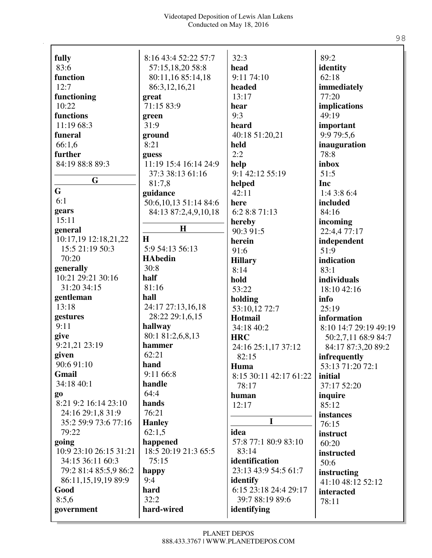| fully                  | 8:16 43:4 52:22 57:7  | 32:3                   | 89:2                  |
|------------------------|-----------------------|------------------------|-----------------------|
| 83:6                   | 57:15,18,20 58:8      | head                   | identity              |
| function               | 80:11,16 85:14,18     | 9:11 74:10             | 62:18                 |
| 12:7                   | 86:3,12,16,21         | headed                 | immediately           |
| functioning            | great                 | 13:17                  | 77:20                 |
| 10:22                  | 71:15 83:9            | hear                   | implications          |
| functions              | green                 | 9:3                    | 49:19                 |
| 11:19 68:3             | 31:9                  | heard                  | important             |
| funeral                | ground                | 40:18 51:20,21         | 9:9 79:5,6            |
| 66:1,6                 | 8:21                  | held                   | inauguration          |
| further                | guess                 | 2:2                    | 78:8                  |
| 84:19 88:8 89:3        | 11:19 15:4 16:14 24:9 | help                   | inbox                 |
| G                      | 37:3 38:13 61:16      | 9:1 42:12 55:19        | 51:5                  |
| G                      | 81:7,8                | helped                 | Inc                   |
|                        | guidance              | 42:11                  | 1:4 3:8 6:4           |
| 6:1                    | 50:6,10,13 51:14 84:6 | here                   | included              |
| gears                  | 84:13 87:2,4,9,10,18  | 6:2 8:8 71:13          | 84:16                 |
| 15:11                  | H                     | hereby                 | incoming              |
| general                |                       | 90:3 91:5              | 22:4,4 77:17          |
| 10:17,19 12:18,21,22   | H                     | herein                 | independent           |
| 15:5 21:19 50:3        | 5:9 54:13 56:13       | 91:6                   | 51:9                  |
| 70:20                  | <b>HAbedin</b>        | <b>Hillary</b>         | indication            |
| generally              | 30:8                  | 8:14                   | 83:1                  |
| 10:21 29:21 30:16      | half                  | hold                   | individuals           |
| 31:20 34:15            | 81:16                 | 53:22                  | 18:10 42:16           |
| gentleman              | hall                  | holding                | info                  |
| 13:18                  | 24:17 27:13,16,18     | 53:10,12 72:7          | 25:19                 |
| gestures               | 28:22 29:1,6,15       | Hotmail                | information           |
| 9:11                   | hallway               | 34:18 40:2             | 8:10 14:7 29:19 49:19 |
| give                   | 80:1 81:2,6,8,13      | <b>HRC</b>             | 50:2,7,11 68:9 84:7   |
| 9:21,21 23:19          | hammer                | 24:16 25:1,17 37:12    | 84:17 87:3,20 89:2    |
| given                  | 62:21                 | 82:15                  | infrequently          |
| 90:6 91:10             | hand                  | Huma                   | 53:13 71:20 72:1      |
| <b>Gmail</b>           | 9:11 66:8             | 8:15 30:11 42:17 61:22 | initial               |
| 34:18 40:1             | handle                | 78:17                  | 37:17 52:20           |
| go                     | 64:4                  | human                  | inquire               |
| 8:21 9:2 16:14 23:10   | hands                 | 12:17                  | 85:12                 |
| 24:16 29:1,8 31:9      | 76:21                 |                        | instances             |
| 35:2 59:9 73:6 77:16   | <b>Hanley</b>         | I                      | 76:15                 |
| 79:22                  | 62:1,5                | idea                   | instruct              |
| going                  | happened              | 57:8 77:1 80:9 83:10   | 60:20                 |
| 10:9 23:10 26:15 31:21 | 18:5 20:19 21:3 65:5  | 83:14                  | instructed            |
| 34:15 36:11 60:3       | 75:15                 | identification         | 50:6                  |
| 79:2 81:4 85:5,9 86:2  | happy                 | 23:13 43:9 54:5 61:7   | instructing           |
| 86:11,15,19,19 89:9    | 9:4                   | identify               | 41:10 48:12 52:12     |
| Good                   | hard                  | 6:15 23:18 24:4 29:17  | interacted            |
| 8:5,6                  | 32:2                  | 39:7 88:19 89:6        | 78:11                 |
| government             | hard-wired            | identifying            |                       |

98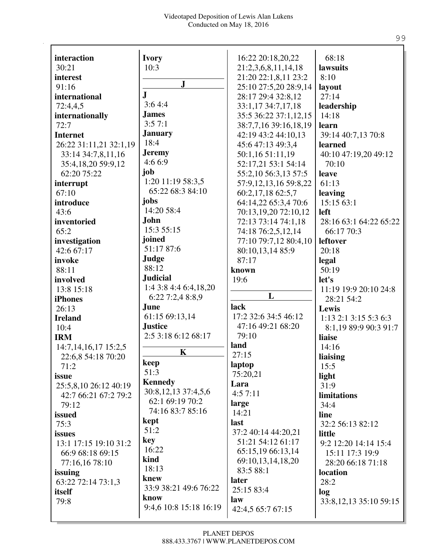| interaction              | <b>Ivory</b>           | 16:22 20:18,20,22         | 68:18                           |
|--------------------------|------------------------|---------------------------|---------------------------------|
| 30:21                    | 10:3                   | 21:2,3,6,8,11,14,18       | lawsuits                        |
| interest                 |                        | 21:20 22:1,8,11 23:2      | 8:10                            |
| 91:16                    | $\mathbf{J}$           | 25:10 27:5,20 28:9,14     |                                 |
| international            | $\mathbf{J}$           | 28:17 29:4 32:8,12        | layout<br>27:14                 |
|                          | 3:64:4                 |                           |                                 |
| 72:4,4,5                 | <b>James</b>           | 33:1,17 34:7,17,18        | leadership                      |
| internationally          | 3:57:1                 | 35:5 36:22 37:1,12,15     | 14:18                           |
| 72:7                     | <b>January</b>         | 38:7,7,16 39:16,18,19     | learn                           |
| <b>Internet</b>          | 18:4                   | 42:19 43:2 44:10,13       | 39:14 40:7,13 70:8              |
| 26:22 31:11,21 32:1,19   | <b>Jeremy</b>          | 45:6 47:13 49:3,4         | learned                         |
| 33:14 34:7,8,11,16       | 4:6 6:9                | 50:1,16 51:11,19          | 40:10 47:19,20 49:12            |
| 35:4,18,20 59:9,12       |                        | 52:17,21 53:1 54:14       | 70:10                           |
| 62:20 75:22              | job                    | 55:2,10 56:3,13 57:5      | leave                           |
| interrupt                | 1:20 11:19 58:3,5      | 57:9, 12, 13, 16 59:8, 22 | 61:13                           |
| 67:10                    | 65:22 68:3 84:10       | 60:2,17,18 62:5,7         | leaving                         |
| introduce                | jobs                   | 64:14,22 65:3,4 70:6      | 15:15 63:1                      |
| 43:6                     | 14:20 58:4             | 70:13,19,20 72:10,12      | left                            |
| inventoried              | <b>John</b>            | 72:13 73:14 74:1,18       | 28:16 63:1 64:22 65:22          |
| 65:2                     | 15:3 55:15             | 74:18 76:2,5,12,14        | 66:17 70:3                      |
| investigation            | joined                 | 77:10 79:7,12 80:4,10     | leftover                        |
| 42:6 67:17               | 51:17 87:6             | 80:10,13,14 85:9          | 20:18                           |
| invoke                   | Judge                  | 87:17                     | legal                           |
| 88:11                    | 88:12                  | known                     | 50:19                           |
| involved                 | <b>Judicial</b>        | 19:6                      | let's                           |
| 13:8 15:18               | 1:4 3:8 4:4 6:4,18,20  |                           | 11:19 19:9 20:10 24:8           |
| <b>iPhones</b>           | 6:22 7:2,4 8:8,9       | L                         | 28:21 54:2                      |
| 26:13                    | June                   | lack                      | Lewis                           |
| <b>Ireland</b>           | 61:15 69:13,14         | 17:2 32:6 34:5 46:12      | $1:13$ $2:1$ $3:15$ $5:3$ $6:3$ |
| 10:4                     | <b>Justice</b>         | 47:16 49:21 68:20         | 8:1,19 89:9 90:3 91:7           |
| <b>IRM</b>               | 2:5 3:18 6:12 68:17    | 79:10                     | liaise                          |
| 14:7, 14, 16, 17 15:2, 5 |                        | land                      | 14:16                           |
| 22:6,8 54:18 70:20       | $\mathbf K$            | 27:15                     | liaising                        |
| 71:2                     | keep                   | laptop                    | 15:5                            |
| issue                    | 51:3                   | 75:20,21                  | light                           |
| 25:5,8,10 26:12 40:19    | <b>Kennedy</b>         | Lara                      | 31:9                            |
| 42:7 66:21 67:2 79:2     | 30:8,12,13 37:4,5,6    | 4:57:11                   | limitations                     |
| 79:12                    | 62:1 69:19 70:2        | large                     | 34:4                            |
| issued                   | 74:16 83:7 85:16       | 14:21                     | line                            |
| 75:3                     | kept                   | last                      | 32:2 56:13 82:12                |
| issues                   | 51:2                   | 37:2 40:14 44:20,21       | little                          |
| 13:1 17:15 19:10 31:2    | key                    | 51:21 54:12 61:17         | 9:2 12:20 14:14 15:4            |
| 66:9 68:18 69:15         | 16:22                  | 65:15,19 66:13,14         | 15:11 17:3 19:9                 |
| 77:16,16 78:10           | kind                   | 69:10,13,14,18,20         | 28:20 66:18 71:18               |
|                          | 18:13                  | 83:5 88:1                 |                                 |
| issuing                  | knew                   | later                     | location<br>28:2                |
| 63:22 72:14 73:1,3       | 33:9 38:21 49:6 76:22  | 25:15 83:4                |                                 |
| itself                   | know                   | law                       | log                             |
| 79:8                     | 9:4,6 10:8 15:18 16:19 | 42:4,5 65:7 67:15         | 33:8, 12, 13 35:10 59:15        |
|                          |                        |                           |                                 |

99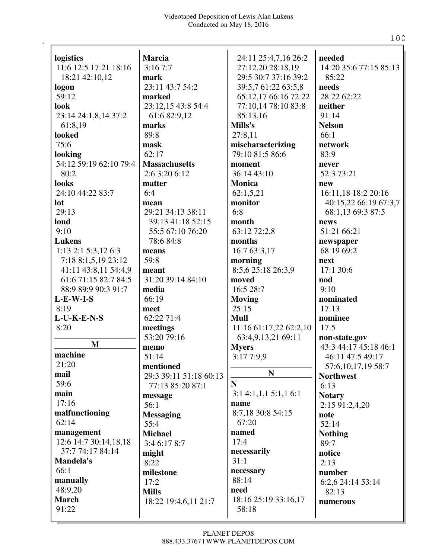|                        |                        |                        | needed                 |
|------------------------|------------------------|------------------------|------------------------|
| logistics              | <b>Marcia</b>          | 24:11 25:4,7,16 26:2   |                        |
| 11:6 12:5 17:21 18:16  | 3:167:7                | 27:12,20 28:18,19      | 14:20 35:6 77:15 85:13 |
| 18:21 42:10,12         | mark                   | 29:5 30:7 37:16 39:2   | 85:22                  |
| logon                  | 23:11 43:7 54:2        | 39:5,7 61:22 63:5,8    | needs<br>28:22 62:22   |
| 59:12                  | marked                 | 65:12,17 66:16 72:22   |                        |
| look                   | 23:12,15 43:8 54:4     | 77:10,14 78:10 83:8    | neither                |
| 23:14 24:1,8,14 37:2   | 61:6 82:9,12           | 85:13,16               | 91:14                  |
| 61:8,19                | marks                  | Mills's                | <b>Nelson</b>          |
| looked                 | 89:8                   | 27:8,11                | 66:1                   |
| 75:6                   | mask                   | mischaracterizing      | network                |
| looking                | 62:17                  | 79:10 81:5 86:6        | 83:9                   |
| 54:12 59:19 62:10 79:4 | <b>Massachusetts</b>   | moment                 | never                  |
| 80:2                   | 2:6 3:20 6:12          | 36:14 43:10            | 52:3 73:21             |
| looks                  | matter                 | <b>Monica</b>          | new                    |
| 24:10 44:22 83:7       | 6:4                    | 62:1,5,21              | 16:11,18 18:2 20:16    |
| lot                    | mean                   | monitor                | 40:15,22 66:19 67:3,7  |
| 29:13                  | 29:21 34:13 38:11      | 6:8                    | 68:1,13 69:3 87:5      |
| loud                   | 39:13 41:18 52:15      | month                  | news                   |
| 9:10                   | 55:5 67:10 76:20       | 63:12 72:2,8           | 51:21 66:21            |
| <b>Lukens</b>          | 78:6 84:8              | months                 | newspaper              |
| 1:13 2:1 5:3,12 6:3    | means                  | 16:7 63:3,17           | 68:19 69:2             |
| 7:18 8:1,5,19 23:12    | 59:8                   | morning                | next                   |
| 41:11 43:8,11 54:4,9   | meant                  | 8:5,6 25:18 26:3,9     | 17:1 30:6              |
| 61:6 71:15 82:7 84:5   | 31:20 39:14 84:10      | moved                  | nod                    |
| 88:9 89:9 90:3 91:7    | media                  | 16:5 28:7              | 9:10                   |
| $L-E-W-I-S$            | 66:19                  | <b>Moving</b>          | nominated              |
| 8:19                   | meet                   | 25:15                  | 17:13                  |
| $L$ -U-K-E-N-S         | 62:22 71:4             | <b>Mull</b>            | nominee                |
| 8:20                   | meetings               | 11:16 61:17,22 62:2,10 | 17:5                   |
|                        | 53:20 79:16            | 63:4,9,13,21 69:11     | non-state.gov          |
| M                      | memo                   | <b>Myers</b>           | 43:3 44:17 45:18 46:1  |
| machine                | 51:14                  | 3:17 7:9,9             | 46:11 47:5 49:17       |
| 21:20                  | mentioned              |                        | 57:6, 10, 17, 19 58:7  |
| mail                   | 29:3 39:11 51:18 60:13 | ${\bf N}$              | <b>Northwest</b>       |
| 59:6                   | 77:13 85:20 87:1       | $\mathbf N$            | 6:13                   |
| main                   | message                | 3:14:1,1,15:1,16:1     | <b>Notary</b>          |
| 17:16                  | 56:1                   | name                   | 2:15 91:2,4,20         |
| malfunctioning         | <b>Messaging</b>       | 8:7,18 30:8 54:15      | note                   |
| 62:14                  | 55:4                   | 67:20                  | 52:14                  |
| management             | <b>Michael</b>         | named                  | <b>Nothing</b>         |
| 12:6 14:7 30:14,18,18  | 3:4 6:17 8:7           | 17:4                   | 89:7                   |
| 37:7 74:17 84:14       | might                  | necessarily            | notice                 |
| <b>Mandela's</b>       | 8:22                   | 31:1                   | 2:13                   |
| 66:1                   | milestone              | necessary              | number                 |
| manually               | 17:2                   | 88:14                  | 6:2,6 24:14 53:14      |
| 48:9,20                | <b>Mills</b>           | need                   | 82:13                  |
| <b>March</b>           | 18:22 19:4,6,11 21:7   | 18:16 25:19 33:16,17   | numerous               |
| 91:22                  |                        | 58:18                  |                        |
|                        |                        |                        |                        |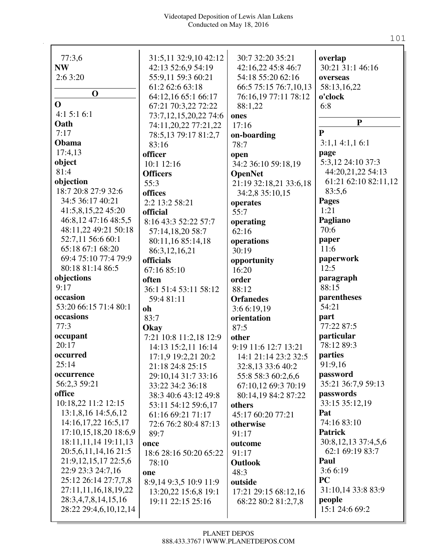| 77:3,6                   | 31:5,11 32:9,10 42:12  | 30:7 32:20 35:21       | overlap                         |
|--------------------------|------------------------|------------------------|---------------------------------|
| <b>NW</b>                | 42:13 52:6,9 54:19     | 42:16,22 45:8 46:7     | 30:21 31:1 46:16                |
| 2:63:20                  | 55:9,11 59:3 60:21     | 54:18 55:20 62:16      | overseas                        |
|                          | 61:2 62:6 63:18        | 66:5 75:15 76:7,10,13  | 58:13,16,22                     |
| $\mathbf 0$              | 64:12,16 65:1 66:17    | 76:16,19 77:11 78:12   | o'clock                         |
| $\mathbf 0$              | 67:21 70:3,22 72:22    | 88:1,22                | 6:8                             |
| 4:15:16:1                | 73:7,12,15,20,22 74:6  | ones                   |                                 |
| Oath                     | 74:11,20,22 77:21,22   | 17:16                  | ${\bf P}$                       |
| 7:17                     | 78:5,13 79:17 81:2,7   | on-boarding            | $\mathbf{P}$                    |
| Obama                    | 83:16                  | 78:7                   | 3:1,14:1,16:1                   |
| 17:4,13                  | officer                | open                   | page                            |
| object                   | 10:1 12:16             | 34:2 36:10 59:18,19    | 5:3,12 24:10 37:3               |
| 81:4                     | <b>Officers</b>        | <b>OpenNet</b>         | 44:20,21,22 54:13               |
| objection                | 55:3                   | 21:19 32:18,21 33:6,18 | 61:21 62:10 82:11,12            |
| 18:7 20:8 27:9 32:6      | offices                | 34:2,8 35:10,15        | 83:5,6                          |
| 34:5 36:17 40:21         | 2:2 13:2 58:21         | operates               | <b>Pages</b>                    |
| 41:5,8,15,22 45:20       | official               | 55:7                   | 1:21                            |
| 46:8,12 47:16 48:5,5     | 8:16 43:3 52:22 57:7   | operating              | Pagliano                        |
| 48:11,22 49:21 50:18     | 57:14,18,20 58:7       | 62:16                  | 70:6                            |
| 52:7,11 56:6 60:1        | 80:11,16 85:14,18      | operations             | paper                           |
| 65:18 67:1 68:20         | 86:3,12,16,21          | 30:19                  | 11:6                            |
| 69:4 75:10 77:4 79:9     | officials              | opportunity            | paperwork                       |
| 80:18 81:14 86:5         | 67:16 85:10            | 16:20                  | 12:5                            |
| objections               | often                  | order                  | paragraph                       |
| 9:17                     | 36:1 51:4 53:11 58:12  | 88:12                  | 88:15                           |
| occasion                 | 59:4 81:11             | <b>Orfanedes</b>       | parentheses                     |
| 53:20 66:15 71:4 80:1    | oh                     | 3:6 6:19,19            | 54:21                           |
| occasions                | 83:7                   | orientation            | part<br>77:22 87:5              |
| 77:3                     | Okay                   | 87:5                   |                                 |
| occupant<br>20:17        | 7:21 10:8 11:2,18 12:9 | other                  | particular<br>78:12 89:3        |
|                          | 14:13 15:2,11 16:14    | 9:19 11:6 12:7 13:21   |                                 |
| occurred<br>25:14        | 17:1,9 19:2,21 20:2    | 14:1 21:14 23:2 32:5   | parties                         |
|                          | 21:18 24:8 25:15       | 32:8,13 33:6 40:2      | 91:9,16                         |
| occurrence               | 29:10,14 31:7 33:16    | 55:8 58:3 60:2,6,6     | password                        |
| 56:2,3 59:21<br>office   | 33:22 34:2 36:18       | 67:10,12 69:3 70:19    | 35:21 36:7,9 59:13<br>passwords |
| 10:18,22 11:2 12:15      | 38:3 40:6 43:12 49:8   | 80:14,19 84:2 87:22    | 33:15 35:12,19                  |
| 13:1,8,16 14:5,6,12      | 53:11 54:12 59:6,17    | others                 | Pat                             |
| 14:16,17,22 16:5,17      | 61:16 69:21 71:17      | 45:17 60:20 77:21      | 74:16 83:10                     |
| 17:10,15,18,20 18:6,9    | 72:6 76:2 80:4 87:13   | otherwise              | <b>Patrick</b>                  |
| 18:11,11,14 19:11,13     | 89:7                   | 91:17                  | 30:8, 12, 13 37:4, 5, 6         |
| 20:5,6,11,14,16 21:5     | once                   | outcome                | 62:1 69:19 83:7                 |
| 21:9, 12, 15, 17 22:5, 6 | 18:6 28:16 50:20 65:22 | 91:17                  | Paul                            |
| 22:9 23:3 24:7,16        | 78:10                  | <b>Outlook</b>         | 3:66:19                         |
| 25:12 26:14 27:7,7,8     | one                    | 48:3                   | <b>PC</b>                       |
| 27:11,11,16,18,19,22     | 8:9,14 9:3,5 10:9 11:9 | outside                | 31:10,14 33:8 83:9              |
| 28:3,4,7,8,14,15,16      | 13:20,22 15:6,8 19:1   | 17:21 29:15 68:12,16   | people                          |
| 28:22 29:4,6,10,12,14    | 19:11 22:15 25:16      | 68:22 80:2 81:2,7,8    | 15:1 24:6 69:2                  |
|                          |                        |                        |                                 |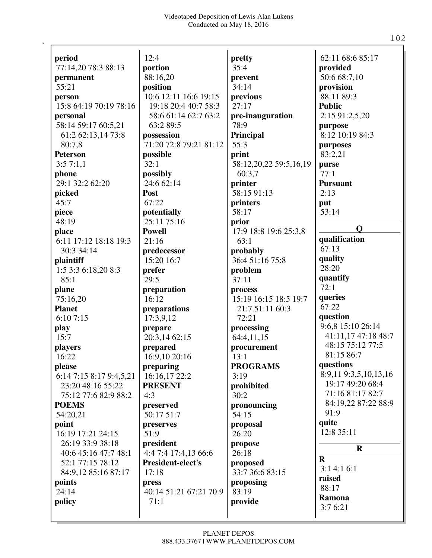| period                  | 12:4                   | pretty                 | 62:11 68:6 85:17      |
|-------------------------|------------------------|------------------------|-----------------------|
| 77:14,20 78:3 88:13     | portion                | 35:4                   | provided              |
| permanent               | 88:16,20               | prevent                | 50:6 68:7,10          |
| 55:21                   | position               | 34:14                  | provision             |
| person                  | 10:6 12:11 16:6 19:15  | previous               | 88:11 89:3            |
| 15:8 64:19 70:19 78:16  | 19:18 20:4 40:7 58:3   | 27:17                  | <b>Public</b>         |
| personal                | 58:6 61:14 62:7 63:2   | pre-inauguration       | 2:15 91:2,5,20        |
| 58:14 59:17 60:5,21     | 63:2 89:5              | 78:9                   | purpose               |
| 61:2 62:13,14 73:8      | possession             | Principal              | 8:12 10:19 84:3       |
| 80:7,8                  | 71:20 72:8 79:21 81:12 | 55:3                   | purposes              |
| <b>Peterson</b>         | possible               | print                  | 83:2,21               |
| 3:57:1,1                | 32:1                   | 58:12,20,22 59:5,16,19 | purse                 |
| phone                   | possibly               | 60:3.7                 | 77:1                  |
| 29:1 32:2 62:20         | 24:6 62:14             | printer                | <b>Pursuant</b>       |
| picked                  | Post                   | 58:15 91:13            | 2:13                  |
| 45:7                    | 67:22                  | printers               | put                   |
| piece                   | potentially            | 58:17                  | 53:14                 |
| 48:19                   | 25:11 75:16            | prior                  |                       |
| place                   | <b>Powell</b>          | 17:9 18:8 19:6 25:3,8  | $\mathbf 0$           |
| 6:11 17:12 18:18 19:3   | 21:16                  | 63:1                   | qualification         |
| 30:3 34:14              | predecessor            | probably               | 67:13                 |
| plaintiff               | 15:20 16:7             | 36:4 51:16 75:8        | quality               |
| 1:5 3:3 6:18,20 8:3     | prefer                 | problem                | 28:20                 |
| 85:1                    | 29:5                   | 37:11                  | quantify              |
| plane                   | preparation            | process                | 72:1                  |
| 75:16,20                | 16:12                  | 15:19 16:15 18:5 19:7  | queries               |
| <b>Planet</b>           | preparations           | 21:7 51:11 60:3        | 67:22                 |
| 6:107:15                | 17:3,9,12              | 72:21                  | question              |
| play                    | prepare                | processing             | 9:6,8 15:10 26:14     |
| 15:7                    | 20:3,14 62:15          | 64:4,11,15             | 41:11,17 47:18 48:7   |
| players                 | prepared               | procurement            | 48:15 75:12 77:5      |
| 16:22                   | 16:9,10 20:16          | 13:1                   | 81:15 86:7            |
| please                  | preparing              | <b>PROGRAMS</b>        | questions             |
| 6:14 7:15 8:17 9:4,5,21 | 16:16,17 22:2          | 3:19                   | 8:9,11 9:3,5,10,13,16 |
| 23:20 48:16 55:22       | <b>PRESENT</b>         | prohibited             | 19:17 49:20 68:4      |
| 75:12 77:6 82:9 88:2    | 4:3                    | 30:2                   | 71:16 81:17 82:7      |
| <b>POEMS</b>            | preserved              | pronouncing            | 84:19,22 87:22 88:9   |
| 54:20,21                | 50:17 51:7             | 54:15                  | 91:9                  |
| point                   | preserves              | proposal               | quite                 |
| 16:19 17:21 24:15       | 51:9                   | 26:20                  | 12:8 35:11            |
| 26:19 33:9 38:18        | president              | propose                |                       |
| 40:6 45:16 47:7 48:1    | 4:4 7:4 17:4,13 66:6   | 26:18                  | $\mathbf R$           |
| 52:1 77:15 78:12        | President-elect's      | proposed               | $\mathbf R$           |
| 84:9,12 85:16 87:17     | 17:18                  | 33:7 36:6 83:15        | 3:14:16:1             |
| points                  | press                  | proposing              | raised                |
| 24:14                   | 40:14 51:21 67:21 70:9 | 83:19                  | 88:17                 |
| policy                  | 71:1                   | provide                | Ramona                |
|                         |                        |                        | 3:76:21               |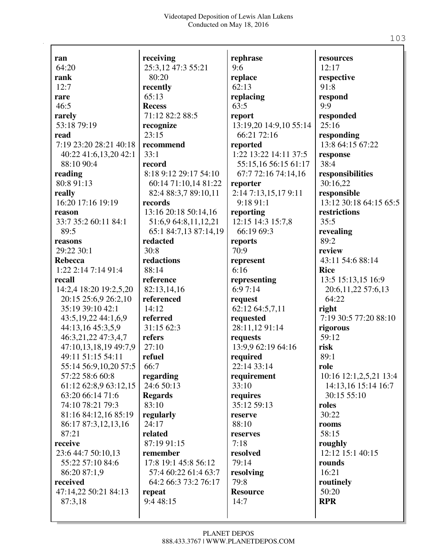| ran                      | receiving             | rephrase               | resources              |
|--------------------------|-----------------------|------------------------|------------------------|
| 64:20                    | 25:3,12 47:3 55:21    | 9:6                    | 12:17                  |
| rank                     | 80:20                 | replace                | respective             |
| 12:7                     | recently              | 62:13                  | 91:8                   |
| rare                     | 65:13                 | replacing              | respond                |
| 46:5                     | <b>Recess</b>         | 63:5                   | 9:9                    |
| rarely                   | 71:12 82:2 88:5       | report                 | responded              |
| 53:18 79:19              | recognize             | 13:19,20 14:9,10 55:14 | 25:16                  |
| read                     | 23:15                 | 66:21 72:16            | responding             |
| 7:19 23:20 28:21 40:18   | recommend             | reported               | 13:8 64:15 67:22       |
| 40:22 41:6,13,20 42:1    | 33:1                  | 1:22 13:22 14:11 37:5  | response               |
| 88:10 90:4               | record                | 55:15,16 56:15 61:17   | 38:4                   |
| reading                  | 8:18 9:12 29:17 54:10 | 67:7 72:16 74:14,16    | responsibilities       |
| 80:8 91:13               | 60:14 71:10,14 81:22  | reporter               | 30:16,22               |
| really                   | 82:4 88:3,7 89:10,11  | 2:14 7:13,15,17 9:11   | responsible            |
| 16:20 17:16 19:19        | records               | 9:1891:1               | 13:12 30:18 64:15 65:5 |
| reason                   | 13:16 20:18 50:14,16  | reporting              | restrictions           |
| 33:7 35:2 60:11 84:1     | 51:6,9 64:8,11,12,21  | 12:15 14:3 15:7,8      | 35:5                   |
| 89:5                     | 65:1 84:7,13 87:14,19 | 66:19 69:3             | revealing              |
| reasons                  | redacted              | reports                | 89:2                   |
| 29:22 30:1               | 30:8                  | 70:9                   | review                 |
| <b>Rebecca</b>           | redactions            | represent              | 43:11 54:6 88:14       |
| 1:22 2:14 7:14 91:4      | 88:14                 | 6:16                   | <b>Rice</b>            |
| recall                   | reference             | representing           | 13:5 15:13,15 16:9     |
| 14:2,4 18:20 19:2,5,20   | 82:13,14,16           | 6:97:14                | 20:6,11,22 57:6,13     |
| 20:15 25:6,9 26:2,10     | referenced            | request                | 64:22                  |
| 35:19 39:10 42:1         | 14:12                 | 62:12 64:5,7,11        | right                  |
| 43:5, 19, 22 44: 1, 6, 9 | referred              | requested              | 7:19 30:5 77:20 88:10  |
| 44:13,16 45:3,5,9        | 31:15 62:3            | 28:11,1291:14          | rigorous               |
| 46:3,21,22 47:3,4,7      | refers                | requests               | 59:12                  |
| 47:10,13,18,19 49:7,9    | 27:10                 | 13:9,9 62:19 64:16     | risk                   |
| 49:11 51:15 54:11        | refuel                | required               | 89:1                   |
| 55:14 56:9,10,20 57:5    | 66:7                  | 22:14 33:14            | role                   |
| 57:22 58:6 60:8          | regarding             | requirement            | 10:16 12:1,2,5,21 13:4 |
| 61:12 62:8,9 63:12,15    | 24:6 50:13            | 33:10                  | 14:13,16 15:14 16:7    |
| 63:20 66:14 71:6         | <b>Regards</b>        | requires               | 30:15 55:10            |
| 74:10 78:21 79:3         | 83:10                 | 35:12 59:13            | roles                  |
| 81:16 84:12,16 85:19     | regularly             | reserve                | 30:22                  |
| 86:17 87:3,12,13,16      | 24:17                 | 88:10                  | rooms                  |
| 87:21                    | related               | reserves               | 58:15                  |
| receive                  | 87:19 91:15           | 7:18                   | roughly                |
| 23:6 44:7 50:10,13       | remember              | resolved               | 12:12 15:1 40:15       |
| 55:22 57:10 84:6         | 17:8 19:1 45:8 56:12  | 79:14                  | rounds                 |
| 86:20 87:1,9             | 57:4 60:22 61:4 63:7  | resolving              | 16:21                  |
| received                 | 64:2 66:3 73:2 76:17  | 79:8                   | routinely              |
| 47:14,22 50:21 84:13     | repeat                | <b>Resource</b>        | 50:20                  |
| 87:3,18                  | 9:4 48:15             | 14:7                   | <b>RPR</b>             |
|                          |                       |                        |                        |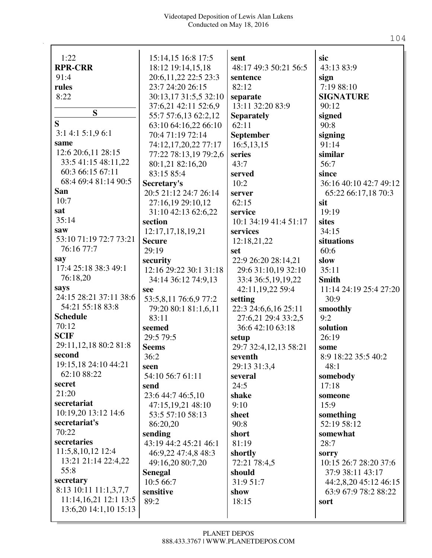| 1:22<br><b>RPR-CRR</b>  | 15:14,15 16:8 17:5                       | sent<br>48:17 49:3 50:21 56:5 | sic<br>43:13 83:9      |
|-------------------------|------------------------------------------|-------------------------------|------------------------|
| 91:4                    | 18:12 19:14,15,18                        |                               |                        |
| rules                   | 20:6,11,22 22:5 23:3<br>23:7 24:20 26:15 | sentence<br>82:12             | sign<br>7:19 88:10     |
|                         |                                          |                               |                        |
| 8:22                    | 30:13,17 31:5,5 32:10                    | separate                      | <b>SIGNATURE</b>       |
| S                       | 37:6,21 42:11 52:6,9                     | 13:11 32:20 83:9              | 90:12                  |
| S                       | 55:7 57:6,13 62:2,12                     | <b>Separately</b>             | signed                 |
| 3:14:15:1,96:1          | 63:10 64:16,22 66:10                     | 62:11                         | 90:8                   |
| same                    | 70:4 71:19 72:14                         | September                     | signing                |
| 12:6 20:6,11 28:15      | 74:12,17,20,22 77:17                     | 16:5,13,15                    | 91:14                  |
| 33:5 41:15 48:11,22     | 77:22 78:13,19 79:2,6                    | series                        | similar                |
| 60:3 66:15 67:11        | 80:1,21 82:16,20                         | 43:7                          | 56:7                   |
| 68:4 69:4 81:14 90:5    | 83:15 85:4                               | served                        | since                  |
| San                     | Secretary's                              | 10:2                          | 36:16 40:10 42:7 49:12 |
| 10:7                    | 20:5 21:12 24:7 26:14                    | server                        | 65:22 66:17,18 70:3    |
|                         | 27:16,19 29:10,12                        | 62:15                         | sit                    |
| sat                     | 31:10 42:13 62:6,22                      | service                       | 19:19                  |
| 35:14                   | section                                  | 10:1 34:19 41:4 51:17         | sites                  |
| saw                     | 12:17,17,18,19,21                        | services                      | 34:15                  |
| 53:10 71:19 72:7 73:21  | <b>Secure</b>                            | 12:18,21,22                   | situations             |
| 76:16 77:7              | 29:19                                    | set                           | 60:6                   |
| say                     | security                                 | 22:9 26:20 28:14,21           | slow                   |
| 17:4 25:18 38:3 49:1    | 12:16 29:22 30:1 31:18                   | 29:6 31:10,19 32:10           | 35:11                  |
| 76:18,20                | 34:14 36:12 74:9,13                      | 33:4 36:5,19,19,22            | <b>Smith</b>           |
| says                    | see                                      | 42:11,19,22 59:4              | 11:14 24:19 25:4 27:20 |
| 24:15 28:21 37:11 38:6  | 53:5,8,11 76:6,9 77:2                    | setting                       | 30:9                   |
| 54:21 55:18 83:8        | 79:20 80:1 81:1,6,11                     | 22:3 24:6,6,16 25:11          | smoothly               |
| <b>Schedule</b>         | 83:11                                    | 27:6,21 29:4 33:2,5           | 9:2                    |
| 70:12                   | seemed                                   | 36:6 42:10 63:18              | solution               |
| <b>SCIF</b>             | 29:5 79:5                                | setup                         | 26:19                  |
| 29:11,12,18 80:2 81:8   | <b>Seems</b>                             | 29:7 32:4,12,13 58:21         | some                   |
| second                  | 36:2                                     | seventh                       | 8:9 18:22 35:5 40:2    |
| 19:15,18 24:10 44:21    | seen                                     | 29:13 31:3,4                  | 48:1                   |
| 62:10 88:22             | 54:10 56:7 61:11                         | several                       | somebody               |
| secret                  | send                                     | 24:5                          | 17:18                  |
| 21:20                   | 23:6 44:7 46:5,10                        | shake                         | someone                |
| secretariat             | 47:15,19,21 48:10                        | 9:10                          | 15:9                   |
| 10:19,20 13:12 14:6     | 53:5 57:10 58:13                         | sheet                         | something              |
| secretariat's           | 86:20,20                                 | 90:8                          | 52:19 58:12            |
| 70:22                   | sending                                  | short                         | somewhat               |
| secretaries             | 43:19 44:2 45:21 46:1                    | 81:19                         | 28:7                   |
| 11:5,8,10,12 12:4       | 46:9,22 47:4,8 48:3                      | shortly                       | sorry                  |
| 13:21 21:14 22:4,22     | 49:16,20 80:7,20                         | 72:21 78:4,5                  | 10:15 26:7 28:20 37:6  |
| 55:8                    | <b>Senegal</b>                           | should                        | 37:9 38:11 43:17       |
| secretary               | 10:5 66:7                                | 31:9 51:7                     | 44:2,8,20 45:12 46:15  |
| 8:13 10:11 11:1,3,7,7   | sensitive                                | show                          | 63:9 67:9 78:2 88:22   |
| $11:14,16,21$ 12:1 13:5 | 89:2                                     | 18:15                         | sort                   |
| 13:6,20 14:1,10 15:13   |                                          |                               |                        |
|                         |                                          |                               |                        |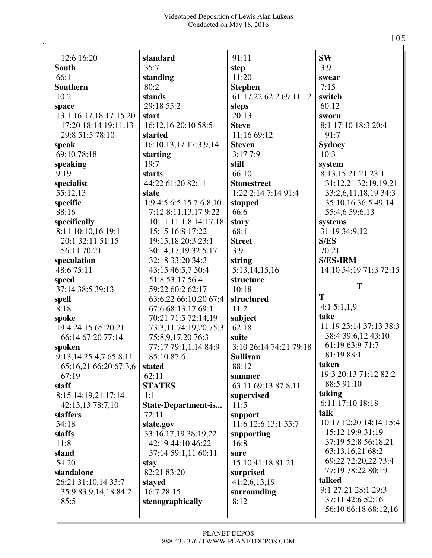| 12:6 16:20             | standard              | 91:11                  | <b>SW</b>              |
|------------------------|-----------------------|------------------------|------------------------|
| <b>South</b>           | 35:7                  | step                   | 3:9                    |
| 66:1                   | standing              | 11:20                  | swear                  |
| <b>Southern</b>        | 80:2                  | <b>Stephen</b>         | 7:15                   |
| 10:2                   | stands                | 61:17,22 62:2 69:11,12 | switch                 |
| space                  | 29:18 55:2            | steps                  | 60:12                  |
| 13:1 16:17,18 17:15,20 | start                 | 20:13                  | sworn                  |
| 17:20 18:14 19:11,13   | 16:12,16 20:10 58:5   | <b>Steve</b>           | 8:1 17:10 18:3 20:4    |
| 29:8 51:5 78:10        | started               | 11:16 69:12            | 91:7                   |
| speak                  | 16:10,13,17 17:3,9,14 | <b>Steven</b>          | <b>Sydney</b>          |
| 69:10 78:18            | starting              | 3:177:9                | 10:3                   |
| speaking               | 19:7                  | still                  | system                 |
| 9:19                   | starts                | 66:10                  | 8:13,15 21:21 23:1     |
| specialist             | 44:22 61:20 82:11     | <b>Stonestreet</b>     | 31:12,21 32:19,19,21   |
| 55:12,13               | state                 | $1:22$ 2:14 7:14 91:4  | 33:2,6,11,18,19 34:3   |
| specific               | 1:94:56:5,157:6,8,10  | stopped                | 35:10,16 36:5 49:14    |
| 88:16                  | 7:12 8:11,13,17 9:22  | 66:6                   | 55:4,6 59:6,13         |
| specifically           | 10:11 11:1,8 14:17,18 | story                  | systems                |
| 8:11 10:10,16 19:1     | 15:15 16:8 17:22      | 68:1                   | 31:19 34:9,12          |
| 20:1 32:11 51:15       | 19:15,18 20:3 23:1    | <b>Street</b>          | <b>S/ES</b>            |
| 56:11 70:21            | 30:14,17,19 32:5,17   | 3:9                    | 70:21                  |
| speculation            | 32:18 33:20 34:3      | string                 | <b>S/ES-IRM</b>        |
| 48:6 75:11             | 43:15 46:5,7 50:4     | 5:13,14,15,16          | 14:10 54:19 71:3 72:15 |
| speed                  | 51:8 53:17 56:4       | structure              |                        |
| 37:14 38:5 39:13       | 59:22 60:2 62:17      | 10:18                  | T                      |
| spell                  | 63:6,22 66:10,20 67:4 | structured             | T                      |
| 8:18                   | 67:6 68:13,17 69:1    | 11:2                   | 4:15:1,1,9             |
| spoke                  | 70:21 71:5 72:14,19   | subject                | take                   |
| 19:4 24:15 65:20,21    | 73:3,11 74:19,20 75:3 | 62:18                  | 11:19 23:14 37:13 38:3 |
| 66:14 67:20 77:14      | 75:8,9,17,20 76:3     | suite                  | 38:4 39:6,12 43:10     |
| spoken                 | 77:17 79:1,1,14 84:9  | 3:10 26:14 74:21 79:18 | 61:19 63:9 71:7        |
| 9:13,14 25:4,7 65:8,11 | 85:10 87:6            | <b>Sullivan</b>        | 81:19 88:1             |
| 65:16,21 66:20 67:3,6  | stated                | 88:12                  | taken                  |
| 67:19                  | 62:11                 | summer                 | 19:3 20:13 71:12 82:2  |
| staff                  | <b>STATES</b>         | 63:11 69:13 87:8,11    | 88:5 91:10             |
| 8:15 14:19,21 17:14    | 1:1                   | supervised             | taking                 |
| 42:13,13 78:7,10       | State-Department-is   | 11:5                   | 6:11 17:10 18:18       |
| <b>staffers</b>        | 72:11                 | support                | talk                   |
| 54:18                  | state.gov             | 11:6 12:6 13:1 55:7    | 10:17 12:20 14:14 15:4 |
| staffs                 | 33:16,17,19 38:19,22  | supporting             | 15:12 19:9 31:19       |
| 11:8                   | 42:19 44:10 46:22     | 16:8                   | 37:19 52:8 56:18,21    |
| stand                  | 57:14 59:1,11 60:11   | sure                   | 63:13,16,21 68:2       |
| 54:20                  | stay                  | 15:10 41:18 81:21      | 69:22 72:20,22 73:4    |
| standalone             | 82:21 83:20           | surprised              | 77:19 78:22 80:19      |
| 26:21 31:10,14 33:7    | stayed                | 41:2,6,13,19           | talked                 |
| 35:9 83:9,14,18 84:2   | 16:7 28:15            | surrounding            | 9:1 27:21 28:1 29:3    |
| 85:5                   | stenographically      | 8:12                   | 37:11 42:6 52:16       |
|                        |                       |                        | 56:10 66:18 68:12,16   |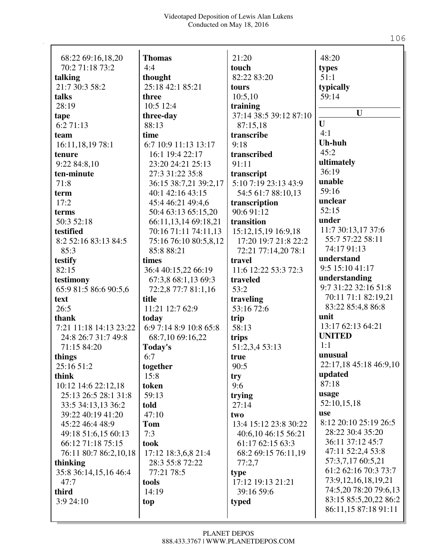| 68:22 69:16,18,20<br>70:2 71:18 73:2 | <b>Thomas</b><br>4:4        | 21:20<br>touch                     | 48:20                    |
|--------------------------------------|-----------------------------|------------------------------------|--------------------------|
|                                      |                             | 82:22 83:20                        | types<br>51:1            |
| talking<br>21:7 30:3 58:2            | thought<br>25:18 42:1 85:21 |                                    |                          |
|                                      |                             | tours<br>10:5,10                   | typically<br>59:14       |
| talks<br>28:19                       | three<br>10:5 12:4          |                                    |                          |
|                                      |                             | training<br>37:14 38:5 39:12 87:10 | $\mathbf{U}$             |
| tape<br>6:271:13                     | three-day<br>88:13          | 87:15,18                           | $\mathbf{U}$             |
|                                      | time                        | transcribe                         | 4:1                      |
| team<br>16:11,18,19 78:1             | 6:7 10:9 11:13 13:17        | 9:18                               | <b>Uh-huh</b>            |
| tenure                               | 16:1 19:4 22:17             | transcribed                        | 45:2                     |
| 9:22 84:8,10                         | 23:20 24:21 25:13           | 91:11                              | ultimately               |
| ten-minute                           | 27:3 31:22 35:8             | transcript                         | 36:19                    |
| 71:8                                 | 36:15 38:7,21 39:2,17       | 5:10 7:19 23:13 43:9               | unable                   |
| term                                 | 40:1 42:16 43:15            | 54:5 61:7 88:10,13                 | 59:16                    |
| 17:2                                 | 45:4 46:21 49:4,6           | transcription                      | unclear                  |
| terms                                | 50:4 63:13 65:15,20         | 90:6 91:12                         | 52:15                    |
| 50:3 52:18                           | 66:11,13,14 69:18,21        | transition                         | under                    |
| testified                            | 70:16 71:11 74:11,13        | 15:12,15,19 16:9,18                | 11:7 30:13,17 37:6       |
| 8:2 52:16 83:13 84:5                 | 75:16 76:10 80:5,8,12       | 17:20 19:7 21:8 22:2               | 55:7 57:22 58:11         |
| 85:3                                 | 85:8 88:21                  | 72:21 77:14,20 78:1                | 74:17 91:13              |
| testify                              | times                       | travel                             | understand               |
| 82:15                                | 36:4 40:15,22 66:19         | 11:6 12:22 53:3 72:3               | 9:5 15:10 41:17          |
| testimony                            | 67:3,8 68:1,13 69:3         | traveled                           | understanding            |
| 65:9 81:5 86:6 90:5,6                | 72:2,8 77:7 81:1,16         | 53:2                               | 9:7 31:22 32:16 51:8     |
| text                                 | title                       | traveling                          | 70:11 71:1 82:19,21      |
| 26:5                                 | 11:21 12:7 62:9             | 53:16 72:6                         | 83:22 85:4,8 86:8        |
| thank                                | today                       | trip                               | unit                     |
| 7:21 11:18 14:13 23:22               | 6:9 7:14 8:9 10:8 65:8      | 58:13                              | 13:17 62:13 64:21        |
| 24:8 26:7 31:7 49:8                  | 68:7,10 69:16,22            | trips                              | <b>UNITED</b>            |
| 71:15 84:20                          | Today's                     | 51:2,3,4 53:13                     | 1:1                      |
| things                               | 6:7                         | true                               | unusual                  |
| 25:16 51:2                           | together                    | 90:5                               | 22:17,18 45:18 46:9,10   |
| think                                | 15:8                        | try                                | updated                  |
| 10:12 14:6 22:12,18                  | token                       | 9:6                                | 87:18                    |
| 25:13 26:5 28:1 31:8                 | 59:13                       | trying                             | usage                    |
| 33:5 34:13,13 36:2                   | told                        | 27:14                              | 52:10,15,18              |
| 39:22 40:19 41:20                    | 47:10                       | two                                | use                      |
| 45:22 46:4 48:9                      | <b>Tom</b>                  | 13:4 15:12 23:8 30:22              | 8:12 20:10 25:19 26:5    |
| 49:18 51:6,15 60:13                  | 7:3                         | 40:6,10 46:15 56:21                | 28:22 30:4 35:20         |
| 66:12 71:18 75:15                    | took                        | 61:17 62:15 63:3                   | 36:11 37:12 45:7         |
| 76:11 80:7 86:2,10,18                | 17:12 18:3,6,8 21:4         | 68:2 69:15 76:11,19                | 47:11 52:2,4 53:8        |
| thinking                             | 28:3 55:8 72:22             | 77:2,7                             | 57:3,7,17 60:5,21        |
| 35:8 36:14,15,16 46:4                | 77:21 78:5                  | type                               | 61:2 62:16 70:3 73:7     |
| 47:7                                 | tools                       | 17:12 19:13 21:21                  | 73:9, 12, 16, 18, 19, 21 |
| third                                | 14:19                       | 39:16 59:6                         | 74:5,20 78:20 79:6,13    |
| 3:9 24:10                            | top                         | typed                              | 83:15 85:5,20,22 86:2    |
|                                      |                             |                                    | 86:11,15 87:18 91:11     |
|                                      |                             |                                    |                          |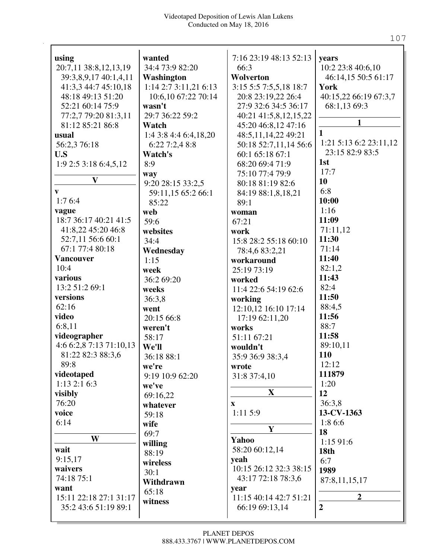| using                   | wanted                | 7:16 23:19 48:13 52:13 | years                                     |
|-------------------------|-----------------------|------------------------|-------------------------------------------|
| 20:7,11 38:8,12,13,19   | 34:4 73:9 82:20       | 66:3                   | 10:2 23:8 40:6,10                         |
| 39:3,8,9,17 40:1,4,11   | Washington            | Wolverton              | 46:14,15 50:5 61:17                       |
| 41:3,3 44:7 45:10,18    | 1:14 2:7 3:11,21 6:13 | 3:15 5:5 7:5,5,18 18:7 | York                                      |
| 48:18 49:13 51:20       | 10:6,10 67:22 70:14   | 20:8 23:19,22 26:4     | 40:15,22 66:19 67:3,7                     |
| 52:21 60:14 75:9        | wasn't                | 27:9 32:6 34:5 36:17   | 68:1,13 69:3                              |
| 77:2,7 79:20 81:3,11    | 29:7 36:22 59:2       | 40:21 41:5,8,12,15,22  | $\mathbf{1}$                              |
| 81:12 85:21 86:8        | Watch                 | 45:20 46:8,12 47:16    | $\mathbf{1}$                              |
| usual                   | 1:4 3:8 4:4 6:4,18,20 | 48:5,11,14,22 49:21    |                                           |
| 56:2,3 76:18            | 6:227:2,48:8          | 50:18 52:7,11,14 56:6  | 1:21 5:13 6:2 23:11,12<br>23:15 82:9 83:5 |
| U.S                     | Watch's               | 60:1 65:18 67:1        | 1st                                       |
| 1:92:53:186:4,5,12      | 8:9                   | 68:20 69:4 71:9        | 17:7                                      |
| $\mathbf{V}$            | way                   | 75:10 77:4 79:9        | 10                                        |
|                         | 9:20 28:15 33:2,5     | 80:18 81:19 82:6       | 6:8                                       |
| V                       | 59:11,15 65:2 66:1    | 84:19 88:1,8,18,21     |                                           |
| 1:76:4                  | 85:22                 | 89:1                   | 10:00                                     |
| vague                   | web                   | woman                  | 1:16                                      |
| 18:7 36:17 40:21 41:5   | 59:6                  | 67:21                  | 11:09                                     |
| 41:8,22 45:20 46:8      | websites              | work                   | 71:11,12                                  |
| 52:7,11 56:6 60:1       | 34:4                  | 15:8 28:2 55:18 60:10  | 11:30                                     |
| 67:1 77:4 80:18         | Wednesday             | 78:4,6 83:2,21         | 71:14                                     |
| <b>Vancouver</b>        | 1:15                  | workaround             | 11:40                                     |
| 10:4                    | week                  | 25:19 73:19            | 82:1,2                                    |
| various                 | 36:2 69:20            | worked                 | 11:43                                     |
| 13:2 51:2 69:1          | weeks                 | 11:4 22:6 54:19 62:6   | 82:4                                      |
| versions                | 36:3,8                | working                | 11:50                                     |
| 62:16                   | went                  | 12:10,12 16:10 17:14   | 88:4,5                                    |
| video                   | 20:15 66:8            | 17:19 62:11,20         | 11:56                                     |
| 6:8,11                  | weren't               | works                  | 88:7                                      |
| videographer            | 58:17                 | 51:11 67:21            | 11:58                                     |
| 4:6 6:2,8 7:13 71:10,13 | We'll                 | wouldn't               | 89:10,11                                  |
| 81:22 82:3 88:3,6       | 36:18 88:1            | 35:9 36:9 38:3,4       | 110                                       |
| 89:8                    | we're                 | wrote                  | 12:12                                     |
| videotaped              | 9:19 10:9 62:20       | 31:8 37:4,10           | 111879                                    |
| $1:13$ $2:1$ $6:3$      | we've                 |                        | 1:20                                      |
| visibly                 | 69:16,22              | $\mathbf X$            | 12                                        |
| 76:20                   | whatever              | $\mathbf{X}$           | 36:3,8                                    |
| voice                   | 59:18                 | 1:11 5:9               | 13-CV-1363                                |
| 6:14                    | wife                  | $\mathbf{Y}$           | 1:8 6:6                                   |
| W                       | 69:7                  |                        | 18                                        |
|                         | willing               | Yahoo                  | 1:1591:6                                  |
| wait                    | 88:19                 | 58:20 60:12,14         | 18th                                      |
| 9:15,17                 | wireless              | yeah                   | 6:7                                       |
| waivers                 | 30:1                  | 10:15 26:12 32:3 38:15 | 1989                                      |
| 74:18 75:1              | Withdrawn             | 43:17 72:18 78:3,6     | 87:8,11,15,17                             |
| want                    | 65:18                 | year                   |                                           |
| 15:11 22:18 27:1 31:17  | witness               | 11:15 40:14 42:7 51:21 | $\overline{2}$                            |
| 35:2 43:6 51:19 89:1    |                       | 66:19 69:13,14         | $\overline{2}$                            |
|                         |                       |                        |                                           |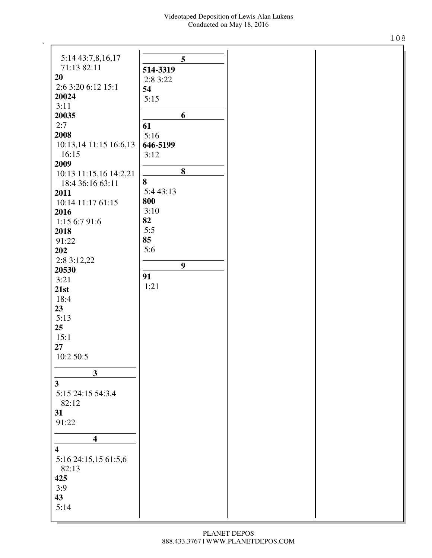| 5:14 43:7,8,16,17       |           | 5                |
|-------------------------|-----------|------------------|
| 71:13 82:11             | 514-3319  |                  |
| 20                      | 2:8 3:22  |                  |
| 2:6 3:20 6:12 15:1      | 54        |                  |
| 20024                   | 5:15      |                  |
| 3:11                    |           |                  |
| 20035                   |           | 6                |
| 2:7                     | 61        |                  |
| 2008                    | 5:16      |                  |
| 10:13,14 11:15 16:6,13  | 646-5199  |                  |
| 16:15                   | 3:12      |                  |
| 2009                    |           | 8                |
| 10:13 11:15,16 14:2,21  |           |                  |
| 18:4 36:16 63:11        | 8         |                  |
| 2011                    | 5:4 43:13 |                  |
| 10:14 11:17 61:15       | 800       |                  |
| 2016                    | 3:10      |                  |
| 1:15 6:7 91:6           | 82        |                  |
| 2018                    | 5:5<br>85 |                  |
| 91:22                   |           |                  |
| 202                     | 5:6       |                  |
| 2:8 3:12,22             |           | $\boldsymbol{9}$ |
| 20530                   | 91        |                  |
| 3:21                    | 1:21      |                  |
| 21st                    |           |                  |
| 18:4                    |           |                  |
| 23                      |           |                  |
| 5:13                    |           |                  |
| 25                      |           |                  |
| 15:1                    |           |                  |
| 27                      |           |                  |
| 10:2 50:5               |           |                  |
| $\overline{\mathbf{3}}$ |           |                  |
|                         |           |                  |
| $\overline{\mathbf{3}}$ |           |                  |
| 5:15 24:15 54:3,4       |           |                  |
| 82:12                   |           |                  |
| 31                      |           |                  |
| 91:22                   |           |                  |
| $\overline{\mathbf{4}}$ |           |                  |
| $\overline{\mathbf{4}}$ |           |                  |
| 5:16 24:15,15 61:5,6    |           |                  |
| 82:13                   |           |                  |
| 425                     |           |                  |
| 3:9                     |           |                  |
| 43                      |           |                  |
| 5:14                    |           |                  |
|                         |           |                  |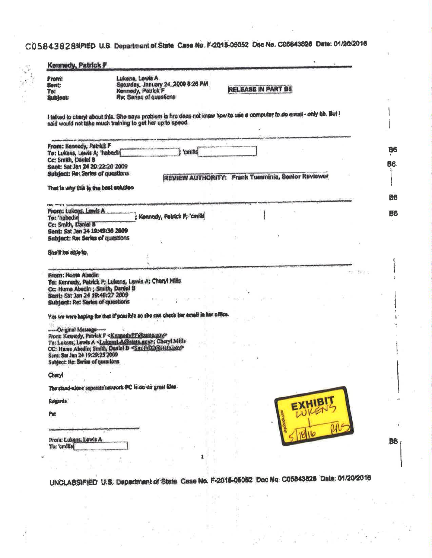C05843828NFIED U.S. Department of State Case No. F-2015-05052 Doc No. C05843828 Date: 01/20/2016

| Front:<br><b>Bent:</b><br>Te:<br><b>Subject:</b>                                                                             | Lukens, Lewis A<br>Saturday, January 24, 2009 8:26 PM<br>Kennedy, Patrick F<br>Re: Series of questions                                                                                                       | <b>RELEASE IN PART BE</b>       |        |
|------------------------------------------------------------------------------------------------------------------------------|--------------------------------------------------------------------------------------------------------------------------------------------------------------------------------------------------------------|---------------------------------|--------|
|                                                                                                                              | I talked to cheryl about this. She says problem is hro does not know how to use a computer to do email - only tib. But I<br>said would not take much training to get her up to speed.                        |                                 |        |
| From: Kennedy, Patrick F                                                                                                     | 'cmills                                                                                                                                                                                                      |                                 |        |
| To: Lukens, Lewis A; 'habedin<br>Cc: Smith, Daniel B<br>Sant: Sat Jan 24 20:22:20 2009                                       |                                                                                                                                                                                                              |                                 |        |
| Subject: Re: Series of questions                                                                                             | <b>REVIEW AUTHORITY:</b>                                                                                                                                                                                     | Frank Tumminia, Senior Reviewer |        |
| That is why this is the best solution                                                                                        |                                                                                                                                                                                                              |                                 |        |
| From: Lukens, Lewis A                                                                                                        |                                                                                                                                                                                                              |                                 |        |
| To: 'habadin<br>Cc: Smith, Daniel B                                                                                          | Kennedy, Patrick F; 'cmille                                                                                                                                                                                  |                                 |        |
| Sent: Sat Jan 24 19:49:30 2009<br>Subjact: Re: Series of questions                                                           |                                                                                                                                                                                                              |                                 |        |
| She'll be able to.                                                                                                           |                                                                                                                                                                                                              |                                 |        |
| From: Hume Abedin<br>Cc: Huma Abedin ; Smith, Daniel 8<br>Sent: Sat Jan 24 19:48:27 2009<br>Subject: Re: Series of questions | To: Kennedy, Patrick F; Lukens, Lewis A; Cheryl Mills                                                                                                                                                        |                                 | 79.010 |
|                                                                                                                              | Yos we were heping for that if possible so also can check her email in her office.                                                                                                                           |                                 |        |
| Original Message<br>Sent: Sat Jan 24 19:29:25 2009                                                                           | From: Kennedy, Patrick F < Kennedy PF@state.gov><br>To: Lukens, Lewis A <lukensla@state.gov>; Cheryl Mills<br/>CC: Huma Abedin; Smith, Dariel B <smithd2@state.gov></smithd2@state.gov></lukensla@state.gov> |                                 |        |
| Subject: Re: Series of questions<br>Chery!                                                                                   |                                                                                                                                                                                                              |                                 |        |
|                                                                                                                              | The stand-alone seperate network FC is on on great joint.                                                                                                                                                    |                                 |        |
| Royards:                                                                                                                     |                                                                                                                                                                                                              |                                 |        |
| Put                                                                                                                          |                                                                                                                                                                                                              |                                 |        |
| From: Lukens, Lewis A.<br>To: 'omilist                                                                                       |                                                                                                                                                                                                              |                                 |        |
|                                                                                                                              |                                                                                                                                                                                                              |                                 |        |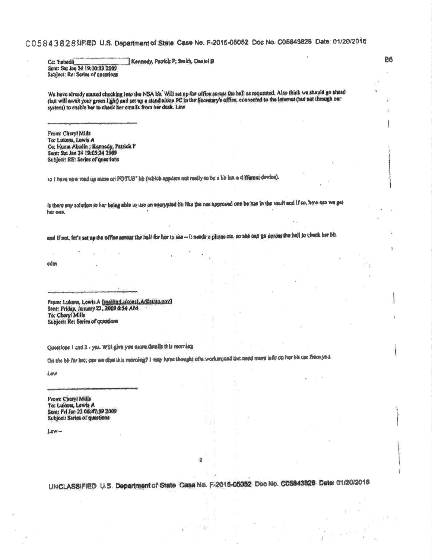## C0584382BSIFIED U.S. Department of State Case No. F-2015-05052 Doc No. C05843828 Date: 01/20/2016

Cc: 'habedii Kennody, Patrick F; Smith, Daniel B Sent: Sat Jan 24 19:10:33 2009 Subject: Re: Sories of questions

We have already started checking into the NSA bb. Will set up the office across the hall as requested. Also think we should go ahead (but will await your green light) and sot up a stand alone PC in the Socretary's office, connected to the leternat (but not through our system) to enable her to check her omails from her desk. Lew

From: Cheryl Mills To: Lukens, Lewis A Co: Huma Abodin ; Konnody, Patrick F Sent: Sut Jan 24 19:05:24 2009 Subject: RE: Series of questions

so I have now read up more on POTUS" be (which appears not really to be a be bitt a different deviou).

is there any solution to her being able to use an energoind be like the nea approved one he has in the vault and if so, how can we get her one.

and if not, for's set up the office across the hall for hor to use -- it needs a phone cit, so abe can go seroes the hall to check her bit.

cdm

From: Lukons, Lowis A [meiltp:Lukons]. A@stato.gov]<br>Sent: Friday, January 23, 2009 6:54 AM To: Cheryl Mills Subject: Re: Series of queations

Questions 1 and 2 - yes. Will give you more details this morning

On the bb for hre, can we chat this morning? I may have thought of a workarpund but need more info co her bu use from you.

Law

From: Cheryl Mills To: Lukans, Lewis A Sont: Fri Jan 23 06:47:59 2009 Subject: Series of questions

 $Lew -$ 

UNCLASSIFIED U.S. Department of State Case No. F-2015-05052 Doc No. C05843828 Date: 01/20/2016

 $\overline{2}$ 

**B6**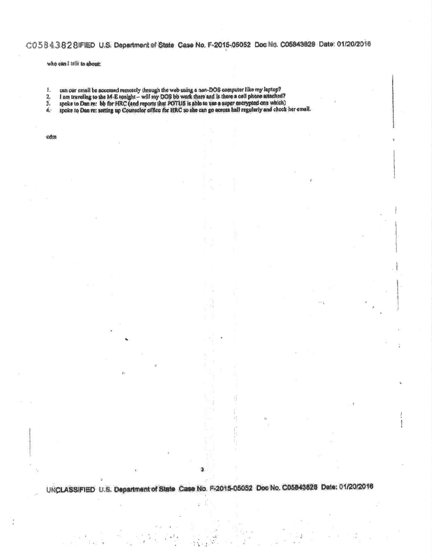## CO.5 8 4 3 8 2 8 IFIED U.S. Department of State Case No. F-2015-05052 Doc No. C05843828 Date: 01/20/2016

<sup>1</sup>

s,

1

who can'l tell to about:

 $\mathbb{I}.$ 

 $\frac{2}{3}$ 

 $\mathbb{P}^1$ 

can our email be accessed remotely through the web using a nan-DOS computer like my laptop?<br>I am traveling to the M-E tonight -- will my DOS bb work there and is there a cell phone attached?<br>spoke to Dan re: bb for HRC (an 希

cdm

UNCLASSIFIED U.S. Department of State Case No. F-2015-05052 Doc No. C05843828 Date: 01/20/2016

Ŧ,  $\chi^2_{\rm c}$ 

詩 'nД

 $\sim$   $\lambda$ S

3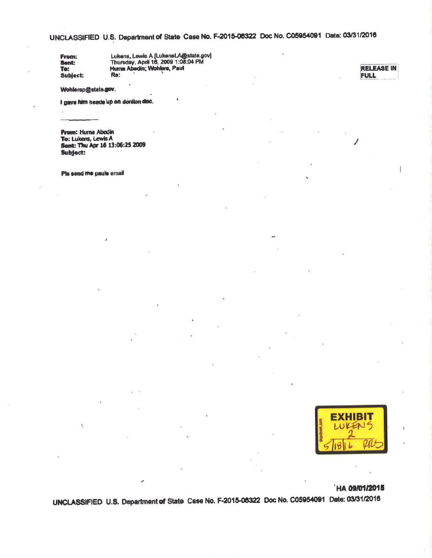## UNCLASSIFIED U.S. Department of State Case No. F-2015-08322 Doc No. C05954091 Date: 03/31/2016

From: Sent: To: Subject. Lukens, Lewis A [LukensLA@state.gov]<br>Thursday, April 16, 2009 1:08:04 PM<br>Hums Abedin; Wohlers, Paul Re:

**RELEASE IN FULL** 

### Wohlersp@state.gov.

I gave him heads up on donlinn doc.

**Frem: Huma Abedin** To: Lukens, Lewis A Sent: Thu Apr 16 13:06:25 2009 Subject:

Pls send me pauls email



### **HA 09/01/2015**

UNCLASSIFIED U.S. Department of State Case No. F-2015-06322 Doc No. C05954091 Date: 03/31/2016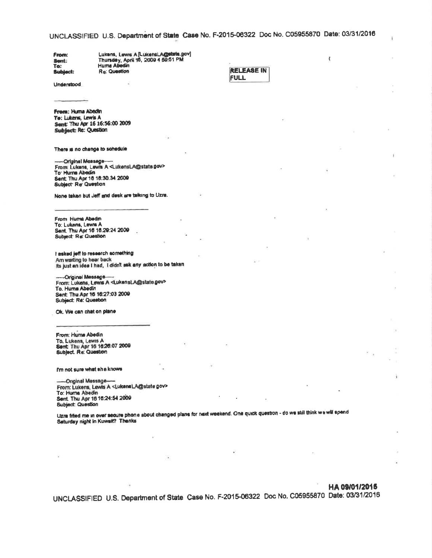UNCLASSIFIED U.S. Department of State Case No. F-2015-06322 Doc No. C05955870 Date: 03/31/2016

Lukens, Lewis A (LukensLA@state.gov)<br>Thursdey, April 16, 2009 4 59:51 PM<br>Huma Abedin From: Sent: To: **Re: Question Subject:** 

**Understood** 

**RELEASE IN FULL** 

 $\overline{\mathfrak{c}}$ 

From: Huma Abedin Te: Lukens, Lewis A Sent: Thu Apr 16 16:56:00 2009 Subject: Re: Question

There is no change to schedule

-Original Message-From: Lukens, Lewis A <LukensLA@state.gov> To: Hunna Abedin Sent: Thu Apr 18 18:30.34 2009 Subject: Re: Question

None taken but Jeff and desk are talking to Uzra.

From Huma Abedm To: Lukens, Lewis A Sent. Thu Apr 16 16.29:24 2009 **Subject: Re: Question** 

I asked jeff to research something Am warting to hear back Its just an idea I had, I didn't ask any action to be taken

-Original Message-From: Lukens, Lewis A <LukensLA@state.gov> To, Huma Abedin Sent. Thu Apr 16 16:27:03 2009 Subject: Re: Question

Ok. We can chat on plane

From: Huma Abedin To, Lukens, Lewis A Sent: Thu Apr 16 16:26:07 2009 Subject. Re: Question

I'm not sure what she knows

-Onginal Message-From: Lukens, Lewis A <LukensLA@state gov> To: Huma Abedin Sent. Thu Apr 16 16:24:54 2009 **Subject: Question** 

Uzra fifted me in over secure phone about changed plans for next weekend. One quick question - do we still think we will spend Saturday night in Kuwait? Thanks

HA 09/01/2015

UNCLASSIFIED U.S. Department of State Case No. F-2015-06322 Doc No. C05955870 Date: 03/31/2016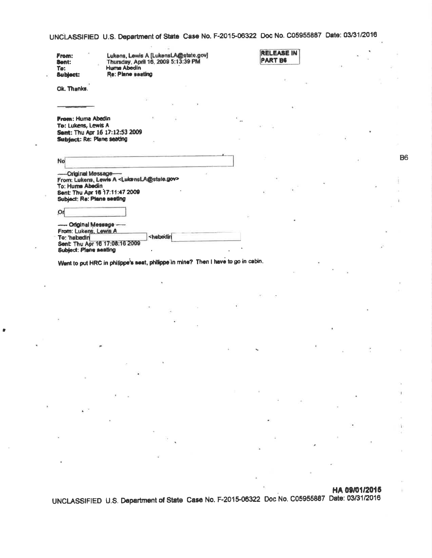UNCLASSIFIED U.S. Department of State Case No. F-2015-06322 Doc No. C05955887 Date: 03/31/2016

**RELEASE IN** PART B6

| From:           | Lukens, Lewis A [LukensLA@state.gov] |
|-----------------|--------------------------------------|
| Sent:           | Thursday, April 16, 2009 5:13:39 PM  |
| Ta:             | Huma Abedin                          |
| <b>Subject:</b> | Re: Plane seating                    |

Ok. Thanks.

From: Huma Abedin To: Lukens, Lewis A Sent: Thu Apr 16 17:12:53 2009 Subject: Re: Plane seating

-Original Message-From: Lukens, Lewis A <LukensLA@state.gov> To: Huma Abedin Sent: Thu Apr 16 17:11:47 2009 Subject: Re: Plane seating

Or -- Original Message -

From: Lukers, Lewis A <habedin To: 'habedin Sent: Thu Apr 16 17:08:16 2009 Subject: Plane seating

Went to put HRC in philippe's seat, philippe'in mine? Then I have to go in cabin.

HA 09/01/2015

UNCLASSIFIED U.S. Department of State Case No. F-2015-06322 Doc No. C05955887 Date: 03/31/2016

**B6**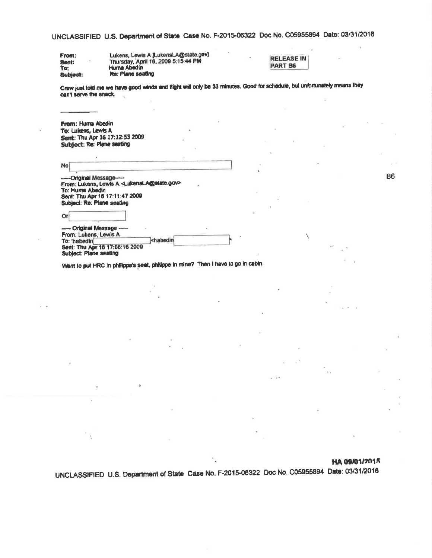UNCLASSIFIED U.S. Department of State Case No. F-2015-06322 Doc No. C05955894 Date: 03/31/2016

ċ.

'N

| From:<br>Sent:<br>1.81<br>To: | Lukens, Lewis A [LukensLA@state.gov]<br>Thursday, April 16, 2009 5:15:44 PM<br>Huma Abedin |  | <b>RELEASE IN</b><br>PART B6 |
|-------------------------------|--------------------------------------------------------------------------------------------|--|------------------------------|
| Subject:                      | Re; Plane seating                                                                          |  |                              |

Crew just told me we have good winds and flight will only be 33 minutes. Good for schedule, but unfortunately means they can't serve the snack.

| From: Huma Abedin              |
|--------------------------------|
| To: Lukens, Lewis A            |
| Sent: Thu Apr 16 17:12:53 2009 |
| Subject: Re: Plane seating     |

Or

Ÿ.

No

-Original Message-From: Lukens, Lewis A <LukensLA@state.gov> To: Huma Abedin<br>Sent: Thu Apr 16 17:11:47 2009 Subject: Re: Plane seating

- Original Message -From: Lukens, Lewis A To: 'habedin chabedin Sent: Thu Apr 16 17:08:16 2009 Sublect: Plane seating

Went to put HRC in philippe's seat, philippe in mine? Then I have to go in cabin.

### HA 09/01/2015

UNCLASSIFIED U.S. Department of State Case No. F-2015-06322 Doc No. C05955894 Date: 03/31/2016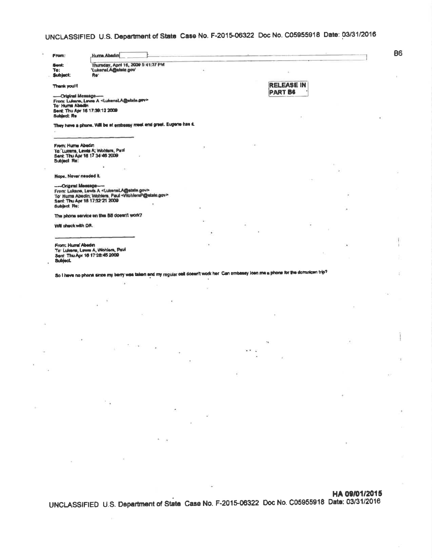## UNCLASSIFIED U.S. Department of State Case No. F-2015-06322 Doc No. C05955918 Date: 03/31/2016

| From:                                                       |                                                                                                                                                                                 |  |                                                                                                                                       |                               |  |
|-------------------------------------------------------------|---------------------------------------------------------------------------------------------------------------------------------------------------------------------------------|--|---------------------------------------------------------------------------------------------------------------------------------------|-------------------------------|--|
| Sent:<br>Te:<br>Subject:                                    | Thursday, April 16, 2009 5:41:37 PM<br>'LukensLA@state.gov'<br>Re'                                                                                                              |  |                                                                                                                                       |                               |  |
| Thenk you!!!                                                |                                                                                                                                                                                 |  | <b>RELEASE IN</b>                                                                                                                     |                               |  |
| -Original Message-<br>To: Huma Abedin<br><b>Subject: Re</b> | From Lulens, Lewis A <lukensla@state.gov><br/>Sent. Thu Apr 16 17:39:12 2009</lukensla@state.gov>                                                                               |  | <b>PART B6</b>                                                                                                                        |                               |  |
|                                                             | They have a phone. Will be at embassy meet and greet. Eugene has it.                                                                                                            |  |                                                                                                                                       |                               |  |
| From: Hume Abedin<br>Subject Re:                            | To: Lukens, Lewis A, Wohlers, Paul<br>Sent. Thu Apr 16 17 34:46 2009                                                                                                            |  |                                                                                                                                       |                               |  |
|                                                             | CH.                                                                                                                                                                             |  |                                                                                                                                       |                               |  |
| Nope. Never needed it.<br>--- Original Meesage-             | From: Lukens, Lewis A <lukensla@state.gov><br/>To' Huma Abedin; Wohlers, Paul <wohlersp@state.gov><br/>Sent: Thu Apr 16 17:32:21 2009</wohlersp@state.gov></lukensla@state.gov> |  |                                                                                                                                       |                               |  |
| <b>Subject Re:</b>                                          | The phone service on the BB doesn't work?                                                                                                                                       |  |                                                                                                                                       |                               |  |
|                                                             |                                                                                                                                                                                 |  |                                                                                                                                       |                               |  |
| Will ohack with DR.                                         |                                                                                                                                                                                 |  |                                                                                                                                       |                               |  |
|                                                             |                                                                                                                                                                                 |  |                                                                                                                                       |                               |  |
|                                                             | To: Luicans, Lewis A, Wohlers, Paul<br>Sent: Thu Apr 18 17 28:45 2009                                                                                                           |  |                                                                                                                                       |                               |  |
|                                                             |                                                                                                                                                                                 |  | So I have no phone since my berry was taken and my regular cell doesn't work her. Can embassy loan me a phone for the dominican trip? |                               |  |
|                                                             |                                                                                                                                                                                 |  |                                                                                                                                       |                               |  |
|                                                             |                                                                                                                                                                                 |  |                                                                                                                                       |                               |  |
|                                                             |                                                                                                                                                                                 |  |                                                                                                                                       |                               |  |
|                                                             |                                                                                                                                                                                 |  |                                                                                                                                       |                               |  |
|                                                             |                                                                                                                                                                                 |  | ×.                                                                                                                                    |                               |  |
|                                                             |                                                                                                                                                                                 |  |                                                                                                                                       |                               |  |
|                                                             |                                                                                                                                                                                 |  |                                                                                                                                       |                               |  |
|                                                             |                                                                                                                                                                                 |  | $\mathcal{L}^{\mathcal{L}}_{\mathcal{L}}(x) = \mathcal{L}^{\mathcal{L}}_{\mathcal{L}}(x) \mathcal{L}^{\mathcal{L}}_{\mathcal{L}}(x)$  |                               |  |
|                                                             |                                                                                                                                                                                 |  |                                                                                                                                       |                               |  |
|                                                             | $\sim$ $\sim$                                                                                                                                                                   |  |                                                                                                                                       |                               |  |
|                                                             |                                                                                                                                                                                 |  |                                                                                                                                       |                               |  |
| From: Humal Abedin<br><b>Subject.</b>                       |                                                                                                                                                                                 |  |                                                                                                                                       |                               |  |
|                                                             |                                                                                                                                                                                 |  |                                                                                                                                       | the control of the control of |  |

### HA 09/01/2015

UNCLASSIFIED U.S. Department of State Case No. F-2015-06322 Doc No. C05955918 Date: 03/31/2016

**B6** 

ĵ

í.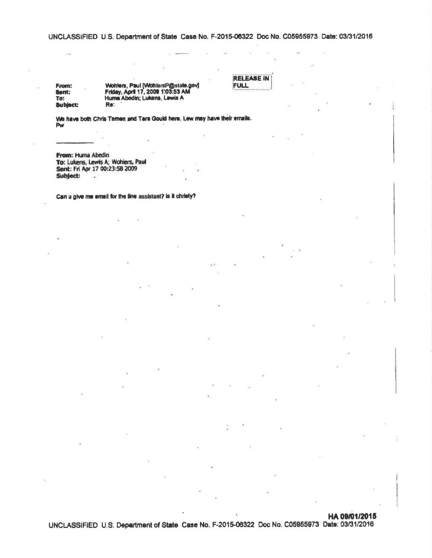UNCLASSIFIED U.S. Department of State Case No. F-2015-06322 Doc No. C05955973 Date: 03/31/2016

From: Sent: To: **Subject:**  Wohlers, Paul [WohlersP@state.gov]<br>Friday, April 17, 2009 1:03:53 AM<br>Huma Abedin; Lukens, Lewis A Re:

**RELEASE IN**<br>FULL

We have both Chris Ternen and Tara Gould here. Lew may have their emails.  $P_W$ 

From: Huma Abedin To: Lukens, Lewis A; Wohlers, Paul Sent: Fri Apr 17 00:23:58 2009 Subject:

Can u give me email for the line assistant? is it christy?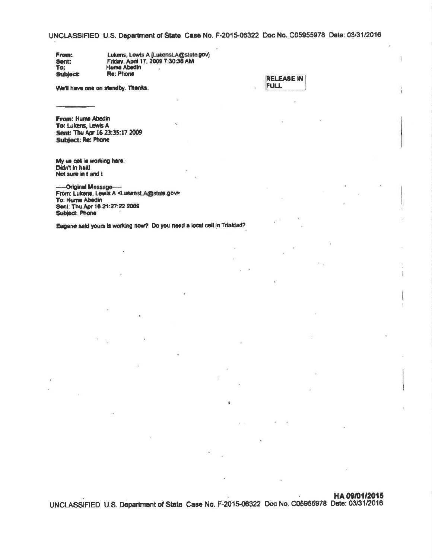UNCLASSIFIED U.S. Department of State Case No. F-2015-06322 Doc No. C05955978 Date: 03/31/2016

Lukens, Lewis A (LukensLA@state.gov)<br>Friday, April 17, 2009 7:30:38 AM From: Sent: To: **Huma Abedin** Re: Phone Subject:

We'll have one on standby. Thanks.

| IRELEASE IN I |
|---------------|
| <b>IFULL</b>  |
|               |

From: Huma Abedin To: Lukens, Lewis A Sent: Thu Apr 16 23:35:17 2009 Subject: Re: Phone

My us cell is working here. Didn't in halti Not sure in t and t

--- Original Message---From: Lukens, Lewis A <LukensLA@state.gov> To: Huma Abedin Sent: Thu Apr 16 21:27:22 2009 Subject: Phone

Eugene sald yours is working now? Do you need a local cell in Trinidad?

## HA 09/01/2015

UNCLASSIFIED U.S. Department of State Case No. F-2015-06322 Doc No. C05955978 Date: 03/31/2016

4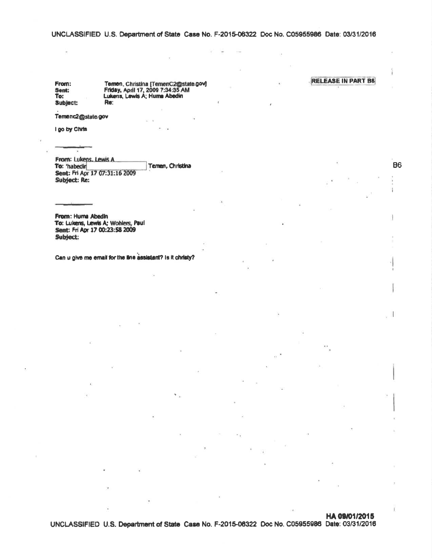UNCLASSIFIED U.S. Department of State Case No. F-2015-06322 Doc No. C05955986 Date: 03/31/2016

× ÷ **COL** 

From: Sent:<br>To: Subject:

×

Ternen, Christina [TernenC2@state.gov]<br>Friday, April 17, 2009 7:34:35 AM<br>Lukens, Lewis A; Huma Abedin Re:

Temenc2@state.gov

I go by Chris

From: Lukens, Lewis A. To: 'habedir Temen, Christina Sent: Fri Apr 17 07:31:16 2009 Subject: Re:

From: Huma Abedin To: Lukens, Lewis A; Wohlers, Paul Sent: Fri Apr 17 00:23:58 2009 Subject:

Can u give me email for the line assistant? Is it christy?

**RELEASE IN PART B6** 

**B6** 

Ï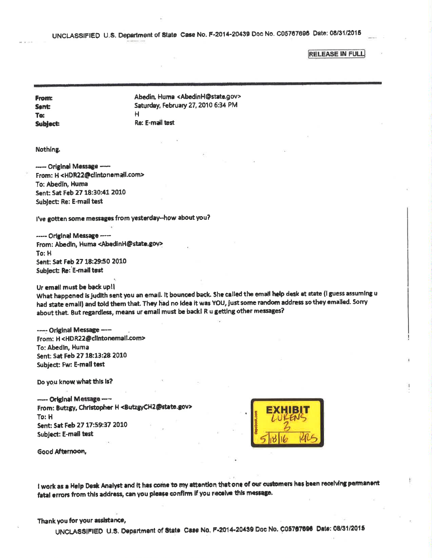UNCLASSIFIED U.S. Department of State Case No. F-2014-20439 Doc No. C05767696 Date: 08/31/2015

**RELEASE IN FULL** 

**From: Sent:** To: **Subject:**  Abedin, Huma <AbedinH@state.gov> Saturday, February 27, 2010 6:34 PM  $H$ Re: E-mail test

Nothing.

----- Original Message ----From: H<HDR22@clintonemail.com> To: Abedin, Huma Sent: Sat Feb 27 18:30:41 2010 **Subject: Re: E-mail test** 

I've gotten some messages from yesterday-how about you?

----- Original Message ----From: Abedin, Huma <AbedinH@state.gov> To: H Sent: Sat Feb 27 18:29:50 2010 Subject: Re: E-mail test

Ur email must be back up!!

What happened is judith sent you an email. It bounced back. She called the email help desk at state (I guess assuming u had state email) and told them that. They had no idea it was YOU, just some random address so they emalled. Sorry about that. But regardless, means ur email must be back! R u getting other messages?

----- Original Message ---From: H<HDR22@clintonemail.com> To: Abedin, Huma Sent: Sat Feb 27 18:13:28 2010 Subject: Fw: E-mail test

Do you know what this is?

---- Original Message ----From: Butzgy, Christopher H <ButzgyCH2@state.gov> To: H Sent: Sat Feb 27 17:59:37 2010 Subject: E-mail test



Good Afternoon,

I work as a Help Desk Analyst and it has come to my attention that one of our customers has been receiving permanent fatal errors from this address, can you please confirm if you receive this message.

### Thank you for your assistance,

UNCLASSIFIED U.S. Department of State Case No. F-2014-20439 Doc No. C05797696 Date: 08/31/2015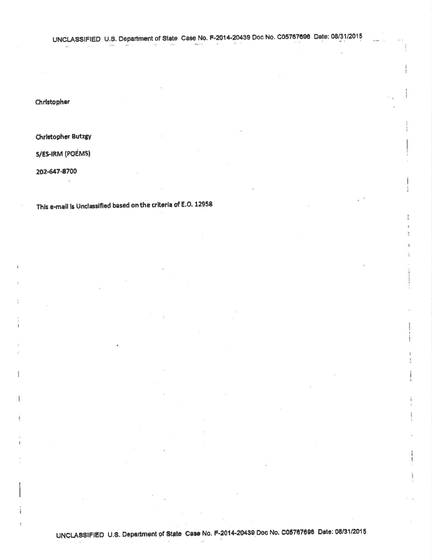$4940 + 7$ 

 $\left\vert \mathbf{r}\right\vert$ 

Christopher

**Christopher Butzgy** 

S/ES-IRM (POEMS)

202-647-8700

This e-mail is Unclassified based on the criteria of E.O. 12958

 $-44$ 

MO.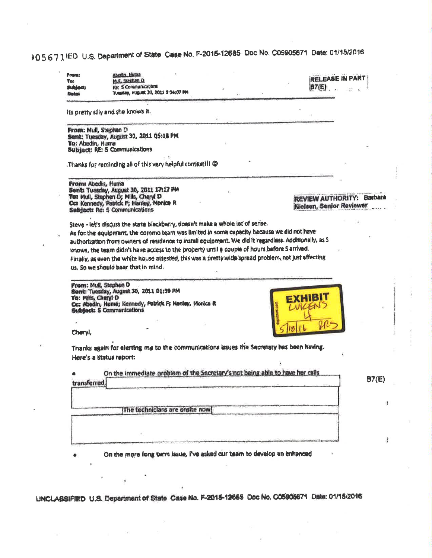# 305671 IED U.S. Department of State Case No. F-2015-12685 Doc No. C05905671 Date: 01/15/2016

| <b>Front:</b><br><b>Tat</b><br><b>Subject:</b><br><b>Date:</b> | Abedin Hustub<br>Mid. Stephen D<br>Re: S Communications<br>Tuesday, August 30, 2011 St34:07 PM                             | <b>RELEASE IN PART</b><br><b>B7(E)</b> |
|----------------------------------------------------------------|----------------------------------------------------------------------------------------------------------------------------|----------------------------------------|
|                                                                | its pretty silly and she knows it.                                                                                         |                                        |
| From: Mull, Stephen D                                          | Sent: Tuesday, August 30, 2011 05:18 PM                                                                                    |                                        |
| To: Abedin, Huma                                               |                                                                                                                            |                                        |
|                                                                | Subject: RE: S Communications                                                                                              |                                        |
|                                                                | Thanks for reminding all of this very helpful context !! @                                                                 |                                        |
| From: Abedin, Huma                                             |                                                                                                                            |                                        |
|                                                                | Sent: Tuesday, August 30, 2011 17:17 PM<br>To: Mull, Stuphen D; Mills, Cheryl D.                                           | REVIEW AUTHORITY: Barbara              |
|                                                                | Cc: Kennedy, Patrick F; Hanley, Monice R<br>Subject: Re: 5 Communications                                                  | Nielsen, Senior Reviewer               |
|                                                                | Steve - let's discuss the state blackberry, doesn't make a whole lot of sense.                                             |                                        |
|                                                                | As for the aquipment, the commo team was limited in some capacity because we did not have                                  |                                        |
|                                                                | authorization from owners of residence to install equipment. We did it regardless. Additionally, as S                      |                                        |
|                                                                | knows, the team didn't have access to the property until a couple of hours before S arrived.                               |                                        |
|                                                                | Finally, as even the white house attested, this was a pretty wide spread problem, not just affecting                       |                                        |
|                                                                | us. So we should bear that in mind.                                                                                        |                                        |
| To: Mills, Chery! D                                            | From: Mull, Stephen O<br>Sent: Tuesday, August 30, 2011 01:39 PM<br>Cc: Abedin, Huma; Kennedy, Patrick F; Hanley, Monica R |                                        |
|                                                                | Subject: S Communications                                                                                                  |                                        |
|                                                                |                                                                                                                            |                                        |
| Cheryl,                                                        |                                                                                                                            |                                        |
|                                                                | Thanks again for elerting me to the communications issues the Secretary has been having.                                   |                                        |
|                                                                | Here's a status report:                                                                                                    |                                        |
| transferred,                                                   | On the immediate problem of the Secretary's not being able to have her calls                                               | B7(E)                                  |
|                                                                |                                                                                                                            |                                        |
|                                                                |                                                                                                                            |                                        |
|                                                                |                                                                                                                            |                                        |
|                                                                | The technicians are onsite now                                                                                             |                                        |
|                                                                |                                                                                                                            |                                        |
|                                                                |                                                                                                                            |                                        |
|                                                                |                                                                                                                            |                                        |
|                                                                | On the more long term issue, I've asked our team to develop an enhanced                                                    |                                        |

UNCLASSIFIED U.S. Department of State Case No. F-2015-12685 Doc No. C05906671 Date: 01/15/2016

à.

 $\langle \hat{q} \rangle$